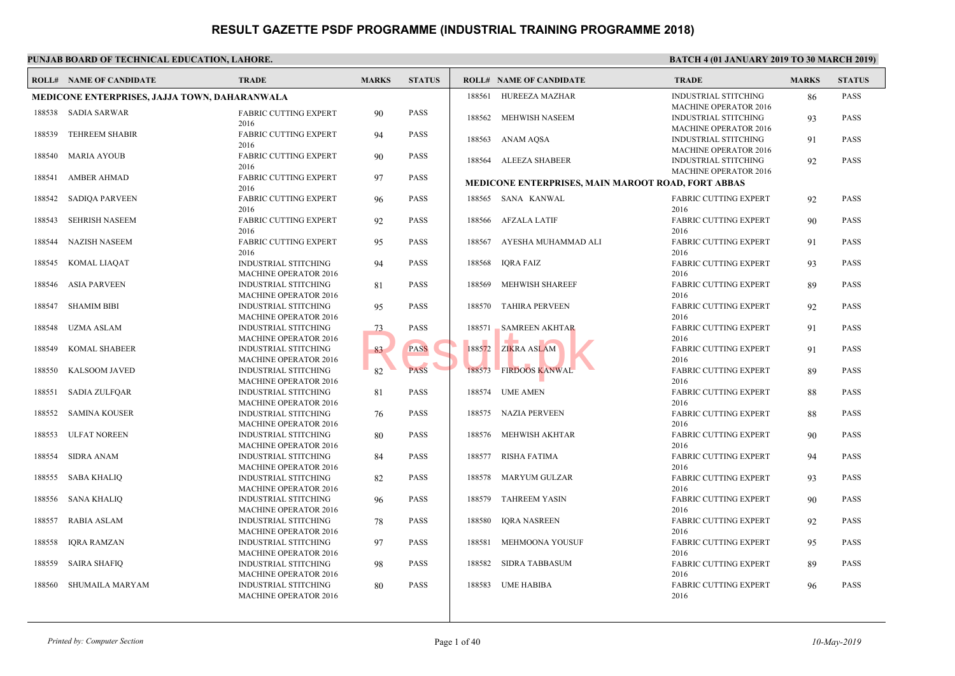|        | <b>ROLL# NAME OF CANDIDATE</b>                | <b>TRADE</b>                                                | <b>MARKS</b> | <b>STATUS</b> |        | <b>ROLL# NAME OF CANDIDATE</b>                    | <b>TRAL</b>                 |
|--------|-----------------------------------------------|-------------------------------------------------------------|--------------|---------------|--------|---------------------------------------------------|-----------------------------|
|        | MEDICONE ENTERPRISES, JAJJA TOWN, DAHARANWALA |                                                             |              |               | 188561 | HUREEZA MAZHAR                                    | <b>INDUS</b>                |
| 188538 | <b>SADIA SARWAR</b>                           | <b>FABRIC CUTTING EXPERT</b>                                | 90           | <b>PASS</b>   | 188562 | MEHWISH NASEEM                                    | <b>MACH</b><br><b>INDUS</b> |
|        |                                               | 2016                                                        |              |               |        |                                                   | <b>MACH</b>                 |
| 188539 | <b>TEHREEM SHABIR</b>                         | <b>FABRIC CUTTING EXPERT</b><br>2016                        | 94           | <b>PASS</b>   | 188563 | ANAM AQSA                                         | <b>INDUS</b>                |
| 188540 | <b>MARIA AYOUB</b>                            | <b>FABRIC CUTTING EXPERT</b>                                | 90           | <b>PASS</b>   |        |                                                   | <b>MACH</b>                 |
|        |                                               | 2016                                                        |              |               |        | 188564 ALEEZA SHABEER                             | <b>INDUS</b>                |
| 188541 | <b>AMBER AHMAD</b>                            | <b>FABRIC CUTTING EXPERT</b>                                | 97           | <b>PASS</b>   |        |                                                   | <b>MACH</b>                 |
|        |                                               | 2016                                                        |              |               |        | <b>MEDICONE ENTERPRISES, MAIN MAROOT ROAD, FO</b> |                             |
| 188542 | <b>SADIQA PARVEEN</b>                         | <b>FABRIC CUTTING EXPERT</b>                                | 96           | <b>PASS</b>   |        | 188565 SANA KANWAL                                | FABRI                       |
|        |                                               | 2016                                                        |              |               |        |                                                   | 2016                        |
| 188543 | <b>SEHRISH NASEEM</b>                         | <b>FABRIC CUTTING EXPERT</b>                                | 92           | <b>PASS</b>   |        | 188566 AFZALA LATIF                               | FABRI                       |
|        |                                               | 2016                                                        |              |               |        |                                                   | 2016                        |
| 188544 | <b>NAZISH NASEEM</b>                          | <b>FABRIC CUTTING EXPERT</b>                                | 95           | <b>PASS</b>   | 188567 | AYESHA MUHAMMAD ALI                               | FABRI                       |
|        |                                               | 2016                                                        |              |               |        |                                                   | 2016                        |
| 188545 | KOMAL LIAQAT                                  | <b>INDUSTRIAL STITCHING</b>                                 | 94           | <b>PASS</b>   | 188568 | IQRA FAIZ                                         | FABRI                       |
|        |                                               | <b>MACHINE OPERATOR 2016</b>                                |              |               |        |                                                   | 2016                        |
| 188546 | <b>ASIA PARVEEN</b>                           | <b>INDUSTRIAL STITCHING</b>                                 | 81           | <b>PASS</b>   | 188569 | <b>MEHWISH SHAREEF</b>                            | FABRI                       |
| 188547 |                                               | <b>MACHINE OPERATOR 2016</b>                                |              | <b>PASS</b>   | 188570 |                                                   | 2016                        |
|        | <b>SHAMIM BIBI</b>                            | <b>INDUSTRIAL STITCHING</b><br>MACHINE OPERATOR 2016        | 95           |               |        | <b>TAHIRA PERVEEN</b>                             | FABRI<br>2016               |
| 188548 | <b>UZMA ASLAM</b>                             | <b>INDUSTRIAL STITCHING</b>                                 | 73           | PASS          | 188571 | <b>SAMREEN AKHTAR</b>                             | FABRI                       |
|        |                                               | <b>MACHINE OPERATOR 2016</b>                                |              |               |        |                                                   | 2016                        |
| 188549 | KOMAL SHABEER                                 | <b>INDUSTRIAL STITCHING</b>                                 | 83           | <b>PASS</b>   | 188572 | ZIKRA ASLAM                                       | FABRI                       |
|        |                                               | MACHINE OPERATOR 2016                                       |              |               |        |                                                   | 2016                        |
| 188550 | KALSOOM JAVED                                 | <b>INDUSTRIAL STITCHING</b>                                 | 82           | <b>PASS</b>   | 188573 | <b>FIRDOOS KANWAL</b>                             | FABRI                       |
|        |                                               | <b>MACHINE OPERATOR 2016</b>                                |              |               |        |                                                   | 2016                        |
| 188551 | <b>SADIA ZULFQAR</b>                          | <b>INDUSTRIAL STITCHING</b>                                 | 81           | PASS          | 188574 | <b>UME AMEN</b>                                   | FABRI                       |
|        |                                               | MACHINE OPERATOR 2016                                       |              |               |        |                                                   | 2016                        |
| 188552 | <b>SAMINA KOUSER</b>                          | <b>INDUSTRIAL STITCHING</b>                                 | 76           | <b>PASS</b>   | 188575 | <b>NAZIA PERVEEN</b>                              | FABRI                       |
|        |                                               | <b>MACHINE OPERATOR 2016</b>                                |              |               |        |                                                   | 2016                        |
| 188553 | <b>ULFAT NOREEN</b>                           | <b>INDUSTRIAL STITCHING</b>                                 | 80           | PASS          | 188576 | MEHWISH AKHTAR                                    | FABRI                       |
|        |                                               | MACHINE OPERATOR 2016                                       |              |               |        |                                                   | 2016                        |
| 188554 | <b>SIDRA ANAM</b>                             | <b>INDUSTRIAL STITCHING</b>                                 | 84           | <b>PASS</b>   | 188577 | <b>RISHA FATIMA</b>                               | FABRI                       |
|        |                                               | <b>MACHINE OPERATOR 2016</b>                                |              |               |        |                                                   | 2016                        |
| 188555 | SABA KHALIQ                                   | <b>INDUSTRIAL STITCHING</b>                                 | 82           | <b>PASS</b>   | 188578 | MARYUM GULZAR                                     | FABRI                       |
|        |                                               | MACHINE OPERATOR 2016                                       |              |               |        |                                                   | 2016                        |
| 188556 | <b>SANA KHALIQ</b>                            | <b>INDUSTRIAL STITCHING</b><br><b>MACHINE OPERATOR 2016</b> | 96           | <b>PASS</b>   | 188579 | <b>TAHREEM YASIN</b>                              | FABRI<br>2016               |
| 188557 | <b>RABIA ASLAM</b>                            | <b>INDUSTRIAL STITCHING</b>                                 | 78           | <b>PASS</b>   | 188580 | <b>IORA NASREEN</b>                               | FABRI                       |
|        |                                               | MACHINE OPERATOR 2016                                       |              |               |        |                                                   | 2016                        |
| 188558 | <b>IQRA RAMZAN</b>                            | <b>INDUSTRIAL STITCHING</b>                                 | 97           | PASS          | 188581 | MEHMOONA YOUSUF                                   | FABRI                       |
|        |                                               | <b>MACHINE OPERATOR 2016</b>                                |              |               |        |                                                   | 2016                        |
| 188559 | <b>SAIRA SHAFIQ</b>                           | <b>INDUSTRIAL STITCHING</b>                                 | 98           | <b>PASS</b>   | 188582 | <b>SIDRA TABBASUM</b>                             | FABRI                       |
|        |                                               | MACHINE OPERATOR 2016                                       |              |               |        |                                                   | 2016                        |
| 188560 | SHUMAILA MARYAM                               | <b>INDUSTRIAL STITCHING</b>                                 | 80           | PASS          | 188583 | <b>UME HABIBA</b>                                 | FABRI                       |
|        |                                               | <b>MACHINE OPERATOR 2016</b>                                |              |               |        |                                                   | 2016                        |
|        |                                               |                                                             |              |               |        |                                                   |                             |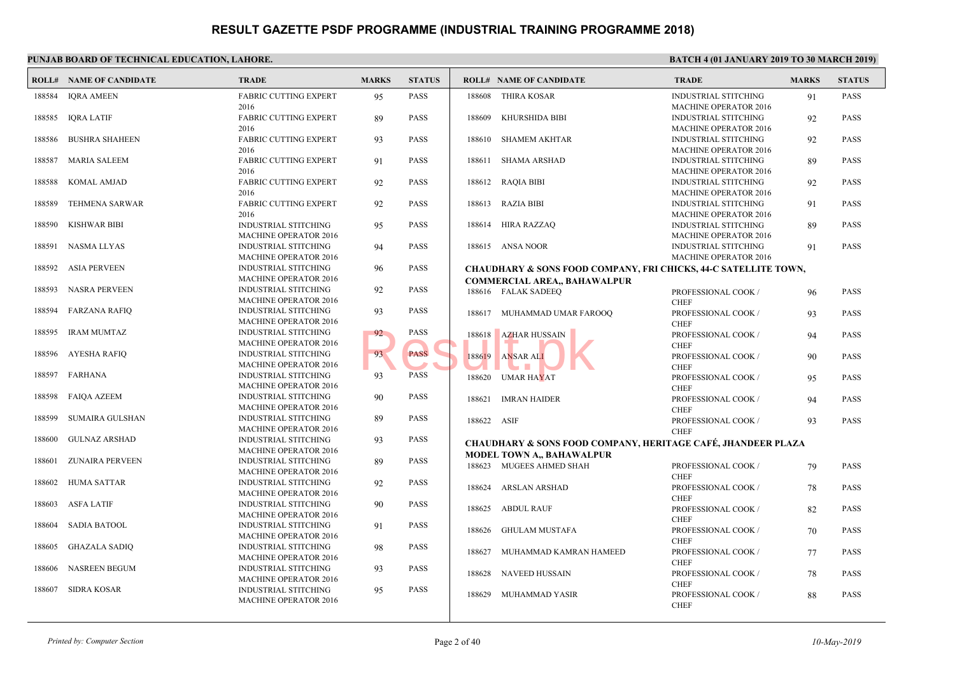| 188584<br><b>IQRA AMEEN</b><br><b>FABRIC CUTTING EXPERT</b><br>95<br><b>PASS</b><br>188608<br>THIRA KOSAR<br><b>INDUS</b><br><b>MACH</b><br>2016<br><b>IQRA LATIF</b><br><b>PASS</b><br>188609<br>KHURSHIDA BIBI<br>188585<br><b>FABRIC CUTTING EXPERT</b><br>89<br>2016<br><b>PASS</b><br><b>BUSHRA SHAHEEN</b><br><b>FABRIC CUTTING EXPERT</b><br>93<br>188610<br><b>SHAMEM AKHTAR</b><br>188586<br>2016<br><b>MARIA SALEEM</b><br><b>FABRIC CUTTING EXPERT</b><br><b>PASS</b><br>188611 SHAMA ARSHAD<br>188587<br>91<br>2016<br><b>KOMAL AMJAD</b><br><b>FABRIC CUTTING EXPERT</b><br>92<br><b>PASS</b><br>188612 RAQIA BIBI<br>188588<br>2016<br><b>TEHMENA SARWAR</b><br><b>FABRIC CUTTING EXPERT</b><br><b>PASS</b><br>188613 RAZIA BIBI<br>188589<br>92<br>2016<br><b>KISHWAR BIBI</b><br>HIRA RAZZAQ<br>188590<br><b>PASS</b><br>188614<br><b>INDUSTRIAL STITCHING</b><br>95<br><b>MACHINE OPERATOR 2016</b><br><b>INDUSTRIAL STITCHING</b><br><b>PASS</b><br>188615 ANSA NOOR<br>188591<br><b>NASMA LLYAS</b><br>94<br><b>MACHINE OPERATOR 2016</b><br><b>ASIA PERVEEN</b><br><b>INDUSTRIAL STITCHING</b><br><b>PASS</b><br>188592<br>96<br><b>MACHINE OPERATOR 2016</b><br><b>COMMERCIAL AREA,, BAHAWALPUR</b><br><b>NASRA PERVEEN</b><br>INDUSTRIAL STITCHING<br>92<br><b>PASS</b><br>188593<br>188616 FALAK SADEEQ<br><b>MACHINE OPERATOR 2016</b><br>188594<br><b>FARZANA RAFIQ</b><br>INDUSTRIAL STITCHING<br>93<br><b>PASS</b><br>188617 MUHAMMAD UMAR FAROOQ<br><b>MACHINE OPERATOR 2016</b><br><b>PASS</b><br>188595<br><b>IRAM MUMTAZ</b><br><b>INDUSTRIAL STITCHING</b><br>92<br>188618 AZHAR HUSSAIN<br><b>MACHINE OPERATOR 2016</b><br><b>PASS</b><br><b>AYESHA RAFIO</b><br>93<br>188596<br><b>INDUSTRIAL STITCHING</b><br>188619 ANSAR ALI<br><b>MACHINE OPERATOR 2016</b><br>188597<br>FARHANA<br><b>INDUSTRIAL STITCHING</b><br><b>PASS</b><br>93<br>188620<br>UMAR HA <mark>Y</mark> AT<br><b>MACHINE OPERATOR 2016</b><br>188598<br><b>FAIQA AZEEM</b><br>INDUSTRIAL STITCHING<br>90<br><b>PASS</b><br><b>IMRAN HAIDER</b><br>188621<br><b>MACHINE OPERATOR 2016</b><br>188599<br><b>SUMAIRA GULSHAN</b><br><b>INDUSTRIAL STITCHING</b><br><b>PASS</b><br>89<br>188622 ASIF<br><b>MACHINE OPERATOR 2016</b><br><b>CHEF</b><br><b>GULNAZ ARSHAD</b><br><b>PASS</b><br>188600<br><b>INDUSTRIAL STITCHING</b><br>93<br><b>CHAUDHARY &amp; SONS FOOD COMPANY, HERITAGE</b><br><b>MACHINE OPERATOR 2016</b><br><b>MODEL TOWN A., BAHAWALPUR</b><br><b>PASS</b><br>ZUNAIRA PERVEEN<br><b>INDUSTRIAL STITCHING</b><br>89<br>188601<br>188623 MUGEES AHMED SHAH<br><b>MACHINE OPERATOR 2016</b><br><b>HUMA SATTAR</b><br>INDUSTRIAL STITCHING<br>92<br><b>PASS</b><br>188602<br>188624<br>ARSLAN ARSHAD<br><b>MACHINE OPERATOR 2016</b><br><b>PASS</b><br>188603<br><b>ASFA LATIF</b><br>INDUSTRIAL STITCHING<br>90<br>188625<br>ABDUL RAUF<br><b>MACHINE OPERATOR 2016</b><br><b>SADIA BATOOL</b><br>INDUSTRIAL STITCHING<br>91<br><b>PASS</b><br>188604<br><b>GHULAM MUSTAFA</b><br>188626<br><b>MACHINE OPERATOR 2016</b><br><b>PASS</b><br>188605<br><b>GHAZALA SADIQ</b><br><b>INDUSTRIAL STITCHING</b><br>98<br>188627<br>MUHAMMAD KAMRAN HAMEED<br><b>MACHINE OPERATOR 2016</b><br><b>NASREEN BEGUM</b><br>INDUSTRIAL STITCHING<br><b>PASS</b><br>93<br>188606<br>188628<br><b>NAVEED HUSSAIN</b><br><b>MACHINE OPERATOR 2016</b><br>188607<br><b>SIDRA KOSAR</b><br>INDUSTRIAL STITCHING<br><b>PASS</b><br>95<br>MUHAMMAD YASIR<br>188629<br><b>MACHINE OPERATOR 2016</b> | <b>ROLL# NAME OF CANDIDATE</b> | <b>TRADE</b> | <b>MARKS</b> | <b>STATUS</b> | <b>ROLL# NAME OF CANDIDATE</b> | <b>TRAL</b> |
|------------------------------------------------------------------------------------------------------------------------------------------------------------------------------------------------------------------------------------------------------------------------------------------------------------------------------------------------------------------------------------------------------------------------------------------------------------------------------------------------------------------------------------------------------------------------------------------------------------------------------------------------------------------------------------------------------------------------------------------------------------------------------------------------------------------------------------------------------------------------------------------------------------------------------------------------------------------------------------------------------------------------------------------------------------------------------------------------------------------------------------------------------------------------------------------------------------------------------------------------------------------------------------------------------------------------------------------------------------------------------------------------------------------------------------------------------------------------------------------------------------------------------------------------------------------------------------------------------------------------------------------------------------------------------------------------------------------------------------------------------------------------------------------------------------------------------------------------------------------------------------------------------------------------------------------------------------------------------------------------------------------------------------------------------------------------------------------------------------------------------------------------------------------------------------------------------------------------------------------------------------------------------------------------------------------------------------------------------------------------------------------------------------------------------------------------------------------------------------------------------------------------------------------------------------------------------------------------------------------------------------------------------------------------------------------------------------------------------------------------------------------------------------------------------------------------------------------------------------------------------------------------------------------------------------------------------------------------------------------------------------------------------------------------------------------------------------------------------------------------------------------------------------------------------------------------------------------------------------------------------------------------------------------------------------------------------------------------------------------------------------------------------------------------------------------------------------------------------------------------------|--------------------------------|--------------|--------------|---------------|--------------------------------|-------------|
| <b>INDUS</b><br><b>MACH</b><br><b>CHEF</b><br><b>CHEF</b><br><b>CHEF</b><br><b>CHEF</b><br><b>CHEF</b><br><b>CHEF</b>                                                                                                                                                                                                                                                                                                                                                                                                                                                                                                                                                                                                                                                                                                                                                                                                                                                                                                                                                                                                                                                                                                                                                                                                                                                                                                                                                                                                                                                                                                                                                                                                                                                                                                                                                                                                                                                                                                                                                                                                                                                                                                                                                                                                                                                                                                                                                                                                                                                                                                                                                                                                                                                                                                                                                                                                                                                                                                                                                                                                                                                                                                                                                                                                                                                                                                                                                                                |                                |              |              |               |                                |             |
| <b>INDUS</b><br><b>MACH</b>                                                                                                                                                                                                                                                                                                                                                                                                                                                                                                                                                                                                                                                                                                                                                                                                                                                                                                                                                                                                                                                                                                                                                                                                                                                                                                                                                                                                                                                                                                                                                                                                                                                                                                                                                                                                                                                                                                                                                                                                                                                                                                                                                                                                                                                                                                                                                                                                                                                                                                                                                                                                                                                                                                                                                                                                                                                                                                                                                                                                                                                                                                                                                                                                                                                                                                                                                                                                                                                                          |                                |              |              |               |                                |             |
| <b>INDUS</b><br><b>MACH</b><br><b>INDUS</b><br><b>MACH</b><br><b>INDUS</b><br><b>MACH</b><br><b>INDUS</b><br><b>MACH</b><br><b>INDUS</b><br><b>MACH</b><br><b>CHAUDHARY &amp; SONS FOOD COMPANY, FRI CHICKS</b><br><b>PROFE</b><br><b>CHEF</b><br><b>PROFE</b><br><b>PROFE</b><br><b>CHEF</b><br><b>PROFE</b><br><b>CHEF</b><br><b>PROFE</b><br><b>CHEF</b><br><b>PROFE</b><br><b>PROFE</b><br><b>PROFE</b><br><b>CHEF</b><br><b>PROFE</b><br><b>PROFE</b><br><b>CHEF</b><br><b>PROFE</b><br><b>PROFE</b><br><b>PROFE</b><br><b>PROFE</b>                                                                                                                                                                                                                                                                                                                                                                                                                                                                                                                                                                                                                                                                                                                                                                                                                                                                                                                                                                                                                                                                                                                                                                                                                                                                                                                                                                                                                                                                                                                                                                                                                                                                                                                                                                                                                                                                                                                                                                                                                                                                                                                                                                                                                                                                                                                                                                                                                                                                                                                                                                                                                                                                                                                                                                                                                                                                                                                                                            |                                |              |              |               |                                |             |
|                                                                                                                                                                                                                                                                                                                                                                                                                                                                                                                                                                                                                                                                                                                                                                                                                                                                                                                                                                                                                                                                                                                                                                                                                                                                                                                                                                                                                                                                                                                                                                                                                                                                                                                                                                                                                                                                                                                                                                                                                                                                                                                                                                                                                                                                                                                                                                                                                                                                                                                                                                                                                                                                                                                                                                                                                                                                                                                                                                                                                                                                                                                                                                                                                                                                                                                                                                                                                                                                                                      |                                |              |              |               |                                |             |
|                                                                                                                                                                                                                                                                                                                                                                                                                                                                                                                                                                                                                                                                                                                                                                                                                                                                                                                                                                                                                                                                                                                                                                                                                                                                                                                                                                                                                                                                                                                                                                                                                                                                                                                                                                                                                                                                                                                                                                                                                                                                                                                                                                                                                                                                                                                                                                                                                                                                                                                                                                                                                                                                                                                                                                                                                                                                                                                                                                                                                                                                                                                                                                                                                                                                                                                                                                                                                                                                                                      |                                |              |              |               |                                |             |
|                                                                                                                                                                                                                                                                                                                                                                                                                                                                                                                                                                                                                                                                                                                                                                                                                                                                                                                                                                                                                                                                                                                                                                                                                                                                                                                                                                                                                                                                                                                                                                                                                                                                                                                                                                                                                                                                                                                                                                                                                                                                                                                                                                                                                                                                                                                                                                                                                                                                                                                                                                                                                                                                                                                                                                                                                                                                                                                                                                                                                                                                                                                                                                                                                                                                                                                                                                                                                                                                                                      |                                |              |              |               |                                |             |
|                                                                                                                                                                                                                                                                                                                                                                                                                                                                                                                                                                                                                                                                                                                                                                                                                                                                                                                                                                                                                                                                                                                                                                                                                                                                                                                                                                                                                                                                                                                                                                                                                                                                                                                                                                                                                                                                                                                                                                                                                                                                                                                                                                                                                                                                                                                                                                                                                                                                                                                                                                                                                                                                                                                                                                                                                                                                                                                                                                                                                                                                                                                                                                                                                                                                                                                                                                                                                                                                                                      |                                |              |              |               |                                |             |
|                                                                                                                                                                                                                                                                                                                                                                                                                                                                                                                                                                                                                                                                                                                                                                                                                                                                                                                                                                                                                                                                                                                                                                                                                                                                                                                                                                                                                                                                                                                                                                                                                                                                                                                                                                                                                                                                                                                                                                                                                                                                                                                                                                                                                                                                                                                                                                                                                                                                                                                                                                                                                                                                                                                                                                                                                                                                                                                                                                                                                                                                                                                                                                                                                                                                                                                                                                                                                                                                                                      |                                |              |              |               |                                |             |
|                                                                                                                                                                                                                                                                                                                                                                                                                                                                                                                                                                                                                                                                                                                                                                                                                                                                                                                                                                                                                                                                                                                                                                                                                                                                                                                                                                                                                                                                                                                                                                                                                                                                                                                                                                                                                                                                                                                                                                                                                                                                                                                                                                                                                                                                                                                                                                                                                                                                                                                                                                                                                                                                                                                                                                                                                                                                                                                                                                                                                                                                                                                                                                                                                                                                                                                                                                                                                                                                                                      |                                |              |              |               |                                |             |
|                                                                                                                                                                                                                                                                                                                                                                                                                                                                                                                                                                                                                                                                                                                                                                                                                                                                                                                                                                                                                                                                                                                                                                                                                                                                                                                                                                                                                                                                                                                                                                                                                                                                                                                                                                                                                                                                                                                                                                                                                                                                                                                                                                                                                                                                                                                                                                                                                                                                                                                                                                                                                                                                                                                                                                                                                                                                                                                                                                                                                                                                                                                                                                                                                                                                                                                                                                                                                                                                                                      |                                |              |              |               |                                |             |
|                                                                                                                                                                                                                                                                                                                                                                                                                                                                                                                                                                                                                                                                                                                                                                                                                                                                                                                                                                                                                                                                                                                                                                                                                                                                                                                                                                                                                                                                                                                                                                                                                                                                                                                                                                                                                                                                                                                                                                                                                                                                                                                                                                                                                                                                                                                                                                                                                                                                                                                                                                                                                                                                                                                                                                                                                                                                                                                                                                                                                                                                                                                                                                                                                                                                                                                                                                                                                                                                                                      |                                |              |              |               |                                |             |
|                                                                                                                                                                                                                                                                                                                                                                                                                                                                                                                                                                                                                                                                                                                                                                                                                                                                                                                                                                                                                                                                                                                                                                                                                                                                                                                                                                                                                                                                                                                                                                                                                                                                                                                                                                                                                                                                                                                                                                                                                                                                                                                                                                                                                                                                                                                                                                                                                                                                                                                                                                                                                                                                                                                                                                                                                                                                                                                                                                                                                                                                                                                                                                                                                                                                                                                                                                                                                                                                                                      |                                |              |              |               |                                |             |
|                                                                                                                                                                                                                                                                                                                                                                                                                                                                                                                                                                                                                                                                                                                                                                                                                                                                                                                                                                                                                                                                                                                                                                                                                                                                                                                                                                                                                                                                                                                                                                                                                                                                                                                                                                                                                                                                                                                                                                                                                                                                                                                                                                                                                                                                                                                                                                                                                                                                                                                                                                                                                                                                                                                                                                                                                                                                                                                                                                                                                                                                                                                                                                                                                                                                                                                                                                                                                                                                                                      |                                |              |              |               |                                |             |
|                                                                                                                                                                                                                                                                                                                                                                                                                                                                                                                                                                                                                                                                                                                                                                                                                                                                                                                                                                                                                                                                                                                                                                                                                                                                                                                                                                                                                                                                                                                                                                                                                                                                                                                                                                                                                                                                                                                                                                                                                                                                                                                                                                                                                                                                                                                                                                                                                                                                                                                                                                                                                                                                                                                                                                                                                                                                                                                                                                                                                                                                                                                                                                                                                                                                                                                                                                                                                                                                                                      |                                |              |              |               |                                |             |
|                                                                                                                                                                                                                                                                                                                                                                                                                                                                                                                                                                                                                                                                                                                                                                                                                                                                                                                                                                                                                                                                                                                                                                                                                                                                                                                                                                                                                                                                                                                                                                                                                                                                                                                                                                                                                                                                                                                                                                                                                                                                                                                                                                                                                                                                                                                                                                                                                                                                                                                                                                                                                                                                                                                                                                                                                                                                                                                                                                                                                                                                                                                                                                                                                                                                                                                                                                                                                                                                                                      |                                |              |              |               |                                |             |
|                                                                                                                                                                                                                                                                                                                                                                                                                                                                                                                                                                                                                                                                                                                                                                                                                                                                                                                                                                                                                                                                                                                                                                                                                                                                                                                                                                                                                                                                                                                                                                                                                                                                                                                                                                                                                                                                                                                                                                                                                                                                                                                                                                                                                                                                                                                                                                                                                                                                                                                                                                                                                                                                                                                                                                                                                                                                                                                                                                                                                                                                                                                                                                                                                                                                                                                                                                                                                                                                                                      |                                |              |              |               |                                |             |
|                                                                                                                                                                                                                                                                                                                                                                                                                                                                                                                                                                                                                                                                                                                                                                                                                                                                                                                                                                                                                                                                                                                                                                                                                                                                                                                                                                                                                                                                                                                                                                                                                                                                                                                                                                                                                                                                                                                                                                                                                                                                                                                                                                                                                                                                                                                                                                                                                                                                                                                                                                                                                                                                                                                                                                                                                                                                                                                                                                                                                                                                                                                                                                                                                                                                                                                                                                                                                                                                                                      |                                |              |              |               |                                |             |
|                                                                                                                                                                                                                                                                                                                                                                                                                                                                                                                                                                                                                                                                                                                                                                                                                                                                                                                                                                                                                                                                                                                                                                                                                                                                                                                                                                                                                                                                                                                                                                                                                                                                                                                                                                                                                                                                                                                                                                                                                                                                                                                                                                                                                                                                                                                                                                                                                                                                                                                                                                                                                                                                                                                                                                                                                                                                                                                                                                                                                                                                                                                                                                                                                                                                                                                                                                                                                                                                                                      |                                |              |              |               |                                |             |
|                                                                                                                                                                                                                                                                                                                                                                                                                                                                                                                                                                                                                                                                                                                                                                                                                                                                                                                                                                                                                                                                                                                                                                                                                                                                                                                                                                                                                                                                                                                                                                                                                                                                                                                                                                                                                                                                                                                                                                                                                                                                                                                                                                                                                                                                                                                                                                                                                                                                                                                                                                                                                                                                                                                                                                                                                                                                                                                                                                                                                                                                                                                                                                                                                                                                                                                                                                                                                                                                                                      |                                |              |              |               |                                |             |
|                                                                                                                                                                                                                                                                                                                                                                                                                                                                                                                                                                                                                                                                                                                                                                                                                                                                                                                                                                                                                                                                                                                                                                                                                                                                                                                                                                                                                                                                                                                                                                                                                                                                                                                                                                                                                                                                                                                                                                                                                                                                                                                                                                                                                                                                                                                                                                                                                                                                                                                                                                                                                                                                                                                                                                                                                                                                                                                                                                                                                                                                                                                                                                                                                                                                                                                                                                                                                                                                                                      |                                |              |              |               |                                |             |
|                                                                                                                                                                                                                                                                                                                                                                                                                                                                                                                                                                                                                                                                                                                                                                                                                                                                                                                                                                                                                                                                                                                                                                                                                                                                                                                                                                                                                                                                                                                                                                                                                                                                                                                                                                                                                                                                                                                                                                                                                                                                                                                                                                                                                                                                                                                                                                                                                                                                                                                                                                                                                                                                                                                                                                                                                                                                                                                                                                                                                                                                                                                                                                                                                                                                                                                                                                                                                                                                                                      |                                |              |              |               |                                |             |
|                                                                                                                                                                                                                                                                                                                                                                                                                                                                                                                                                                                                                                                                                                                                                                                                                                                                                                                                                                                                                                                                                                                                                                                                                                                                                                                                                                                                                                                                                                                                                                                                                                                                                                                                                                                                                                                                                                                                                                                                                                                                                                                                                                                                                                                                                                                                                                                                                                                                                                                                                                                                                                                                                                                                                                                                                                                                                                                                                                                                                                                                                                                                                                                                                                                                                                                                                                                                                                                                                                      |                                |              |              |               |                                |             |
|                                                                                                                                                                                                                                                                                                                                                                                                                                                                                                                                                                                                                                                                                                                                                                                                                                                                                                                                                                                                                                                                                                                                                                                                                                                                                                                                                                                                                                                                                                                                                                                                                                                                                                                                                                                                                                                                                                                                                                                                                                                                                                                                                                                                                                                                                                                                                                                                                                                                                                                                                                                                                                                                                                                                                                                                                                                                                                                                                                                                                                                                                                                                                                                                                                                                                                                                                                                                                                                                                                      |                                |              |              |               |                                |             |
|                                                                                                                                                                                                                                                                                                                                                                                                                                                                                                                                                                                                                                                                                                                                                                                                                                                                                                                                                                                                                                                                                                                                                                                                                                                                                                                                                                                                                                                                                                                                                                                                                                                                                                                                                                                                                                                                                                                                                                                                                                                                                                                                                                                                                                                                                                                                                                                                                                                                                                                                                                                                                                                                                                                                                                                                                                                                                                                                                                                                                                                                                                                                                                                                                                                                                                                                                                                                                                                                                                      |                                |              |              |               |                                | <b>CHEF</b> |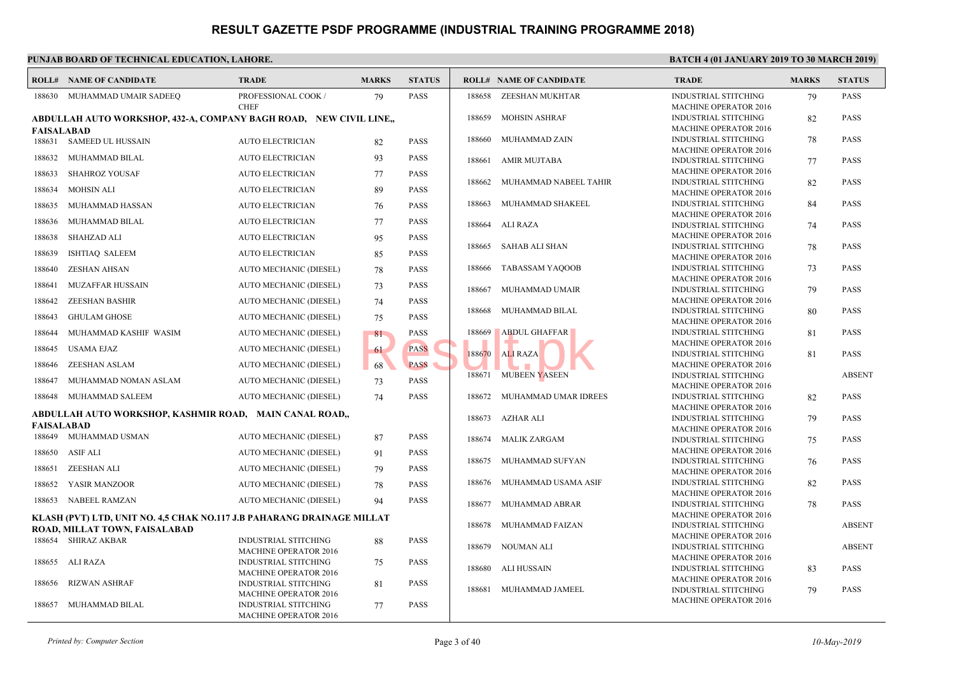|                   | <b>ROLL# NAME OF CANDIDATE</b>                                         | <b>TRADE</b>                                                | <b>MARKS</b> | <b>STATUS</b> |             | <b>ROLL# NAME OF CANDIDATE</b> | <b>TRAL</b>                 |
|-------------------|------------------------------------------------------------------------|-------------------------------------------------------------|--------------|---------------|-------------|--------------------------------|-----------------------------|
|                   | 188630 MUHAMMAD UMAIR SADEEQ                                           | PROFESSIONAL COOK /                                         | 79           | <b>PASS</b>   |             | 188658 ZEESHAN MUKHTAR         | <b>INDUS</b>                |
|                   | ABDULLAH AUTO WORKSHOP, 432-A, COMPANY BAGH ROAD, NEW CIVIL LINE,      | <b>CHEF</b>                                                 |              |               | 188659      | <b>MOHSIN ASHRAF</b>           | <b>MACH</b><br><b>INDUS</b> |
| <b>FAISALABAD</b> |                                                                        |                                                             |              |               |             |                                | <b>MACH</b>                 |
|                   | 188631 SAMEED UL HUSSAIN                                               | <b>AUTO ELECTRICIAN</b>                                     | 82           | <b>PASS</b>   | 188660      | MUHAMMAD ZAIN                  | <b>INDUS</b><br><b>MACH</b> |
| 188632            | MUHAMMAD BILAL                                                         | <b>AUTO ELECTRICIAN</b>                                     | 93           | PASS          | 188661      | <b>AMIR MUJTABA</b>            | <b>INDUS</b>                |
| 188633            | <b>SHAHROZ YOUSAF</b>                                                  | <b>AUTO ELECTRICIAN</b>                                     | 77           | <b>PASS</b>   |             |                                | <b>MACH</b>                 |
| 188634            | <b>MOHSIN ALI</b>                                                      | AUTO ELECTRICIAN                                            | 89           | <b>PASS</b>   | 188662      | MUHAMMAD NABEEL TAHIR          | <b>INDUS</b><br><b>MACH</b> |
| 188635            | MUHAMMAD HASSAN                                                        | <b>AUTO ELECTRICIAN</b>                                     | 76           | <b>PASS</b>   | 188663      | MUHAMMAD SHAKEEL               | <b>INDUS</b>                |
| 188636            | MUHAMMAD BILAL                                                         | <b>AUTO ELECTRICIAN</b>                                     | 77           | <b>PASS</b>   | 188664      | ALI RAZA                       | <b>MACH</b><br><b>INDUS</b> |
| 188638            | SHAHZAD ALI                                                            | <b>AUTO ELECTRICIAN</b>                                     | 95           | <b>PASS</b>   |             |                                | <b>MACH</b>                 |
| 188639            | <b>ISHTIAQ SALEEM</b>                                                  | <b>AUTO ELECTRICIAN</b>                                     | 85           | <b>PASS</b>   | 188665      | SAHAB ALI SHAN                 | <b>INDUS</b><br><b>MACH</b> |
| 188640            | <b>ZESHAN AHSAN</b>                                                    | AUTO MECHANIC (DIESEL)                                      | 78           | <b>PASS</b>   | 188666      | TABASSAM YAQOOB                | <b>INDUS</b>                |
| 188641            | MUZAFFAR HUSSAIN                                                       | AUTO MECHANIC (DIESEL)                                      | 73           | <b>PASS</b>   |             | MUHAMMAD UMAIR                 | <b>MACH</b><br><b>INDU:</b> |
| 188642            | <b>ZEESHAN BASHIR</b>                                                  | AUTO MECHANIC (DIESEL)                                      | 74           | <b>PASS</b>   | 188667      |                                | MACF                        |
| 188643            | <b>GHULAM GHOSE</b>                                                    | AUTO MECHANIC (DIESEL)                                      | 75           | <b>PASS</b>   | 188668      | MUHAMMAD BILAL                 | <b>INDUS</b>                |
| 188644            | MUHAMMAD KASHIF WASIM                                                  | AUTO MECHANIC (DIESEL)                                      | 81           | <b>PASS</b>   | 188669      | <b>ABDUL GHAFFAR</b>           | MACF<br><b>INDUS</b>        |
| 188645            | <b>USAMA EJAZ</b>                                                      | AUTO MECHANIC (DIESEL)                                      | 61           | <b>PASS</b>   |             |                                | <b>MACH</b>                 |
| 188646            | ZEESHAN ASLAM                                                          | AUTO MECHANIC (DIESEL)                                      | 68           | <b>PASS</b>   | 188670      | ALI RAZA                       | <b>INDUS</b><br><b>MACH</b> |
| 188647            | MUHAMMAD NOMAN ASLAM                                                   | AUTO MECHANIC (DIESEL)                                      | 73           | <b>PASS</b>   | 188671      | MUBEEN YASEEN                  | <b>INDUS</b>                |
| 188648            | MUHAMMAD SALEEM                                                        | AUTO MECHANIC (DIESEL)                                      | 74           | <b>PASS</b>   | 188672      | MUHAMMAD UMAR IDREES           | <b>MACH</b><br><b>INDU:</b> |
|                   | ABDULLAH AUTO WORKSHOP, KASHMIR ROAD, MAIN CANAL ROAD,,                |                                                             |              |               |             |                                | <b>MACH</b>                 |
| <b>FAISALABAD</b> |                                                                        |                                                             |              |               | 188673      | AZHAR ALI                      | <b>INDUS</b><br><b>MACH</b> |
|                   | 188649 MUHAMMAD USMAN                                                  | AUTO MECHANIC (DIESEL)                                      | 87           | <b>PASS</b>   | 188674      | MALIK ZARGAM                   | <b>INDUS</b>                |
|                   | 188650 ASIF ALI                                                        | AUTO MECHANIC (DIESEL)                                      | 91           | <b>PASS</b>   |             |                                | <b>MACH</b>                 |
| 188651            | ZEESHAN ALI                                                            | AUTO MECHANIC (DIESEL)                                      | 79           | <b>PASS</b>   | 188675      | MUHAMMAD SUFYAN                | <b>INDUS</b><br><b>MACH</b> |
| 188652            | YASIR MANZOOR                                                          | AUTO MECHANIC (DIESEL)                                      | 78           | <b>PASS</b>   | 188676      | MUHAMMAD USAMA ASIF            | <b>INDU:</b>                |
| 188653            | NABEEL RAMZAN                                                          | AUTO MECHANIC (DIESEL)                                      | 94           | <b>PASS</b>   | 188677      | MUHAMMAD ABRAR                 | <b>MACH</b><br><b>INDUS</b> |
|                   | KLASH (PVT) LTD, UNIT NO. 4,5 CHAK NO.117 J.B PAHARANG DRAINAGE MILLAT |                                                             |              |               | <b>MACF</b> |                                |                             |
|                   | ROAD, MILLAT TOWN, FAISALABAD                                          |                                                             |              |               | 188678      | MUHAMMAD FAIZAN                | <b>INDUS</b><br><b>MACH</b> |
|                   | 188654 SHIRAZ AKBAR                                                    | INDUSTRIAL STITCHING<br><b>MACHINE OPERATOR 2016</b>        | 88           | <b>PASS</b>   | 188679      | NOUMAN ALI                     | <b>INDUS</b>                |
|                   | 188655 ALI RAZA                                                        | <b>INDUSTRIAL STITCHING</b>                                 | 75           | <b>PASS</b>   | 188680      | ALI HUSSAIN                    | <b>MACH</b><br><b>INDUS</b> |
| 188656            | RIZWAN ASHRAF                                                          | <b>MACHINE OPERATOR 2016</b><br><b>INDUSTRIAL STITCHING</b> | 81           | <b>PASS</b>   |             |                                | <b>MACH</b>                 |
|                   |                                                                        | <b>MACHINE OPERATOR 2016</b>                                |              |               | 188681      | MUHAMMAD JAMEEL                | <b>INDUS</b><br><b>MACH</b> |
| 188657            | MUHAMMAD BILAL                                                         | <b>INDUSTRIAL STITCHING</b><br><b>MACHINE OPERATOR 2016</b> | 77           | <b>PASS</b>   |             |                                |                             |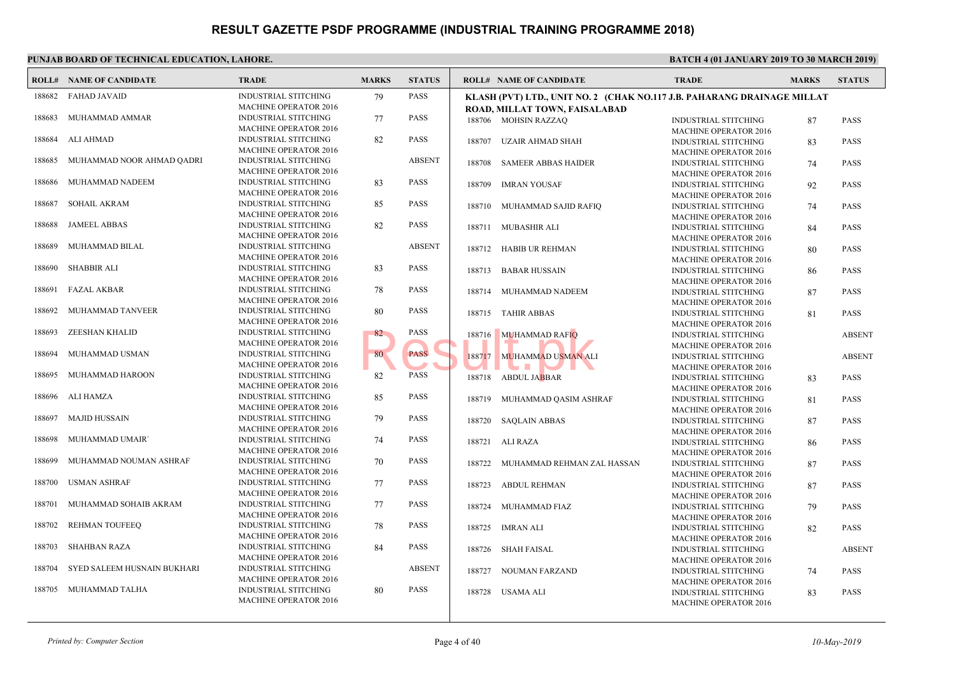|        | <b>ROLL# NAME OF CANDIDATE</b> | <b>TRADE</b>                                                | <b>MARKS</b> | <b>STATUS</b> |        | <b>ROLL# NAME OF CANDIDATE</b>                                                     | <b>TRAL</b>                                |
|--------|--------------------------------|-------------------------------------------------------------|--------------|---------------|--------|------------------------------------------------------------------------------------|--------------------------------------------|
| 188682 | <b>FAHAD JAVAID</b>            | <b>INDUSTRIAL STITCHING</b><br><b>MACHINE OPERATOR 2016</b> | 79           | <b>PASS</b>   |        | KLASH (PVT) LTD., UNIT NO. 2 (CHAK NO.117 J.B. PA<br>ROAD, MILLAT TOWN, FAISALABAD |                                            |
| 188683 | MUHAMMAD AMMAR                 | <b>INDUSTRIAL STITCHING</b><br><b>MACHINE OPERATOR 2016</b> | 77           | <b>PASS</b>   |        | 188706 MOHSIN RAZZAQ                                                               | <b>INDUS</b>                               |
| 188684 | ALI AHMAD                      | <b>INDUSTRIAL STITCHING</b><br><b>MACHINE OPERATOR 2016</b> | 82           | <b>PASS</b>   | 188707 | UZAIR AHMAD SHAH                                                                   | <b>MACH</b><br><b>INDUS</b>                |
| 188685 | MUHAMMAD NOOR AHMAD QADRI      | <b>INDUSTRIAL STITCHING</b><br><b>MACHINE OPERATOR 2016</b> |              | <b>ABSENT</b> | 188708 | <b>SAMEER ABBAS HAIDER</b>                                                         | <b>MACF</b><br><b>INDUS</b><br><b>MACH</b> |
| 188686 | MUHAMMAD NADEEM                | <b>INDUSTRIAL STITCHING</b><br><b>MACHINE OPERATOR 2016</b> | 83           | <b>PASS</b>   | 188709 | IMRAN YOUSAF                                                                       | <b>INDUS</b><br><b>MACH</b>                |
| 188687 | <b>SOHAIL AKRAM</b>            | <b>INDUSTRIAL STITCHING</b><br><b>MACHINE OPERATOR 2016</b> | 85           | <b>PASS</b>   | 188710 | MUHAMMAD SAJID RAFIO                                                               | <b>INDUS</b><br><b>MACH</b>                |
| 188688 | <b>JAMEEL ABBAS</b>            | <b>INDUSTRIAL STITCHING</b><br><b>MACHINE OPERATOR 2016</b> | 82           | <b>PASS</b>   |        | 188711 MUBASHIR ALI                                                                | <b>INDUS</b><br><b>MACH</b>                |
| 188689 | MUHAMMAD BILAL                 | INDUSTRIAL STITCHING<br><b>MACHINE OPERATOR 2016</b>        |              | <b>ABSENT</b> |        | 188712 HABIB UR REHMAN                                                             | <b>INDUS</b><br><b>MACH</b>                |
| 188690 | <b>SHABBIR ALI</b>             | <b>INDUSTRIAL STITCHING</b><br><b>MACHINE OPERATOR 2016</b> | 83           | <b>PASS</b>   | 188713 | <b>BABAR HUSSAIN</b>                                                               | <b>INDUS</b><br><b>MACF</b>                |
| 188691 | <b>FAZAL AKBAR</b>             | <b>INDUSTRIAL STITCHING</b><br><b>MACHINE OPERATOR 2016</b> | 78           | <b>PASS</b>   | 188714 | MUHAMMAD NADEEM                                                                    | <b>INDUS</b><br><b>MACH</b>                |
| 188692 | MUHAMMAD TANVEER               | <b>INDUSTRIAL STITCHING</b><br><b>MACHINE OPERATOR 2016</b> | 80           | <b>PASS</b>   | 188715 | <b>TAHIR ABBAS</b>                                                                 | <b>INDUS</b><br><b>MACH</b>                |
| 188693 | <b>ZEESHAN KHALID</b>          | <b>INDUSTRIAL STITCHING</b><br><b>MACHINE OPERATOR 2016</b> | 82           | <b>PASS</b>   | 188716 | <b>MUHAMMAD RAFIO</b>                                                              | <b>INDUS</b><br><b>MACH</b>                |
| 188694 | MUHAMMAD USMAN                 | <b>INDUSTRIAL STITCHING</b><br><b>MACHINE OPERATOR 2016</b> | 80           | <b>PASS</b>   | 188717 | <b>MUHAMMAD USMAN ALI</b>                                                          | <b>INDUS</b><br><b>MACH</b>                |
| 188695 | MUHAMMAD HAROON                | <b>INDUSTRIAL STITCHING</b><br><b>MACHINE OPERATOR 2016</b> | 82           | <b>PASS</b>   | 188718 | <b>ABDUL JABBAR</b>                                                                | <b>INDUS</b><br><b>MACH</b>                |
| 188696 | ALI HAMZA                      | <b>INDUSTRIAL STITCHING</b><br><b>MACHINE OPERATOR 2016</b> | 85           | <b>PASS</b>   | 188719 | MUHAMMAD QASIM ASHRAF                                                              | <b>INDUS</b><br><b>MACH</b>                |
| 188697 | <b>MAJID HUSSAIN</b>           | <b>INDUSTRIAL STITCHING</b><br><b>MACHINE OPERATOR 2016</b> | 79           | <b>PASS</b>   | 188720 | <b>SAOLAIN ABBAS</b>                                                               | <b>INDUS</b><br><b>MACH</b>                |
| 188698 | MUHAMMAD UMAIR'                | INDUSTRIAL STITCHING<br><b>MACHINE OPERATOR 2016</b>        | 74           | <b>PASS</b>   |        | 188721 ALI RAZA                                                                    | <b>INDUS</b><br><b>MACH</b>                |
| 188699 | MUHAMMAD NOUMAN ASHRAF         | <b>INDUSTRIAL STITCHING</b><br><b>MACHINE OPERATOR 2016</b> | 70           | <b>PASS</b>   | 188722 | MUHAMMAD REHMAN ZAL HASSAN                                                         | <b>INDUS</b><br><b>MACF</b>                |
| 188700 | <b>USMAN ASHRAF</b>            | <b>INDUSTRIAL STITCHING</b><br><b>MACHINE OPERATOR 2016</b> | 77           | <b>PASS</b>   | 188723 | <b>ABDUL REHMAN</b>                                                                | <b>INDUS</b><br><b>MACH</b>                |
| 188701 | MUHAMMAD SOHAIB AKRAM          | <b>INDUSTRIAL STITCHING</b><br><b>MACHINE OPERATOR 2016</b> | 77           | <b>PASS</b>   | 188724 | MUHAMMAD FIAZ                                                                      | <b>INDUS</b><br><b>MACH</b>                |
| 188702 | <b>REHMAN TOUFEEQ</b>          | <b>INDUSTRIAL STITCHING</b><br><b>MACHINE OPERATOR 2016</b> | 78           | <b>PASS</b>   |        | 188725 IMRAN ALI                                                                   | <b>INDUS</b><br><b>MACF</b>                |
| 188703 | <b>SHAHBAN RAZA</b>            | <b>INDUSTRIAL STITCHING</b><br><b>MACHINE OPERATOR 2016</b> | 84           | <b>PASS</b>   | 188726 | SHAH FAISAL                                                                        | <b>INDUS</b><br><b>MACH</b>                |
| 188704 | SYED SALEEM HUSNAIN BUKHARI    | <b>INDUSTRIAL STITCHING</b><br><b>MACHINE OPERATOR 2016</b> |              | <b>ABSENT</b> | 188727 | NOUMAN FARZAND                                                                     | <b>INDUS</b><br><b>MACF</b>                |
| 188705 | MUHAMMAD TALHA                 | <b>INDUSTRIAL STITCHING</b><br><b>MACHINE OPERATOR 2016</b> | 80           | <b>PASS</b>   | 188728 | USAMA ALI                                                                          | <b>INDUS</b><br><b>MACH</b>                |
|        |                                |                                                             |              |               |        |                                                                                    |                                            |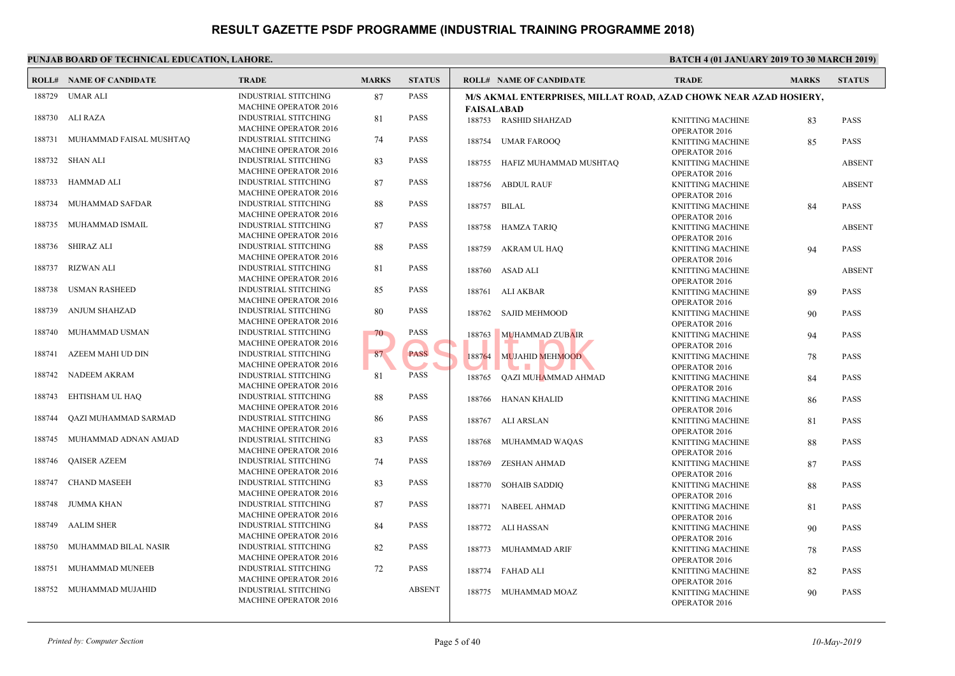|        | <b>ROLL# NAME OF CANDIDATE</b> | <b>TRADE</b>                                                | <b>MARKS</b> | <b>STATUS</b> | <b>ROLL# NAME OF CANDIDATE</b>                                   | <b>TRAL</b>                  |
|--------|--------------------------------|-------------------------------------------------------------|--------------|---------------|------------------------------------------------------------------|------------------------------|
| 188729 | UMAR ALI                       | <b>INDUSTRIAL STITCHING</b><br>MACHINE OPERATOR 2016        | 87           | <b>PASS</b>   | M/S AKMAL ENTERPRISES, MILLAT ROAD, AZAD CH<br><b>FAISALABAD</b> |                              |
| 188730 | ALI RAZA                       | <b>INDUSTRIAL STITCHING</b><br><b>MACHINE OPERATOR 2016</b> | 81           | <b>PASS</b>   | 188753 RASHID SHAHZAD                                            | <b>KNITT</b><br>OPERA        |
| 188731 | MUHAMMAD FAISAL MUSHTAQ        | <b>INDUSTRIAL STITCHING</b><br><b>MACHINE OPERATOR 2016</b> | 74           | <b>PASS</b>   | 188754<br>UMAR FAROOQ                                            | <b>KNITT</b><br>OPER/        |
| 188732 | SHAN ALI                       | <b>INDUSTRIAL STITCHING</b><br><b>MACHINE OPERATOR 2016</b> | 83           | <b>PASS</b>   | HAFIZ MUHAMMAD MUSHTAQ<br>188755                                 | <b>KNITT</b><br>OPER/        |
| 188733 | HAMMAD ALI                     | INDUSTRIAL STITCHING<br><b>MACHINE OPERATOR 2016</b>        | 87           | <b>PASS</b>   | 188756 ABDUL RAUF                                                | <b>KNITT</b><br>OPER/        |
| 188734 | MUHAMMAD SAFDAR                | <b>INDUSTRIAL STITCHING</b><br><b>MACHINE OPERATOR 2016</b> | 88           | <b>PASS</b>   | 188757<br>BILAL                                                  | <b>KNITT</b><br>OPERA        |
| 188735 | MUHAMMAD ISMAIL                | <b>INDUSTRIAL STITCHING</b><br><b>MACHINE OPERATOR 2016</b> | 87           | <b>PASS</b>   | 188758 HAMZA TARIQ                                               | <b>KNITT</b><br>OPERA        |
| 188736 | SHIRAZ ALI                     | <b>INDUSTRIAL STITCHING</b><br><b>MACHINE OPERATOR 2016</b> | 88           | <b>PASS</b>   | 188759<br>AKRAM UL HAQ                                           | <b>KNITT</b><br><b>OPERA</b> |
| 188737 | <b>RIZWAN ALI</b>              | <b>INDUSTRIAL STITCHING</b><br><b>MACHINE OPERATOR 2016</b> | 81           | <b>PASS</b>   | 188760 ASAD ALI                                                  | <b>KNITT</b><br><b>OPERA</b> |
| 188738 | <b>USMAN RASHEED</b>           | <b>INDUSTRIAL STITCHING</b><br><b>MACHINE OPERATOR 2016</b> | 85           | <b>PASS</b>   | 188761 ALI AKBAR                                                 | <b>KNITT</b><br>OPERA        |
| 188739 | <b>ANJUM SHAHZAD</b>           | <b>INDUSTRIAL STITCHING</b><br><b>MACHINE OPERATOR 2016</b> | 80           | <b>PASS</b>   | <b>SAJID MEHMOOD</b><br>188762                                   | <b>KNITT</b><br>OPER/        |
| 188740 | MUHAMMAD USMAN                 | <b>INDUSTRIAL STITCHING</b><br><b>MACHINE OPERATOR 2016</b> | 70.          | <b>PASS</b>   | 188763<br><b>MUHAMMAD ZUBAIR</b>                                 | <b>KNITT</b><br>OPER/        |
| 188741 | AZEEM MAHI UD DIN              | <b>INDUSTRIAL STITCHING</b><br><b>MACHINE OPERATOR 2016</b> | 87           | <b>PASS</b>   | 188764<br><b>MUJAHID MEHMOOD</b>                                 | <b>KNITT</b><br>OPERA        |
| 188742 | NADEEM AKRAM                   | <b>INDUSTRIAL STITCHING</b><br><b>MACHINE OPERATOR 2016</b> | 81           | <b>PASS</b>   | 188765<br>QAZI MUHAMMAD AHMAD                                    | <b>KNITT</b><br>OPERA        |
| 188743 | EHTISHAM UL HAO                | <b>INDUSTRIAL STITCHING</b><br><b>MACHINE OPERATOR 2016</b> | 88           | <b>PASS</b>   | 188766<br>HANAN KHALID                                           | <b>KNITT</b><br><b>OPERA</b> |
| 188744 | <b>QAZI MUHAMMAD SARMAD</b>    | <b>INDUSTRIAL STITCHING</b><br><b>MACHINE OPERATOR 2016</b> | 86           | <b>PASS</b>   | 188767<br>ALI ARSLAN                                             | <b>KNITT</b><br>OPERA        |
| 188745 | MUHAMMAD ADNAN AMJAD           | <b>INDUSTRIAL STITCHING</b><br><b>MACHINE OPERATOR 2016</b> | 83           | <b>PASS</b>   | 188768<br>MUHAMMAD WAQAS                                         | <b>KNITT</b><br><b>OPERA</b> |
| 188746 | <b>QAISER AZEEM</b>            | <b>INDUSTRIAL STITCHING</b><br><b>MACHINE OPERATOR 2016</b> | 74           | <b>PASS</b>   | <b>ZESHAN AHMAD</b><br>188769                                    | <b>KNITT</b><br>OPER/        |
| 188747 | <b>CHAND MASEEH</b>            | <b>INDUSTRIAL STITCHING</b><br><b>MACHINE OPERATOR 2016</b> | 83           | <b>PASS</b>   | 188770<br><b>SOHAIB SADDIQ</b>                                   | <b>KNITT</b><br>OPER/        |
| 188748 | JUMMA KHAN                     | <b>INDUSTRIAL STITCHING</b><br><b>MACHINE OPERATOR 2016</b> | 87           | <b>PASS</b>   | 188771<br>NABEEL AHMAD                                           | <b>KNITT</b><br><b>OPERA</b> |
| 188749 | <b>AALIM SHER</b>              | <b>INDUSTRIAL STITCHING</b><br><b>MACHINE OPERATOR 2016</b> | 84           | <b>PASS</b>   | 188772<br>ALI HASSAN                                             | <b>KNITT</b><br><b>OPERA</b> |
| 188750 | MUHAMMAD BILAL NASIR           | <b>INDUSTRIAL STITCHING</b><br><b>MACHINE OPERATOR 2016</b> | 82           | <b>PASS</b>   | MUHAMMAD ARIF<br>188773                                          | <b>KNITT</b><br><b>OPERA</b> |
| 188751 | MUHAMMAD MUNEEB                | <b>INDUSTRIAL STITCHING</b><br><b>MACHINE OPERATOR 2016</b> | 72           | <b>PASS</b>   | 188774 FAHAD ALI                                                 | <b>KNITT</b><br>OPERA        |
| 188752 | MUHAMMAD MUJAHID               | <b>INDUSTRIAL STITCHING</b><br><b>MACHINE OPERATOR 2016</b> |              | <b>ABSENT</b> | 188775 MUHAMMAD MOAZ                                             | <b>KNITT</b><br>OPERA        |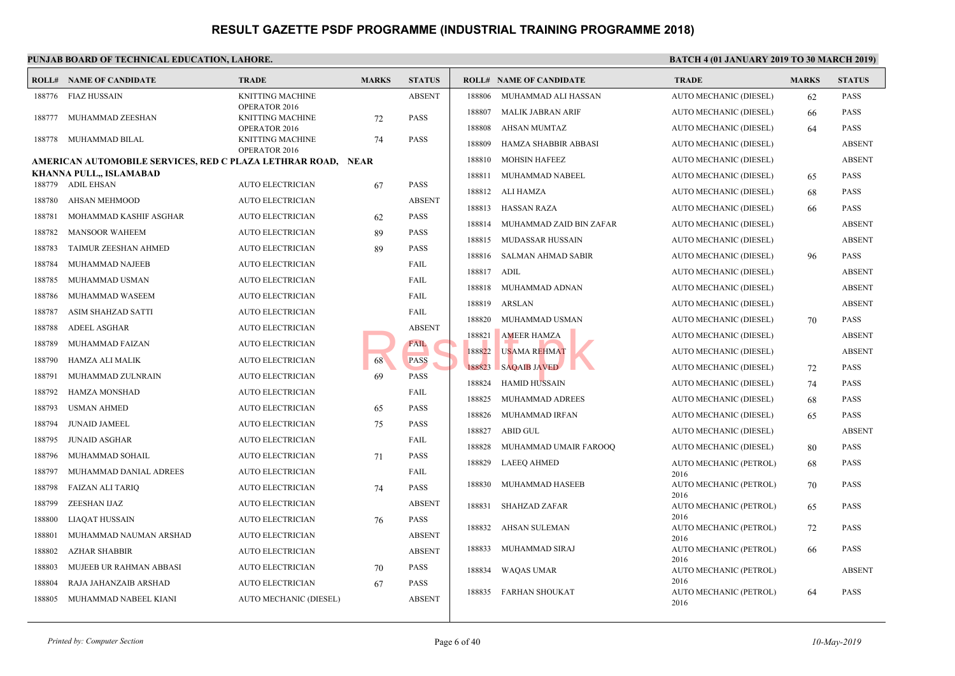#### **PUNJAB BOARD OF TECHNICAL EDUCATION, LAHORE.** BATCH 4 (01 JANUARY 2019) **BATCH 2019 ISLAMUARY 2019 ISLAMUARY 2019 ROLL# NAME OF CANDIDATE TRADE MARKS STATUS ROLL# NAME OF CANDIDATE TRADE MARKS STATUS** KNITTING MACHINE ABSENT OPERATOR 2016 188776 FIAZ HUSSAIN KNITTING MACHINE 72 PASS OPERATOR 2016 188777 MUHAMMAD ZEESHAN KNITTING MACHINE 74 PASS OPERATOR 2016 188778 MUHAMMAD BILAL **AMERICAN AUTOMOBILE SERVICES, RED C PLAZA LETHRAR ROAD, NEAR KHANNA PULL,, ISLAMABAD** 188779 ADIL EHSAN AUTO ELECTRICIAN 67 PASS 188780 AHSAN MEHMOOD AUTO ELECTRICIAN ABSENT 188781 MOHAMMAD KASHIF ASGHAR AUTO ELECTRICIAN 62 PASS 188782 MANSOOR WAHEEM AUTO ELECTRICIAN 89 PASS 188783 TAIMUR ZEESHAN AHMED AUTO ELECTRICIAN 89 PASS 188784 MUHAMMAD NAJEEB AUTO ELECTRICIAN FAIL 188785 MUHAMMAD USMAN AUTO ELECTRICIAN FAIL 188786 MUHAMMAD WASEEM AUTO ELECTRICIAN FAIL 188787 ASIM SHAHZAD SATTI AUTO ELECTRICIAN FAIL 188788 ADEEL ASGHAR AUTO ELECTRICIAN ABSENT 188789 MUHAMMAD FAIZAN AUTO ELECTRICIAN AUTO ELECTRICIAN 188790 HAMZA ALI MALIK AUTO ELECTRICIAN 68 PASS 188791 MUHAMMAD ZULNRAIN AUTO ELECTRICIAN 69 PASS 188792 HAMZA MONSHAD AUTO ELECTRICIAN FAIL 188793 USMAN AHMED AUTO ELECTRICIAN 65 PASS 188794 JUNAID JAMEEL AUTO ELECTRICIAN 75 PASS 188795 JUNAID ASGHAR AUTO ELECTRICIAN FAIL 188796 MUHAMMAD SOHAIL AUTO ELECTRICIAN 71 PASS 188797 MUHAMMAD DANIAL ADREES AUTO ELECTRICIAN FAIL 188798 FAIZAN ALI TARIQ AUTO ELECTRICIAN 74 PASS 188799 ZEESHAN IJAZ AUTO ELECTRICIAN ABSENT 188800 LIAQAT HUSSAIN AUTO ELECTRICIAN 76 PASS 188801 MUHAMMAD NAUMAN ARSHAD AUTO ELECTRICIAN ABSENT 188802 AZHAR SHABBIR AUTO ELECTRICIAN ABSENT 188803 MUJEEB UR RAHMAN ABBASI AUTO ELECTRICIAN 70 PASS 188804 RAJA JAHANZAIB ARSHAD AUTO ELECTRICIAN 67 PASS 188805 MUHAMMAD NABEEL KIANI AUTO MECHANIC (DIESEL) ABSENT 188806 MUHAMMAD ALI HASSAN AUTO 188807 MALIK JABRAN ARIF AUTO 188808 AHSAN MUMTAZ AUTO 188809 HAMZA SHABBIR ABBASI AUTO 188810 MOHSIN HAFEEZ AUTO 188811 MUHAMMAD NABEEL AUTO 188812 ALI HAMZA AUTO 188813 HASSAN RAZA AUTO 188814 MUHAMMAD ZAID BIN ZAFAR AUTO 188815 MUDASSAR HUSSAIN AUTO 188816 SALMAN AHMAD SABIR AUTO 188817 ADIL AUTO 188818 MUHAMMAD ADNAN AUTO 188819 ARSLAN AUTO 188820 MUHAMMAD USMAN AUTO 188821 AMEER HAMZA AUTO 188822 USAMA REHMAT AUTO 188823 SAQAIB JAVED AUTO 188824 HAMID HUSSAIN AUTO 188825 MUHAMMAD ADREES AUTO 188826 MUHAMMAD IRFAN AUTO 188827 ABID GUL AUTO 188828 MUHAMMAD UMAIR FAROOQ AUTO AUTO 2016 188829 LAEEQ AHMED AUTO 2016 188830 MUHAMMAD HASEEB AUTO 2016 188831 SHAHZAD ZAFAR AUTO 2016 188832 AHSAN SULEMAN AUTO 2016 188833 MUHAMMAD SIRAJ AUTO 2016 188834 WAQAS UMAR AUTO 2016 188835 FARHAN SHOUKAT ABSENT 188821 AMEER HAMZA<br>
FAIL 188822 USAMA REHMAT<br>
69 PASS 188823 SAQAIB JAVED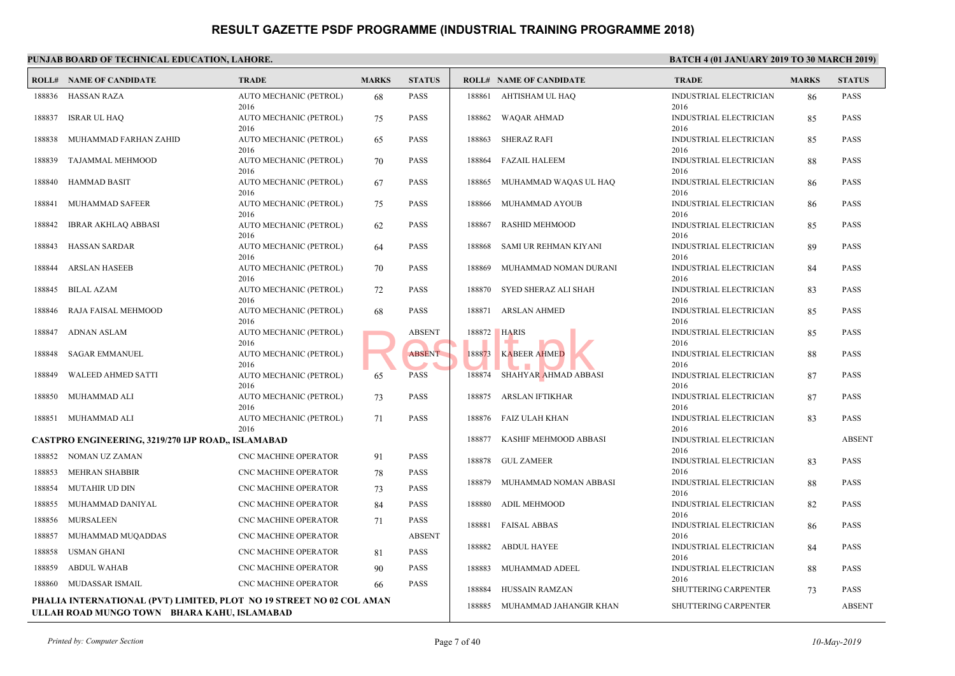|                  | <b>ROLL# NAME OF CANDIDATE</b>                                                                                      | <b>TRADE</b>                                 | <b>MARKS</b>           | <b>STATUS</b>       |        | <b>ROLL# NAME OF CANDIDATE</b> | <b>TRAL</b>                  |
|------------------|---------------------------------------------------------------------------------------------------------------------|----------------------------------------------|------------------------|---------------------|--------|--------------------------------|------------------------------|
|                  | 188836 HASSAN RAZA                                                                                                  | AUTO MECHANIC (PETROL)                       | 68                     | <b>PASS</b>         |        | 188861 AHTISHAM UL HAQ         | <b>INDUS</b>                 |
| 188837           | <b>ISRAR UL HAQ</b>                                                                                                 | 2016<br>AUTO MECHANIC (PETROL)<br>2016       | 75                     | <b>PASS</b>         | 188862 | <b>WAQAR AHMAD</b>             | 2016<br><b>INDUS</b><br>2016 |
| 188838           | MUHAMMAD FARHAN ZAHID                                                                                               | AUTO MECHANIC (PETROL)<br>2016               | 65                     | <b>PASS</b>         | 188863 | <b>SHERAZ RAFI</b>             | <b>INDUS</b><br>2016         |
| 188839           | TAJAMMAL MEHMOOD                                                                                                    | AUTO MECHANIC (PETROL)<br>2016               | 70                     | <b>PASS</b>         | 188864 | <b>FAZAIL HALEEM</b>           | <b>INDUS</b><br>2016         |
| 188840           | <b>HAMMAD BASIT</b>                                                                                                 | AUTO MECHANIC (PETROL)<br>2016               | 67                     | <b>PASS</b>         | 188865 | MUHAMMAD WAQAS UL HAQ          | <b>INDUS</b><br>2016         |
| 188841           | MUHAMMAD SAFEER                                                                                                     | AUTO MECHANIC (PETROL)<br>2016               | 75                     | <b>PASS</b>         | 188866 | MUHAMMAD AYOUB                 | <b>INDUS</b><br>2016         |
| 188842           | IBRAR AKHLAQ ABBASI                                                                                                 | AUTO MECHANIC (PETROL)<br>2016               | 62                     | PASS                | 188867 | RASHID MEHMOOD                 | <b>INDUS</b><br>2016         |
| 188843           | HASSAN SARDAR                                                                                                       | AUTO MECHANIC (PETROL)<br>2016               | 64                     | <b>PASS</b>         | 188868 | SAMI UR REHMAN KIYANI          | <b>INDUS</b><br>2016         |
| 188844           | <b>ARSLAN HASEEB</b>                                                                                                | AUTO MECHANIC (PETROL)<br>2016               | 70                     | <b>PASS</b>         | 188869 | MUHAMMAD NOMAN DURANI          | <b>INDUS</b><br>2016         |
| 188845           | <b>BILAL AZAM</b>                                                                                                   | AUTO MECHANIC (PETROL)<br>2016               | 72                     | <b>PASS</b>         |        | 188870 SYED SHERAZ ALI SHAH    | <b>INDUS</b><br>2016         |
| 188846           | RAJA FAISAL MEHMOOD                                                                                                 | AUTO MECHANIC (PETROL)<br>2016               | 68                     | <b>PASS</b>         |        | 188871 ARSLAN AHMED            | <b>INDUS</b><br>2016         |
| 188847           | <b>ADNAN ASLAM</b>                                                                                                  | AUTO MECHANIC (PETROL)<br>2016               |                        | <b>ABSENT</b>       | 188872 | <b>HARIS</b>                   | <b>INDUS</b><br>2016         |
| 188848           | SAGAR EMMANUEL                                                                                                      | AUTO MECHANIC (PETROL)<br>2016               |                        | <b>ABSENT</b>       | 188873 | <b>KABEER AHMED</b>            | <b>INDUS</b><br>2016         |
| 188849           | WALEED AHMED SATTI                                                                                                  | AUTO MECHANIC (PETROL)<br>2016               | 65                     | <b>PASS</b>         |        | 188874 SHAHYAR AHMAD ABBASI    | <b>INDUS</b><br>2016         |
| 188850           | MUHAMMAD ALI                                                                                                        | AUTO MECHANIC (PETROL)<br>2016               | 73                     | <b>PASS</b>         | 188875 | ARSLAN IFTIKHAR                | <b>INDUS</b><br>2016         |
| 188851           | MUHAMMAD ALI                                                                                                        | AUTO MECHANIC (PETROL)<br>2016               | 71                     | <b>PASS</b>         | 188876 | FAIZ ULAH KHAN                 | <b>INDUS</b><br>2016         |
|                  | CASTPRO ENGINEERING, 3219/270 IJP ROAD,, ISLAMABAD                                                                  |                                              |                        |                     | 188877 | KASHIF MEHMOOD ABBASI          | <b>INDUS</b>                 |
|                  | 188852 NOMAN UZ ZAMAN                                                                                               | <b>CNC MACHINE OPERATOR</b>                  | 91                     | <b>PASS</b>         |        | 188878 GUL ZAMEER              | 2016<br><b>INDUS</b>         |
| 188853<br>188854 | MEHRAN SHABBIR<br><b>MUTAHIR UD DIN</b>                                                                             | CNC MACHINE OPERATOR<br>CNC MACHINE OPERATOR | 78<br>73               | PASS<br><b>PASS</b> | 188879 | MUHAMMAD NOMAN ABBASI          | 2016<br><b>INDUS</b>         |
| 188855           | MUHAMMAD DANIYAL                                                                                                    | CNC MACHINE OPERATOR                         | 84                     | <b>PASS</b>         | 188880 | ADIL MEHMOOD                   | 2016<br><b>INDUS</b>         |
| 188856           | MURSALEEN                                                                                                           | CNC MACHINE OPERATOR                         | 71                     | <b>PASS</b>         |        | 188881 FAISAL ABBAS            | 2016<br><b>INDUS</b>         |
| 188857           | MUHAMMAD MUQADDAS                                                                                                   | CNC MACHINE OPERATOR                         |                        | <b>ABSENT</b>       |        |                                | 2016                         |
| 188858           | <b>USMAN GHANI</b>                                                                                                  | <b>CNC MACHINE OPERATOR</b>                  | 81                     | <b>PASS</b>         |        | 188882 ABDUL HAYEE             | <b>INDUS</b><br>2016         |
| 188859           | <b>ABDUL WAHAB</b>                                                                                                  | CNC MACHINE OPERATOR                         | 90                     | <b>PASS</b>         | 188883 | MUHAMMAD ADEEL                 | <b>INDUS</b>                 |
|                  | 188860 MUDASSAR ISMAIL                                                                                              | CNC MACHINE OPERATOR                         | 66                     | <b>PASS</b>         | 188884 | <b>HUSSAIN RAMZAN</b>          | 2016<br>SHUT <sup>®</sup>    |
|                  | PHALIA INTERNATIONAL (PVT) LIMITED, PLOT NO 19 STREET NO 02 COL AMAN<br>ULLAH ROAD MUNGO TOWN BHARA KAHU, ISLAMABAD | 188885                                       | MUHAMMAD JAHANGIR KHAN | <b>SHUTT</b>        |        |                                |                              |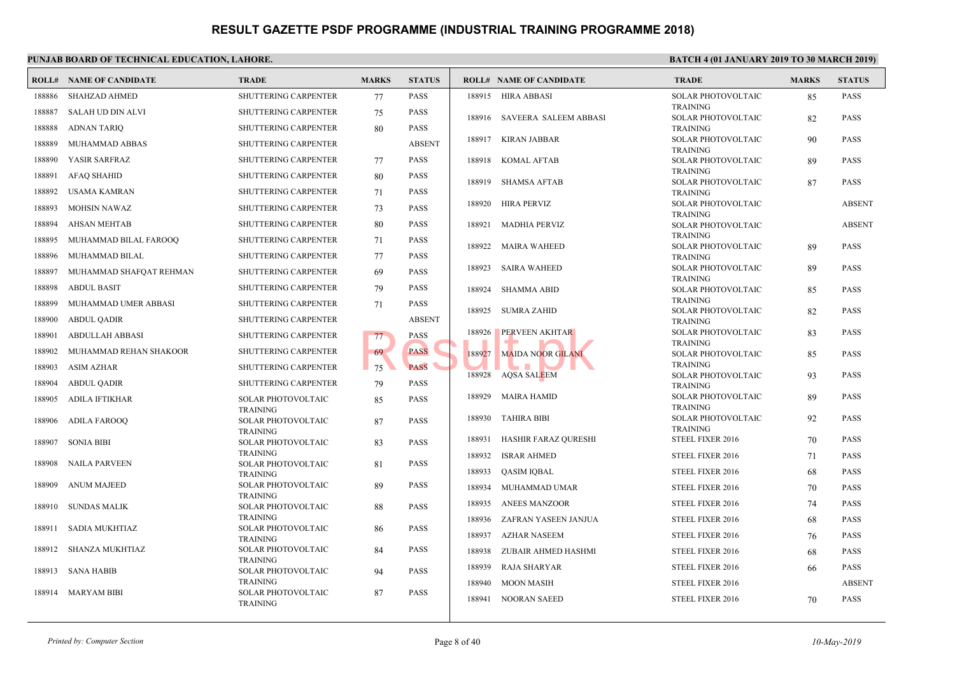|        | <b>ROLL# NAME OF CANDIDATE</b> | <b>TRADE</b>                                 | <b>MARKS</b> | <b>STATUS</b> |        | <b>ROLL# NAME OF CANDIDATE</b> | <b>TRAL</b>                  |
|--------|--------------------------------|----------------------------------------------|--------------|---------------|--------|--------------------------------|------------------------------|
| 188886 | <b>SHAHZAD AHMED</b>           | <b>SHUTTERING CARPENTER</b>                  | 77           | <b>PASS</b>   | 188915 | HIRA ABBASI                    | <b>SOLAI</b>                 |
| 188887 | <b>SALAH UD DIN ALVI</b>       | <b>SHUTTERING CARPENTER</b>                  | 75           | <b>PASS</b>   |        | 188916 SAVEERA SALEEM ABBASI   | <b>TRAIN</b><br><b>SOLAI</b> |
| 188888 | <b>ADNAN TARIQ</b>             | SHUTTERING CARPENTER                         | 80           | <b>PASS</b>   |        |                                | <b>TRAIN</b>                 |
| 188889 | MUHAMMAD ABBAS                 | <b>SHUTTERING CARPENTER</b>                  |              | <b>ABSENT</b> | 188917 | KIRAN JABBAR                   | <b>SOLAI</b>                 |
| 188890 | YASIR SARFRAZ                  | <b>SHUTTERING CARPENTER</b>                  |              | <b>PASS</b>   | 188918 |                                | <b>TRAIN</b><br><b>SOLAI</b> |
|        |                                |                                              | 77           |               |        | KOMAL AFTAB                    | <b>TRAIN</b>                 |
| 188891 | <b>AFAQ SHAHID</b>             | <b>SHUTTERING CARPENTER</b>                  | 80           | <b>PASS</b>   | 188919 | <b>SHAMSA AFTAB</b>            | <b>SOLAI</b>                 |
| 188892 | USAMA KAMRAN                   | <b>SHUTTERING CARPENTER</b>                  | 71           | PASS          |        |                                | <b>TRAIN</b>                 |
| 188893 | <b>MOHSIN NAWAZ</b>            | SHUTTERING CARPENTER                         | 73           | <b>PASS</b>   | 188920 | <b>HIRA PERVIZ</b>             | <b>SOLAI</b><br><b>TRAIN</b> |
| 188894 | <b>AHSAN MEHTAB</b>            | <b>SHUTTERING CARPENTER</b>                  | 80           | <b>PASS</b>   | 188921 | <b>MADHIA PERVIZ</b>           | <b>SOLAI</b>                 |
| 188895 | MUHAMMAD BILAL FAROOQ          | SHUTTERING CARPENTER                         | 71           | <b>PASS</b>   |        |                                | <b>TRAIN</b>                 |
| 188896 | MUHAMMAD BILAL                 | SHUTTERING CARPENTER                         | 77           | <b>PASS</b>   | 188922 | <b>MAIRA WAHEED</b>            | <b>SOLAI</b><br><b>TRAIN</b> |
| 188897 | MUHAMMAD SHAFQAT REHMAN        | <b>SHUTTERING CARPENTER</b>                  | 69           | PASS          | 188923 | <b>SAIRA WAHEED</b>            | <b>SOLAI</b>                 |
| 188898 | <b>ABDUL BASIT</b>             | SHUTTERING CARPENTER                         | 79           | <b>PASS</b>   | 188924 | <b>SHAMMA ABID</b>             | <b>TRAIN</b><br><b>SOLAI</b> |
| 188899 | MUHAMMAD UMER ABBASI           | <b>SHUTTERING CARPENTER</b>                  | 71           | <b>PASS</b>   |        |                                | <b>TRAIN</b>                 |
| 188900 | ABDUL QADIR                    | <b>SHUTTERING CARPENTER</b>                  |              | <b>ABSENT</b> | 188925 | <b>SUMRA ZAHID</b>             | <b>SOLAI</b><br>TRAIN        |
| 188901 | <b>ABDULLAH ABBASI</b>         | SHUTTERING CARPENTER                         | 77           | <b>PASS</b>   | 188926 | <b>PERVEEN AKHTAR</b>          | <b>SOLAI</b>                 |
| 188902 | MUHAMMAD REHAN SHAKOOR         | <b>SHUTTERING CARPENTER</b>                  | 69           | <b>PASS</b>   | 188927 | <b>MAIDA NOOR GILANI</b>       | TRAIN<br><b>SOLAI</b>        |
| 188903 | <b>ASIM AZHAR</b>              | <b>SHUTTERING CARPENTER</b>                  | 75           | <b>PASS</b>   |        |                                | <b>TRAIN</b>                 |
| 188904 | <b>ABDUL QADIR</b>             | <b>SHUTTERING CARPENTER</b>                  | 79           | <b>PASS</b>   | 188928 | AQSA SALEEM                    | <b>SOLAI</b><br><b>TRAIN</b> |
| 188905 | <b>ADILA IFTIKHAR</b>          | SOLAR PHOTOVOLTAIC                           | 85           | <b>PASS</b>   | 188929 | MAIRA HAMID                    | <b>SOLAI</b>                 |
|        |                                | <b>TRAINING</b>                              |              |               |        |                                | <b>TRAIN</b>                 |
| 188906 | <b>ADILA FAROOQ</b>            | SOLAR PHOTOVOLTAIC                           | 87           | <b>PASS</b>   | 188930 | <b>TAHIRA BIBI</b>             | <b>SOLAI</b><br><b>TRAIN</b> |
| 188907 | <b>SONIA BIBI</b>              | <b>TRAINING</b><br>SOLAR PHOTOVOLTAIC        | 83           | <b>PASS</b>   | 188931 | HASHIR FARAZ QURESHI           | <b>STEEL</b>                 |
|        |                                | <b>TRAINING</b>                              |              |               | 188932 | <b>ISRAR AHMED</b>             | <b>STEEL</b>                 |
| 188908 | <b>NAILA PARVEEN</b>           | <b>SOLAR PHOTOVOLTAIC</b><br><b>TRAINING</b> | 81           | <b>PASS</b>   | 188933 | QASIM IQBAL                    | <b>STEEL</b>                 |
| 188909 | <b>ANUM MAJEED</b>             | <b>SOLAR PHOTOVOLTAIC</b>                    | 89           | <b>PASS</b>   | 188934 | MUHAMMAD UMAR                  | <b>STEEL</b>                 |
| 188910 | <b>SUNDAS MALIK</b>            | <b>TRAINING</b><br><b>SOLAR PHOTOVOLTAIC</b> | 88           | <b>PASS</b>   | 188935 | <b>ANEES MANZOOR</b>           | <b>STEEL</b>                 |
|        |                                | <b>TRAINING</b>                              |              |               | 188936 | ZAFRAN YASEEN JANJUA           | <b>STEEL</b>                 |
| 188911 | SADIA MUKHTIAZ                 | SOLAR PHOTOVOLTAIC                           | 86           | <b>PASS</b>   | 188937 | <b>AZHAR NASEEM</b>            | <b>STEEL</b>                 |
| 188912 | SHANZA MUKHTIAZ                | <b>TRAINING</b><br><b>SOLAR PHOTOVOLTAIC</b> | 84           | <b>PASS</b>   | 188938 | ZUBAIR AHMED HASHMI            | <b>STEEL</b>                 |
|        |                                | <b>TRAINING</b>                              |              |               | 188939 |                                | <b>STEEL</b>                 |
| 188913 | SANA HABIB                     | <b>SOLAR PHOTOVOLTAIC</b>                    | 94           | <b>PASS</b>   |        | RAJA SHARYAR                   |                              |
| 188914 | <b>MARYAM BIBI</b>             | <b>TRAINING</b><br><b>SOLAR PHOTOVOLTAIC</b> | 87           | <b>PASS</b>   | 188940 | <b>MOON MASIH</b>              | <b>STEEL</b>                 |
|        |                                | <b>TRAINING</b>                              |              |               | 188941 | NOORAN SAEED                   | <b>STEEL</b>                 |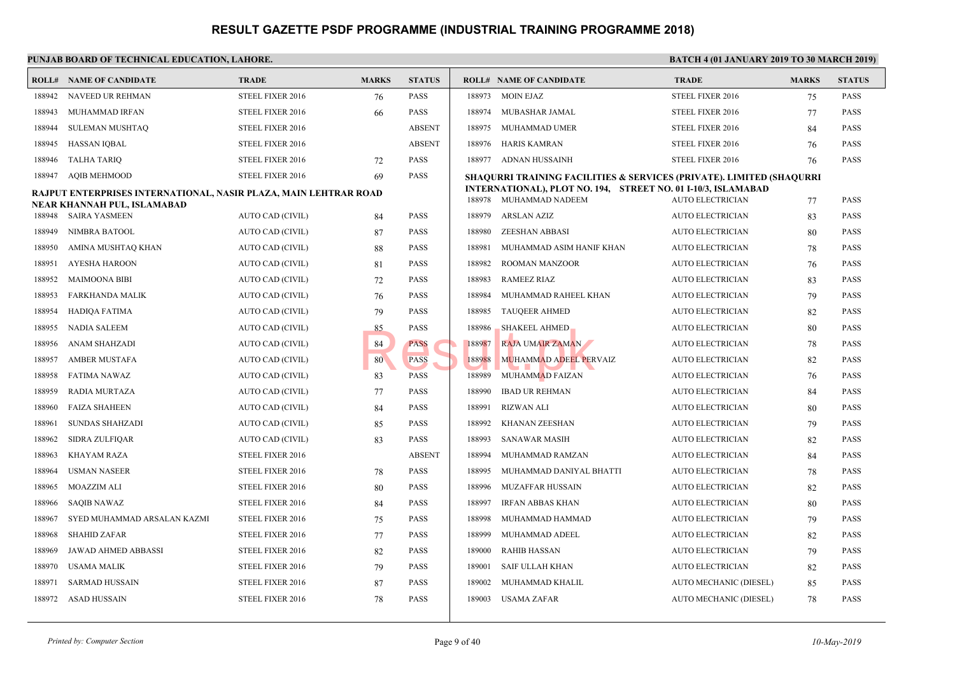#### **PUNJAB BOARD OF TECHNICAL EDUCATION, LAHORE.** BATCH 4 (01 JANUARY 2019) **BATCH 2019 ISLAMUARY 2019 ISLAMUARY 2019 ROLL# NAME OF CANDIDATE TRADE MARKS STATUS ROLL# NAME OF CANDIDATE TRADE MARKS STATUS** 188942 NAVEED UR REHMAN STEEL FIXER 2016 76 PASS 188943 MUHAMMAD IRFAN STEEL FIXER 2016 66 PASS 188944 SULEMAN MUSHTAQ STEEL FIXER 2016 ABSENT 188945 HASSAN IQBAL STEEL FIXER 2016 ABSENT 188946 TALHA TARIQ STEEL FIXER 2016 72 PASS 188947 AQIB MEHMOOD STEEL FIXER 2016 69 PASS **RAJPUT ENTERPRISES INTERNATIONAL, NASIR PLAZA, MAIN LEHTRAR ROAD NEAR KHANNAH PUL, ISLAMABAD** 188948 SAIRA YASMEEN AUTO CAD (CIVIL) 84 PASS 188949 NIMBRA BATOOL AUTO CAD (CIVIL) 87 PASS 188950 AMINA MUSHTAQ KHAN AUTO CAD (CIVIL) 88 PASS 188951 AYESHA HAROON AUTO CAD (CIVIL) 81 PASS 188952 MAIMOONA BIBI AUTO CAD (CIVIL) 72 PASS 188953 FARKHANDA MALIK AUTO CAD (CIVIL) 76 PASS 188954 HADIQA FATIMA AUTO CAD (CIVIL) 79 PASS 188955 NADIA SALEEM AUTO CAD (CIVIL) 85 PASS 188956 ANAM SHAHZADI AUTO CAD (CIVIL) 84 PASS 188957 AMBER MUSTAFA AUTO CAD (CIVIL) 80 PASS 188958 FATIMA NAWAZ AUTO CAD (CIVIL) 83 PASS 188959 RADIA MURTAZA AUTO CAD (CIVIL) 77 PASS 188960 FAIZA SHAHEEN AUTO CAD (CIVIL) 84 PASS 188961 SUNDAS SHAHZADI AUTO CAD (CIVIL) 85 PASS 188962 SIDRA ZULFIQAR AUTO CAD (CIVIL) 83 PASS 188963 KHAYAM RAZA STEEL FIXER 2016 ABSENT 188964 USMAN NASEER STEEL FIXER 2016 78 PASS 188965 MOAZZIM ALI STEEL FIXER 2016 80 PASS 188966 SAQIB NAWAZ STEEL FIXER 2016 84 PASS 188967 SYED MUHAMMAD ARSALAN KAZMI STEEL FIXER 2016 75 PASS 188968 SHAHID ZAFAR STEEL FIXER 2016 77 PASS 188969 JAWAD AHMED ABBASSI STEEL FIXER 2016 82 PASS 188970 USAMA MALIK STEEL FIXER 2016 79 PASS 188971 SARMAD HUSSAIN STEEL FIXER 2016 87 PASS 188972 ASAD HUSSAIN STEEL FIXER 2016 78 PASS 188973 MOIN EJAZ STEEL 188974 MUBASHAR JAMAL STEEL 188975 MUHAMMAD UMER STEEL 188976 HARIS KAMRAN STEEL 188977 ADNAN HUSSAINH STEEL **SHAQURRI TRAINING FACILITIES & SERVICES (PRI INTERNATIONAL), PLOT NO. 194, STREET NO. 01 I-**188978 MUHAMMAD NADEEM AUTO 188979 ARSLAN AZIZ AUTO 188980 ZEESHAN ABBASI AUTO 188981 MUHAMMAD ASIM HANIF KHAN AUTO 188982 ROOMAN MANZOOR AUTO 188983 RAMEEZ RIAZ AUTO 188984 MUHAMMAD RAHEEL KHAN AUTO 188985 TAUQEER AHMED AUTO 188986 SHAKEEL AHMED AUTO 188987 RAJA UMAIR ZAMAN AUTO 1889<mark>88 MUHAMMAD ADEEL PERVAIZ</mark> AUTO 188989 MUHAMMAD FAIZAN AUTO 188990 IBAD UR REHMAN AUTO 188991 RIZWAN ALI AUTO ELECTRICIAN 80 PASS 188992 KHANAN ZEESHAN AUTO 188993 SANAWAR MASIH AUTO 188994 MUHAMMAD RAMZAN AUTO 188995 MUHAMMAD DANIYAL BHATTI AUTO 188996 MUZAFFAR HUSSAIN AUTO 188997 IRFAN ABBAS KHAN AUTO 188998 MUHAMMAD HAMMAD AUTO 188999 MUHAMMAD ADEEL AUTO 189000 RAHIB HASSAN AUTO 189001 SAIF ULLAH KHAN AUTO 189002 MUHAMMAD KHALIL AUTO 189003 USAMA ZAFAR AUTO EXAMPLE BRAID NUTRAIN NO PASS NE RAJA UMAIR ZAMAN NE RAJA UMAIR ZAMAN NE RAJA UMAIR ZAMAN NE RAJA UMAIR ZAMAN NE RESULTAN NE RAJA UMAIR ZAMAN NE RESULTAN NE RAJA UMAIR ZAMAN NE RESULTAN NE RAJA UMAIR ZAMAN NE RESULTAN NE R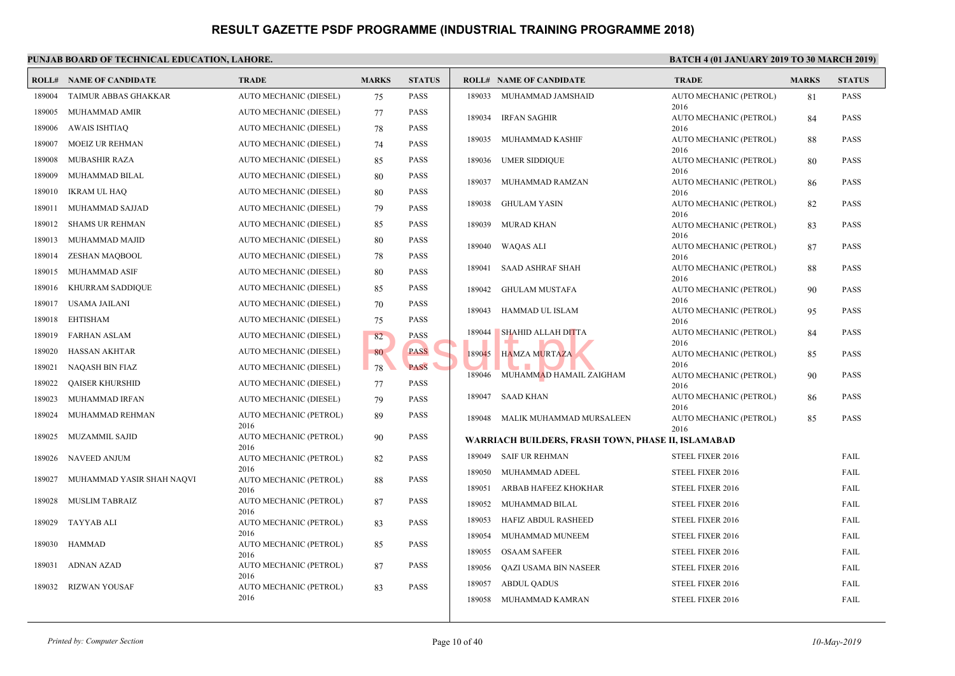| ROLL#  | NAME OF CANDIDATE         | <b>TRADE</b>                   | <b>MARKS</b> | <b>STATUS</b> |        | <b>ROLL# NAME OF CANDIDATE</b>               | <b>TRAL</b>         |
|--------|---------------------------|--------------------------------|--------------|---------------|--------|----------------------------------------------|---------------------|
| 189004 | TAIMUR ABBAS GHAKKAR      | AUTO MECHANIC (DIESEL)         | 75           | <b>PASS</b>   |        | 189033 MUHAMMAD JAMSHAID                     | <b>AUTO</b>         |
| 189005 | MUHAMMAD AMIR             | AUTO MECHANIC (DIESEL)         | 77           | <b>PASS</b>   |        |                                              | 2016                |
| 189006 | <b>AWAIS ISHTIAQ</b>      | AUTO MECHANIC (DIESEL)         | 78           | <b>PASS</b>   |        | 189034 IRFAN SAGHIR                          | <b>AUTO</b><br>2016 |
| 189007 | <b>MOEIZ UR REHMAN</b>    | AUTO MECHANIC (DIESEL)         | 74           | <b>PASS</b>   | 189035 | MUHAMMAD KASHIF                              | <b>AUTO</b>         |
|        |                           |                                |              |               |        |                                              | 2016                |
| 189008 | MUBASHIR RAZA             | AUTO MECHANIC (DIESEL)         | 85           | <b>PASS</b>   |        | 189036 UMER SIDDIQUE                         | <b>AUTO</b>         |
| 189009 | MUHAMMAD BILAL            | AUTO MECHANIC (DIESEL)         | 80           | <b>PASS</b>   | 189037 | MUHAMMAD RAMZAN                              | 2016<br><b>AUTO</b> |
| 189010 | <b>IKRAM UL HAQ</b>       | AUTO MECHANIC (DIESEL)         | 80           | <b>PASS</b>   |        |                                              | 2016                |
| 189011 | MUHAMMAD SAJJAD           | AUTO MECHANIC (DIESEL)         | 79           | <b>PASS</b>   | 189038 | GHULAM YASIN                                 | <b>AUTO</b><br>2016 |
| 189012 | SHAMS UR REHMAN           | AUTO MECHANIC (DIESEL)         | 85           | <b>PASS</b>   | 189039 | MURAD KHAN                                   | <b>AUTO</b>         |
| 189013 | MUHAMMAD MAJID            | AUTO MECHANIC (DIESEL)         | 80           | <b>PASS</b>   |        |                                              | 2016                |
|        |                           |                                |              |               | 189040 | WAQAS ALI                                    | <b>AUTO</b>         |
| 189014 | ZESHAN MAQBOOL            | AUTO MECHANIC (DIESEL)         | 78           | <b>PASS</b>   | 189041 | SAAD ASHRAF SHAH                             | 2016<br><b>AUTO</b> |
| 189015 | MUHAMMAD ASIF             | AUTO MECHANIC (DIESEL)         | 80           | <b>PASS</b>   |        |                                              | 2016                |
| 189016 | KHURRAM SADDIQUE          | AUTO MECHANIC (DIESEL)         | 85           | <b>PASS</b>   | 189042 | GHULAM MUSTAFA                               | <b>AUTO</b>         |
| 189017 | USAMA JAILANI             | AUTO MECHANIC (DIESEL)         | 70           | <b>PASS</b>   | 189043 | HAMMAD UL ISLAM                              | 2016<br><b>AUTO</b> |
| 189018 | <b>EHTISHAM</b>           | AUTO MECHANIC (DIESEL)         | 75           | <b>PASS</b>   |        |                                              | 2016                |
| 189019 | <b>FARHAN ASLAM</b>       | AUTO MECHANIC (DIESEL)         | 82           | <b>PASS</b>   | 189044 | <b>SHAHID ALLAH DITTA</b>                    | <b>AUTO</b>         |
| 189020 | <b>HASSAN AKHTAR</b>      | AUTO MECHANIC (DIESEL)         | 80           | <b>PASS</b>   | 189045 | <b>HAMZA MURTAZA</b>                         | 2016<br><b>AUTO</b> |
| 189021 | NAQASH BIN FIAZ           | AUTO MECHANIC (DIESEL)         | 78           | PASS          |        |                                              | 2016                |
|        |                           |                                |              |               |        | 189046 MUHAMMAD HAMAIL ZAIGHAM               | <b>AUTO</b>         |
| 189022 | <b>QAISER KHURSHID</b>    | AUTO MECHANIC (DIESEL)         | 77           | <b>PASS</b>   |        |                                              | 2016                |
| 189023 | MUHAMMAD IRFAN            | AUTO MECHANIC (DIESEL)         | 79           | <b>PASS</b>   | 189047 | SAAD KHAN                                    | <b>AUTO</b><br>2016 |
| 189024 | MUHAMMAD REHMAN           | AUTO MECHANIC (PETROL)         | 89           | <b>PASS</b>   |        | 189048 MALIK MUHAMMAD MURSALEEN              | <b>AUTO</b>         |
| 189025 | <b>MUZAMMIL SAJID</b>     | 2016<br>AUTO MECHANIC (PETROL) | 90           | <b>PASS</b>   |        |                                              | 2016                |
|        |                           | 2016                           |              |               |        | WARRIACH BUILDERS, FRASH TOWN, PHASE II, ISL |                     |
| 189026 | NAVEED ANJUM              | AUTO MECHANIC (PETROL)         | 82           | <b>PASS</b>   |        | 189049 SAIF UR REHMAN                        | <b>STEEL</b>        |
| 189027 | MUHAMMAD YASIR SHAH NAQVI | 2016<br>AUTO MECHANIC (PETROL) | 88           | <b>PASS</b>   | 189050 | MUHAMMAD ADEEL                               | <b>STEEL</b>        |
|        |                           | 2016                           |              |               | 189051 | ARBAB HAFEEZ KHOKHAR                         | <b>STEEL</b>        |
| 189028 | MUSLIM TABRAIZ            | AUTO MECHANIC (PETROL)         | 87           | <b>PASS</b>   | 189052 | MUHAMMAD BILAL                               | <b>STEEL</b>        |
| 189029 | TAYYAB ALI                | 2016<br>AUTO MECHANIC (PETROL) | 83           | <b>PASS</b>   | 189053 | HAFIZ ABDUL RASHEED                          | <b>STEEL</b>        |
|        |                           | 2016                           |              |               | 189054 | MUHAMMAD MUNEEM                              | <b>STEEL</b>        |
| 189030 | HAMMAD                    | AUTO MECHANIC (PETROL)         | 85           | <b>PASS</b>   |        |                                              |                     |
|        |                           | 2016<br>AUTO MECHANIC (PETROL) |              |               | 189055 | <b>OSAAM SAFEER</b>                          | <b>STEEL</b>        |
| 189031 | ADNAN AZAD                | 2016                           | 87           | <b>PASS</b>   | 189056 | QAZI USAMA BIN NASEER                        | <b>STEEL</b>        |
| 189032 | <b>RIZWAN YOUSAF</b>      | AUTO MECHANIC (PETROL)         | 83           | <b>PASS</b>   | 189057 | ABDUL QADUS                                  | <b>STEEL</b>        |
|        |                           | 2016                           |              |               | 189058 | MUHAMMAD KAMRAN                              | <b>STEEL</b>        |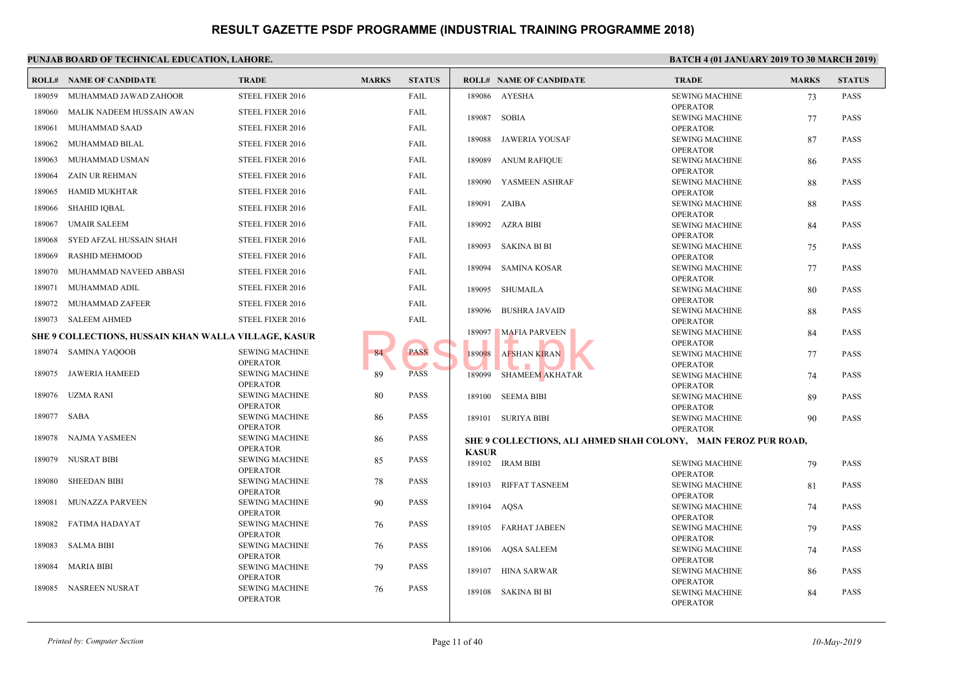|             | <b>ROLL# NAME OF CANDIDATE</b>                              | <b>TRADE</b>                             | <b>MARKS</b> | <b>STATUS</b> |              | <b>ROLL# NAME OF CANDIDATE</b>            | <b>TRAL</b>           |
|-------------|-------------------------------------------------------------|------------------------------------------|--------------|---------------|--------------|-------------------------------------------|-----------------------|
| 189059      | MUHAMMAD JAWAD ZAHOOR                                       | STEEL FIXER 2016                         |              | FAIL          |              | 189086 AYESHA                             | <b>SEWIN</b>          |
| 189060      | MALIK NADEEM HUSSAIN AWAN                                   | STEEL FIXER 2016                         |              | FAIL          |              |                                           | OPER/                 |
| 189061      | MUHAMMAD SAAD                                               | STEEL FIXER 2016                         |              | FAIL          | 189087       | SOBIA                                     | <b>SEWIN</b><br>OPER/ |
|             |                                                             |                                          |              |               | 189088       | JAWERIA YOUSAF                            | <b>SEWIN</b>          |
| 189062      | MUHAMMAD BILAL                                              | STEEL FIXER 2016                         |              | FAIL          |              |                                           | OPER/                 |
| 189063      | MUHAMMAD USMAN                                              | STEEL FIXER 2016                         |              | FAIL          | 189089       | ANUM RAFIQUE                              | <b>SEWIN</b>          |
| 189064      | <b>ZAIN UR REHMAN</b>                                       | STEEL FIXER 2016                         |              | FAIL          | 189090       | YASMEEN ASHRAF                            | OPER/<br><b>SEWIN</b> |
| 189065      | <b>HAMID MUKHTAR</b>                                        | STEEL FIXER 2016                         |              | FAIL          |              |                                           | OPER/                 |
| 189066      | <b>SHAHID IQBAL</b>                                         | STEEL FIXER 2016                         |              | FAIL          | 189091       | ZAIBA                                     | <b>SEWIN</b>          |
| 189067      | <b>UMAIR SALEEM</b>                                         | STEEL FIXER 2016                         |              | FAIL          | 189092       | AZRA BIBI                                 | OPER/<br><b>SEWIN</b> |
|             |                                                             |                                          |              |               |              |                                           | OPER/                 |
| 189068      | SYED AFZAL HUSSAIN SHAH                                     | STEEL FIXER 2016                         |              | FAIL          | 189093       | SAKINA BI BI                              | <b>SEWIN</b>          |
| 189069      | <b>RASHID MEHMOOD</b>                                       | STEEL FIXER 2016                         |              | FAIL          |              |                                           | OPER/                 |
| 189070      | MUHAMMAD NAVEED ABBASI                                      | STEEL FIXER 2016                         |              | FAIL          | 189094       | SAMINA KOSAR                              | <b>SEWIN</b><br>OPER/ |
| 189071      | MUHAMMAD ADIL                                               | STEEL FIXER 2016                         |              | FAIL          |              | 189095 SHUMAILA                           | <b>SEWIN</b>          |
| 189072      | <b>MUHAMMAD ZAFEER</b>                                      | STEEL FIXER 2016                         |              | FAIL          |              |                                           | OPER/                 |
| 189073      | <b>SALEEM AHMED</b>                                         | STEEL FIXER 2016                         |              | FAIL          | 189096       | <b>BUSHRA JAVAID</b>                      | <b>SEWIN</b><br>OPER/ |
|             |                                                             |                                          |              |               | 189097       | <b>MAFIA PARVEEN</b>                      | <b>SEWIN</b>          |
|             | <b>SHE 9 COLLECTIONS, HUSSAIN KHAN WALLA VILLAGE, KASUR</b> |                                          |              |               |              |                                           | OPER/                 |
|             | 189074 SAMINA YAQOOB                                        | <b>SEWING MACHINE</b>                    | 84           | <b>PASS</b>   | 189098       | <b>AFSHAN KIRAN</b>                       | <b>SEWIN</b>          |
| 189075      | JAWERIA HAMEED                                              | <b>OPERATOR</b><br><b>SEWING MACHINE</b> | 89           | <b>PASS</b>   | 189099       | <b>SHAMEEM AKHATAR</b>                    | OPER/<br><b>SEWIN</b> |
|             |                                                             | <b>OPERATOR</b>                          |              |               |              |                                           | OPER/                 |
|             | 189076 UZMA RANI                                            | <b>SEWING MACHINE</b>                    | 80           | PASS          |              | 189100 SEEMA BIBI                         | <b>SEWIN</b>          |
|             |                                                             | <b>OPERATOR</b>                          |              |               |              |                                           | OPER/                 |
| 189077 SABA |                                                             | <b>SEWING MACHINE</b><br><b>OPERATOR</b> | 86           | <b>PASS</b>   |              | 189101 SURIYA BIBI                        | <b>SEWIN</b><br>OPER/ |
| 189078      | NAJMA YASMEEN                                               | <b>SEWING MACHINE</b>                    | 86           | PASS          |              | SHE 9 COLLECTIONS, ALI AHMED SHAH COLONY, |                       |
|             |                                                             | <b>OPERATOR</b>                          |              |               | <b>KASUR</b> |                                           |                       |
| 189079      | <b>NUSRAT BIBI</b>                                          | <b>SEWING MACHINE</b>                    | 85           | <b>PASS</b>   |              | 189102 IRAM BIBI                          | <b>SEWIN</b>          |
| 189080      | <b>SHEEDAN BIBI</b>                                         | <b>OPERATOR</b><br><b>SEWING MACHINE</b> | 78           | <b>PASS</b>   |              |                                           | OPER/                 |
|             |                                                             | <b>OPERATOR</b>                          |              |               | 189103       | RIFFAT TASNEEM                            | <b>SEWIN</b>          |
| 189081      | MUNAZZA PARVEEN                                             | <b>SEWING MACHINE</b>                    | 90           | PASS          | 189104       | AQSA                                      | OPER/<br><b>SEWIN</b> |
|             |                                                             | <b>OPERATOR</b>                          |              |               |              |                                           | OPER/                 |
| 189082      | FATIMA HADAYAT                                              | <b>SEWING MACHINE</b><br><b>OPERATOR</b> | 76           | PASS          |              | 189105 FARHAT JABEEN                      | <b>SEWIN</b>          |
| 189083      | <b>SALMA BIBI</b>                                           | <b>SEWING MACHINE</b>                    | 76           | PASS          |              |                                           | OPER/                 |
|             |                                                             | <b>OPERATOR</b>                          |              |               |              | 189106 AQSA SALEEM                        | <b>SEWIN</b><br>OPER/ |
| 189084      | <b>MARIA BIBI</b>                                           | <b>SEWING MACHINE</b>                    | 79           | <b>PASS</b>   |              | 189107 HINA SARWAR                        | <b>SEWIN</b>          |
|             |                                                             | <b>OPERATOR</b>                          |              |               |              |                                           | OPER/                 |
| 189085      | NASREEN NUSRAT                                              | <b>SEWING MACHINE</b><br><b>OPERATOR</b> | 76           | PASS          |              | 189108 SAKINA BI BI                       | <b>SEWIN</b>          |
|             |                                                             |                                          |              |               |              |                                           | OPER/                 |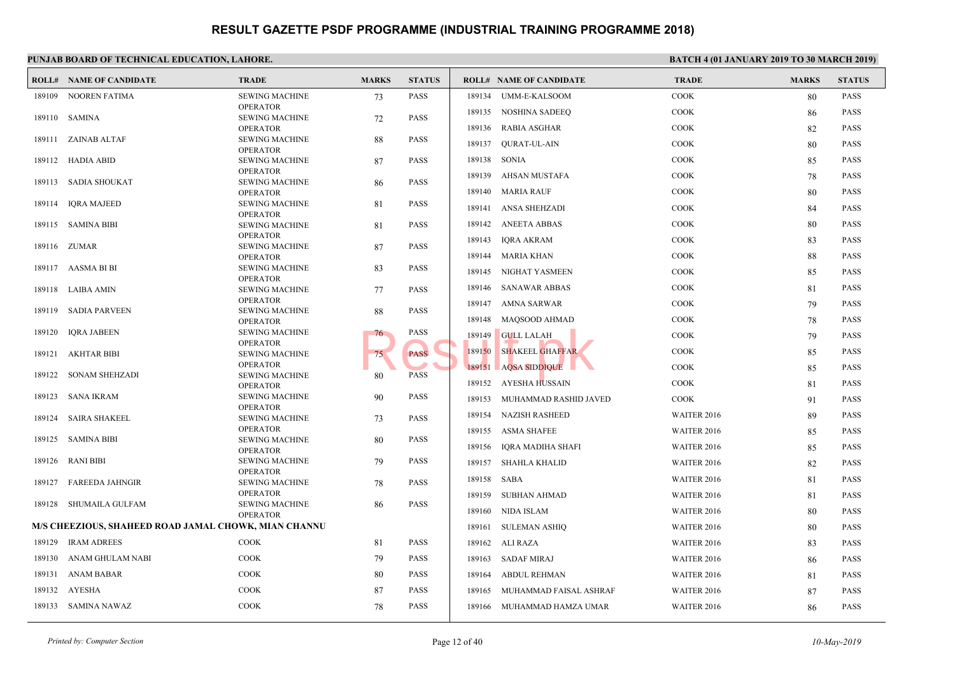|        | <b>ROLL# NAME OF CANDIDATE</b>                       | <b>TRADE</b>                             | <b>MARKS</b> | <b>STATUS</b> |        | <b>ROLL# NAME OF CANDIDATE</b> | <b>TRAL</b>  |
|--------|------------------------------------------------------|------------------------------------------|--------------|---------------|--------|--------------------------------|--------------|
| 189109 | NOOREN FATIMA                                        | <b>SEWING MACHINE</b>                    | 73           | PASS          | 189134 | UMM-E-KALSOOM                  | COOK         |
|        |                                                      | <b>OPERATOR</b>                          |              |               | 189135 | <b>NOSHINA SADEEQ</b>          | COOK         |
|        | 189110 SAMINA                                        | <b>SEWING MACHINE</b><br><b>OPERATOR</b> | 72           | <b>PASS</b>   | 189136 | RABIA ASGHAR                   | COOK         |
|        | 189111 ZAINAB ALTAF                                  | <b>SEWING MACHINE</b>                    | 88           | <b>PASS</b>   |        |                                |              |
|        |                                                      | <b>OPERATOR</b>                          |              |               | 189137 | QURAT-UL-AIN                   | COOK         |
|        | 189112 HADIA ABID                                    | <b>SEWING MACHINE</b>                    | 87           | <b>PASS</b>   | 189138 | SONIA                          | <b>COOK</b>  |
| 189113 | SADIA SHOUKAT                                        | <b>OPERATOR</b><br><b>SEWING MACHINE</b> | 86           | <b>PASS</b>   |        | 189139 AHSAN MUSTAFA           | COOK         |
|        |                                                      | <b>OPERATOR</b>                          |              |               |        | 189140 MARIA RAUF              | COOK         |
| 189114 | IQRA MAJEED                                          | <b>SEWING MACHINE</b>                    | 81           | <b>PASS</b>   | 189141 | ANSA SHEHZADI                  | COOK         |
|        |                                                      | <b>OPERATOR</b>                          |              |               |        |                                |              |
|        | 189115 SAMINA BIBI                                   | <b>SEWING MACHINE</b>                    | 81           | <b>PASS</b>   |        | 189142 ANEETA ABBAS            | COOK         |
|        | 189116 ZUMAR                                         | <b>OPERATOR</b><br><b>SEWING MACHINE</b> | 87           | <b>PASS</b>   | 189143 | <b>IQRA AKRAM</b>              | <b>COOK</b>  |
|        |                                                      | <b>OPERATOR</b>                          |              |               |        | 189144 MARIA KHAN              | <b>COOK</b>  |
|        | 189117 AASMA BI BI                                   | <b>SEWING MACHINE</b>                    | 83           | <b>PASS</b>   |        | 189145 NIGHAT YASMEEN          | <b>COOK</b>  |
|        |                                                      | <b>OPERATOR</b>                          |              |               |        |                                |              |
|        | 189118 LAIBA AMIN                                    | <b>SEWING MACHINE</b>                    | 77           | <b>PASS</b>   |        | 189146 SANAWAR ABBAS           | <b>COOK</b>  |
|        | 189119 SADIA PARVEEN                                 | <b>OPERATOR</b><br><b>SEWING MACHINE</b> | 88           | <b>PASS</b>   |        | 189147 AMNA SARWAR             | COOK         |
|        |                                                      | <b>OPERATOR</b>                          |              |               |        | 189148 MAOSOOD AHMAD           | <b>COOK</b>  |
| 189120 | <b>IQRA JABEEN</b>                                   | <b>SEWING MACHINE</b>                    | 76           | PASS          | 189149 | <b>GULL LALAH</b>              | <b>COOK</b>  |
|        |                                                      | <b>OPERATOR</b>                          |              | <b>PASS</b>   | 189150 | <b>SHAKEEL GHAFFAR</b>         | <b>COOK</b>  |
| 189121 | <b>AKHTAR BIBI</b>                                   | <b>SEWING MACHINE</b><br><b>OPERATOR</b> | 75           |               |        |                                |              |
| 189122 | SONAM SHEHZADI                                       | <b>SEWING MACHINE</b>                    | 80           | <b>PASS</b>   |        | 189151 AQSA SIDDIQUE           | <b>COOK</b>  |
|        |                                                      | <b>OPERATOR</b>                          |              |               |        | 189152 AYESHA HUSSAIN          | <b>COOK</b>  |
| 189123 | <b>SANA IKRAM</b>                                    | <b>SEWING MACHINE</b>                    | 90           | <b>PASS</b>   | 189153 | MUHAMMAD RASHID JAVED          | COOK         |
| 189124 | <b>SAIRA SHAKEEL</b>                                 | <b>OPERATOR</b><br><b>SEWING MACHINE</b> | 73           | <b>PASS</b>   | 189154 | <b>NAZISH RASHEED</b>          | <b>WAITE</b> |
|        |                                                      | <b>OPERATOR</b>                          |              |               |        | 189155 ASMA SHAFEE             | <b>WAITH</b> |
| 189125 | <b>SAMINA BIBI</b>                                   | <b>SEWING MACHINE</b>                    | 80           | <b>PASS</b>   |        |                                |              |
|        |                                                      | <b>OPERATOR</b>                          |              |               | 189156 | IQRA MADIHA SHAFI              | <b>WAITE</b> |
| 189126 | RANI BIBI                                            | <b>SEWING MACHINE</b><br><b>OPERATOR</b> | 79           | <b>PASS</b>   | 189157 | SHAHLA KHALID                  | WAITI        |
| 189127 | <b>FAREEDA JAHNGIR</b>                               | <b>SEWING MACHINE</b>                    | 78           | <b>PASS</b>   | 189158 | SABA                           | WAITI        |
|        |                                                      | <b>OPERATOR</b>                          |              |               |        | 189159 SUBHAN AHMAD            | <b>WAITI</b> |
| 189128 | SHUMAILA GULFAM                                      | <b>SEWING MACHINE</b>                    | 86           | <b>PASS</b>   |        | 189160 NIDA ISLAM              | <b>WAITI</b> |
|        |                                                      | <b>OPERATOR</b>                          |              |               |        |                                |              |
|        | M/S CHEEZIOUS, SHAHEED ROAD JAMAL CHOWK, MIAN CHANNU |                                          |              |               | 189161 | <b>SULEMAN ASHIQ</b>           | <b>WAITI</b> |
| 189129 | <b>IRAM ADREES</b>                                   | <b>COOK</b>                              | 81           | <b>PASS</b>   |        | 189162 ALI RAZA                | <b>WAITE</b> |
| 189130 | ANAM GHULAM NABI                                     | COOK                                     | 79           | PASS          |        | 189163 SADAF MIRAJ             | <b>WAITI</b> |
| 189131 | ANAM BABAR                                           | COOK                                     | 80           | <b>PASS</b>   | 189164 | ABDUL REHMAN                   | WAITI        |
| 189132 | <b>AYESHA</b>                                        | COOK                                     | 87           | PASS          | 189165 | MUHAMMAD FAISAL ASHRAF         | WAITI        |
|        | 189133 SAMINA NAWAZ                                  | COOK                                     | 78           | <b>PASS</b>   |        | 189166 MUHAMMAD HAMZA UMAR     | <b>WAITI</b> |
|        |                                                      |                                          |              |               |        |                                |              |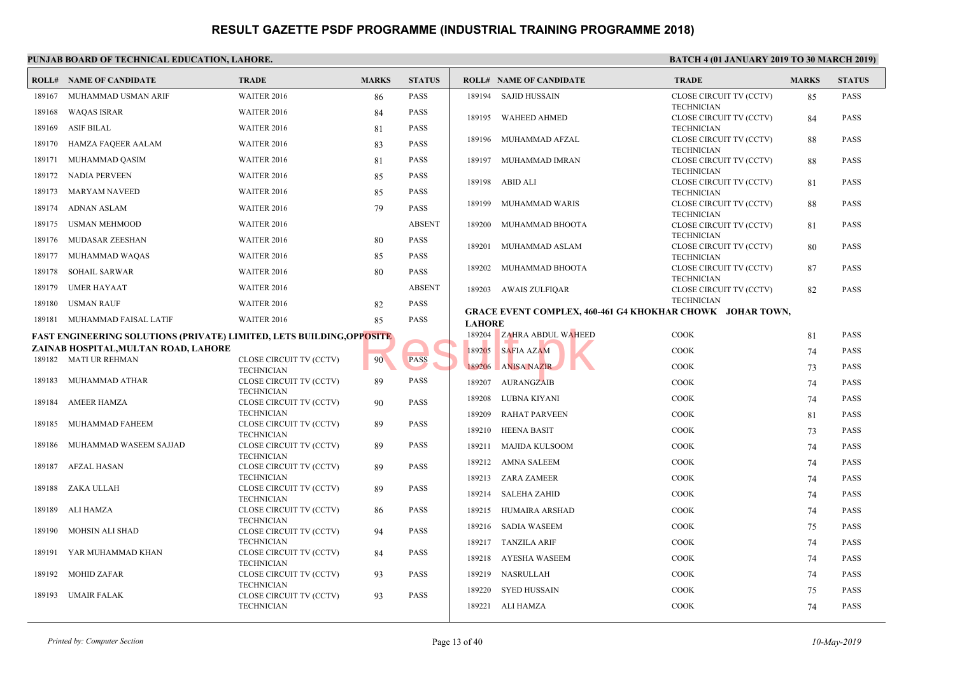|        | t chomb bomb of Technical EbechTion, Emploi                                  |                                              |              |               |               |                                                   | .                            |
|--------|------------------------------------------------------------------------------|----------------------------------------------|--------------|---------------|---------------|---------------------------------------------------|------------------------------|
|        | <b>ROLL# NAME OF CANDIDATE</b>                                               | <b>TRADE</b>                                 | <b>MARKS</b> | <b>STATUS</b> |               | <b>ROLL# NAME OF CANDIDATE</b>                    | TRAD                         |
| 189167 | MUHAMMAD USMAN ARIF                                                          | <b>WAITER 2016</b>                           | 86           | <b>PASS</b>   |               | 189194 SAJID HUSSAIN                              | <b>CLOSE</b>                 |
| 189168 | <b>WAQAS ISRAR</b>                                                           | WAITER 2016                                  | 84           | <b>PASS</b>   |               |                                                   | <b>TECHI</b>                 |
| 189169 | <b>ASIF BILAL</b>                                                            | <b>WAITER 2016</b>                           | 81           | <b>PASS</b>   |               | 189195 WAHEED AHMED                               | <b>CLOSE</b><br><b>TECHI</b> |
|        |                                                                              |                                              |              |               |               | 189196 MUHAMMAD AFZAL                             | <b>CLOSE</b>                 |
| 189170 | HAMZA FAQEER AALAM                                                           | <b>WAITER 2016</b>                           | 83           | <b>PASS</b>   |               |                                                   | <b>TECHI</b>                 |
| 189171 | MUHAMMAD QASIM                                                               | WAITER 2016                                  | 81           | <b>PASS</b>   |               | 189197 MUHAMMAD IMRAN                             | <b>CLOSE</b>                 |
|        | 189172 NADIA PERVEEN                                                         | <b>WAITER 2016</b>                           | 85           | <b>PASS</b>   |               | 189198 ABID ALI                                   | <b>TECHN</b><br><b>CLOSE</b> |
|        | 189173 MARYAM NAVEED                                                         | <b>WAITER 2016</b>                           | 85           | <b>PASS</b>   |               |                                                   | <b>TECHI</b>                 |
| 189174 | <b>ADNAN ASLAM</b>                                                           | <b>WAITER 2016</b>                           | 79           | <b>PASS</b>   |               | 189199 MUHAMMAD WARIS                             | <b>CLOSE</b>                 |
| 189175 | <b>USMAN MEHMOOD</b>                                                         | WAITER 2016                                  |              | <b>ABSENT</b> | 189200        | MUHAMMAD BHOOTA                                   | <b>TECHI</b><br><b>CLOSE</b> |
| 189176 | MUDASAR ZEESHAN                                                              | WAITER 2016                                  | 80           | <b>PASS</b>   |               |                                                   | <b>TECHN</b>                 |
|        |                                                                              |                                              |              |               | 189201        | MUHAMMAD ASLAM                                    | <b>CLOSE</b>                 |
| 189177 | MUHAMMAD WAQAS                                                               | <b>WAITER 2016</b>                           | 85           | <b>PASS</b>   |               | 189202 MUHAMMAD BHOOTA                            | <b>TECHN</b><br><b>CLOSE</b> |
| 189178 | SOHAIL SARWAR                                                                | <b>WAITER 2016</b>                           | 80           | <b>PASS</b>   |               |                                                   | <b>TECHN</b>                 |
| 189179 | <b>UMER HAYAAT</b>                                                           | WAITER 2016                                  |              | <b>ABSENT</b> |               | 189203 AWAIS ZULFIQAR                             | <b>CLOSE</b>                 |
| 189180 | <b>USMAN RAUF</b>                                                            | <b>WAITER 2016</b>                           | 82           | <b>PASS</b>   |               | <b>GRACE EVENT COMPLEX, 460-461 G4 KHOKHAR CH</b> | <b>TECHN</b>                 |
|        | 189181 MUHAMMAD FAISAL LATIF                                                 | WAITER 2016                                  | 85           | <b>PASS</b>   | <b>LAHORE</b> |                                                   |                              |
|        | <b>FAST ENGINEERING SOLUTIONS (PRIVATE) LIMITED, LETS BUILDING, OPPOSITE</b> |                                              |              |               |               | 189204 ZAHRA ABDUL WAHEED                         | COOK                         |
|        | ZAINAB HOSPITAL,MULTAN ROAD, LAHORE                                          |                                              |              |               | 189205        | <b>SAFIA AZAM</b>                                 | COOK                         |
|        | 189182 MATI UR REHMAN                                                        | CLOSE CIRCUIT TV (CCTV)                      | 90           | <b>PASS</b>   |               | 189206 ANISA NAZIR                                | <b>COOK</b>                  |
| 189183 | MUHAMMAD ATHAR                                                               | <b>TECHNICIAN</b><br>CLOSE CIRCUIT TV (CCTV) | 89           | <b>PASS</b>   |               | 189207 AURANGZAIB                                 | <b>COOK</b>                  |
|        |                                                                              | <b>TECHNICIAN</b>                            |              |               |               |                                                   |                              |
| 189184 | <b>AMEER HAMZA</b>                                                           | CLOSE CIRCUIT TV (CCTV)                      | 90           | <b>PASS</b>   | 189208        | LUBNA KIYANI                                      | <b>COOK</b>                  |
| 189185 | MUHAMMAD FAHEEM                                                              | <b>TECHNICIAN</b>                            |              | <b>PASS</b>   | 189209        | <b>RAHAT PARVEEN</b>                              | <b>COOK</b>                  |
|        |                                                                              | CLOSE CIRCUIT TV (CCTV)<br><b>TECHNICIAN</b> | 89           |               |               | 189210 HEENA BASIT                                | <b>COOK</b>                  |
| 189186 | MUHAMMAD WASEEM SAJJAD                                                       | CLOSE CIRCUIT TV (CCTV)                      | 89           | <b>PASS</b>   | 189211        | MAJIDA KULSOOM                                    | <b>COOK</b>                  |
| 189187 | AFZAL HASAN                                                                  | <b>TECHNICIAN</b><br>CLOSE CIRCUIT TV (CCTV) | 89           | <b>PASS</b>   |               | 189212 AMNA SALEEM                                | <b>COOK</b>                  |
|        |                                                                              | <b>TECHNICIAN</b>                            |              |               |               | 189213 ZARA ZAMEER                                | <b>COOK</b>                  |
| 189188 | ZAKA ULLAH                                                                   | CLOSE CIRCUIT TV (CCTV)                      | 89           | <b>PASS</b>   |               | 189214 SALEHA ZAHID                               | <b>COOK</b>                  |
| 189189 | ALI HAMZA                                                                    | <b>TECHNICIAN</b><br>CLOSE CIRCUIT TV (CCTV) | 86           | <b>PASS</b>   |               | 189215 HUMAIRA ARSHAD                             | <b>COOK</b>                  |
|        |                                                                              | <b>TECHNICIAN</b>                            |              |               |               |                                                   |                              |
| 189190 | MOHSIN ALI SHAD                                                              | CLOSE CIRCUIT TV (CCTV)                      | 94           | <b>PASS</b>   |               | 189216 SADIA WASEEM                               | <b>COOK</b>                  |
| 189191 | YAR MUHAMMAD KHAN                                                            | <b>TECHNICIAN</b><br>CLOSE CIRCUIT TV (CCTV) | 84           | <b>PASS</b>   |               | 189217 TANZILA ARIF                               | COOK                         |
|        |                                                                              | <b>TECHNICIAN</b>                            |              |               |               | 189218 AYESHA WASEEM                              | COOK                         |
|        | 189192 MOHID ZAFAR                                                           | CLOSE CIRCUIT TV (CCTV)                      | 93           | <b>PASS</b>   |               | 189219 NASRULLAH                                  | COOK                         |
| 189193 | <b>UMAIR FALAK</b>                                                           | <b>TECHNICIAN</b><br>CLOSE CIRCUIT TV (CCTV) | 93           | <b>PASS</b>   | 189220        | SYED HUSSAIN                                      | COOK                         |
|        |                                                                              | <b>TECHNICIAN</b>                            |              |               |               | 189221 ALI HAMZA                                  | <b>COOK</b>                  |
|        |                                                                              |                                              |              |               |               |                                                   |                              |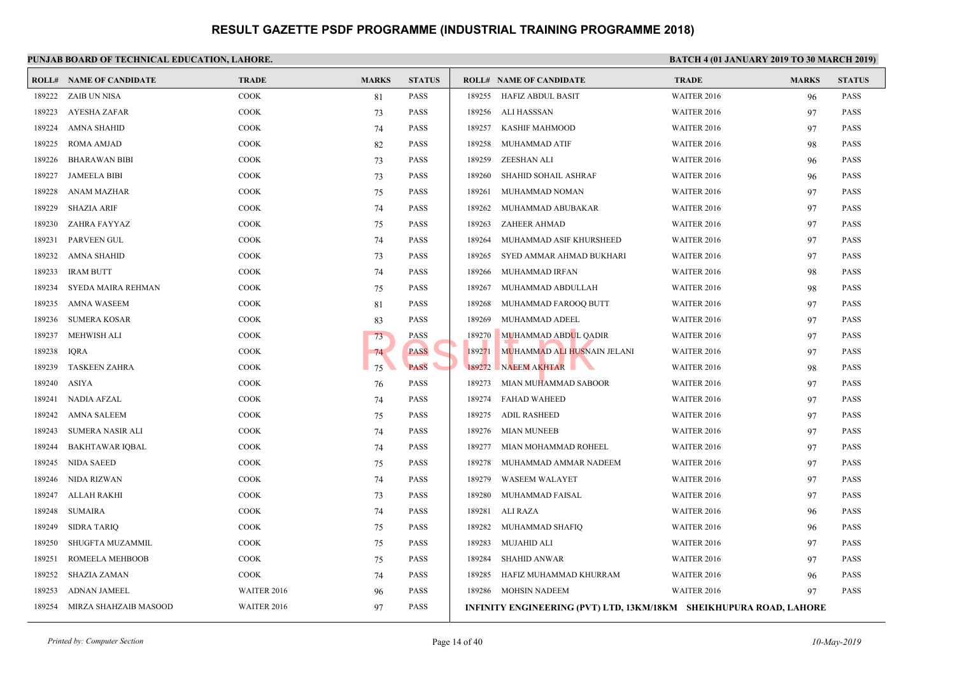|        | <b>ROLL# NAME OF CANDIDATE</b> | <b>TRADE</b> | <b>MARKS</b> | <b>STATUS</b> |        | <b>ROLL# NAME OF CANDIDATE</b>               | <b>TRAL</b>  |
|--------|--------------------------------|--------------|--------------|---------------|--------|----------------------------------------------|--------------|
| 189222 | ZAIB UN NISA                   | <b>COOK</b>  | 81           | <b>PASS</b>   | 189255 | HAFIZ ABDUL BASIT                            | WAITI        |
| 189223 | AYESHA ZAFAR                   | <b>COOK</b>  | 73           | <b>PASS</b>   | 189256 | ALI HASSSAN                                  | <b>WAITI</b> |
| 189224 | <b>AMNA SHAHID</b>             | <b>COOK</b>  | 74           | <b>PASS</b>   | 189257 | <b>KASHIF MAHMOOD</b>                        | <b>WAITI</b> |
| 189225 | ROMA AMJAD                     | <b>COOK</b>  | 82           | <b>PASS</b>   | 189258 | MUHAMMAD ATIF                                | WAITI        |
| 189226 | <b>BHARAWAN BIBI</b>           | <b>COOK</b>  | 73           | <b>PASS</b>   | 189259 | ZEESHAN ALI                                  | <b>WAITI</b> |
| 189227 | <b>JAMEELA BIBI</b>            | <b>COOK</b>  | 73           | <b>PASS</b>   | 189260 | SHAHID SOHAIL ASHRAF                         | <b>WAITI</b> |
| 189228 | ANAM MAZHAR                    | <b>COOK</b>  | 75           | <b>PASS</b>   | 189261 | MUHAMMAD NOMAN                               | <b>WAITI</b> |
| 189229 | <b>SHAZIA ARIF</b>             | <b>COOK</b>  | 74           | PASS          | 189262 | MUHAMMAD ABUBAKAR                            | <b>WAITI</b> |
| 189230 | ZAHRA FAYYAZ                   | <b>COOK</b>  | 75           | <b>PASS</b>   | 189263 | <b>ZAHEER AHMAD</b>                          | <b>WAITI</b> |
| 189231 | <b>PARVEEN GUL</b>             | <b>COOK</b>  | 74           | <b>PASS</b>   | 189264 | MUHAMMAD ASIF KHURSHEED                      | <b>WAITI</b> |
| 189232 | <b>AMNA SHAHID</b>             | COOK         | 73           | <b>PASS</b>   | 189265 | SYED AMMAR AHMAD BUKHARI                     | <b>WAITI</b> |
| 189233 | <b>IRAM BUTT</b>               | <b>COOK</b>  | 74           | <b>PASS</b>   | 189266 | MUHAMMAD IRFAN                               | <b>WAITI</b> |
| 189234 | SYEDA MAIRA REHMAN             | <b>COOK</b>  | 75           | <b>PASS</b>   | 189267 | MUHAMMAD ABDULLAH                            | WAITI        |
| 189235 | <b>AMNA WASEEM</b>             | <b>COOK</b>  | 81           | <b>PASS</b>   | 189268 | MUHAMMAD FAROOQ BUTT                         | <b>WAITI</b> |
| 189236 | <b>SUMERA KOSAR</b>            | <b>COOK</b>  | 83           | <b>PASS</b>   | 189269 | MUHAMMAD ADEEL                               | <b>WAITI</b> |
| 189237 | <b>MEHWISH ALI</b>             | <b>COOK</b>  | 73           | <b>PASS</b>   | 189270 | MUHAMMAD ABDUL QADIR                         | <b>WAITI</b> |
| 189238 | <b>IQRA</b>                    | <b>COOK</b>  | 74           | <b>PASS</b>   | 189271 | MUHAMMAD ALI HUSNAIN JELANI                  | <b>WAITI</b> |
| 189239 | <b>TASKEEN ZAHRA</b>           | <b>COOK</b>  | 75           | <b>PASS</b>   | 189272 | NAEEM AKHTAR                                 | <b>WAITI</b> |
| 189240 | ASIYA                          | <b>COOK</b>  | 76           | <b>PASS</b>   | 189273 | MIAN MUHAMMAD SABOOR                         | WAITI        |
| 189241 | <b>NADIA AFZAL</b>             | <b>COOK</b>  | 74           | <b>PASS</b>   | 189274 | <b>FAHAD WAHEED</b>                          | <b>WAITI</b> |
| 189242 | AMNA SALEEM                    | <b>COOK</b>  | 75           | <b>PASS</b>   | 189275 | ADIL RASHEED                                 | <b>WAITI</b> |
| 189243 | SUMERA NASIR ALI               | <b>COOK</b>  | 74           | <b>PASS</b>   | 189276 | <b>MIAN MUNEEB</b>                           | <b>WAITI</b> |
| 189244 | <b>BAKHTAWAR IQBAL</b>         | <b>COOK</b>  | 74           | <b>PASS</b>   | 189277 | MIAN MOHAMMAD ROHEEL                         | <b>WAITI</b> |
| 189245 | <b>NIDA SAEED</b>              | COOK         | 75           | <b>PASS</b>   | 189278 | MUHAMMAD AMMAR NADEEM                        | <b>WAITI</b> |
| 189246 | NIDA RIZWAN                    | <b>COOK</b>  | 74           | <b>PASS</b>   | 189279 | <b>WASEEM WALAYET</b>                        | <b>WAITI</b> |
| 189247 | <b>ALLAH RAKHI</b>             | <b>COOK</b>  | 73           | <b>PASS</b>   | 189280 | MUHAMMAD FAISAL                              | WAITI        |
| 189248 | <b>SUMAIRA</b>                 | <b>COOK</b>  | 74           | <b>PASS</b>   | 189281 | ALI RAZA                                     | WAITI        |
| 189249 | <b>SIDRA TARIO</b>             | <b>COOK</b>  | 75           | <b>PASS</b>   | 189282 | MUHAMMAD SHAFIQ                              | <b>WAITI</b> |
| 189250 | SHUGFTA MUZAMMIL               | <b>COOK</b>  | 75           | <b>PASS</b>   | 189283 | MUJAHID ALI                                  | <b>WAITI</b> |
| 189251 | ROMEELA MEHBOOB                | <b>COOK</b>  | 75           | <b>PASS</b>   | 189284 | <b>SHAHID ANWAR</b>                          | WAITI        |
| 189252 | <b>SHAZIA ZAMAN</b>            | COOK         | 74           | <b>PASS</b>   | 189285 | HAFIZ MUHAMMAD KHURRAM                       | WAITI        |
| 189253 | <b>ADNAN JAMEEL</b>            | WAITER 2016  | 96           | <b>PASS</b>   |        | 189286 MOHSIN NADEEM                         | WAITI        |
| 189254 | MIRZA SHAHZAIB MASOOD          | WAITER 2016  | 97           | <b>PASS</b>   |        | INFINITY ENGINEERING (PVT) LTD, 13KM/18KM SH |              |
|        |                                |              |              |               |        |                                              |              |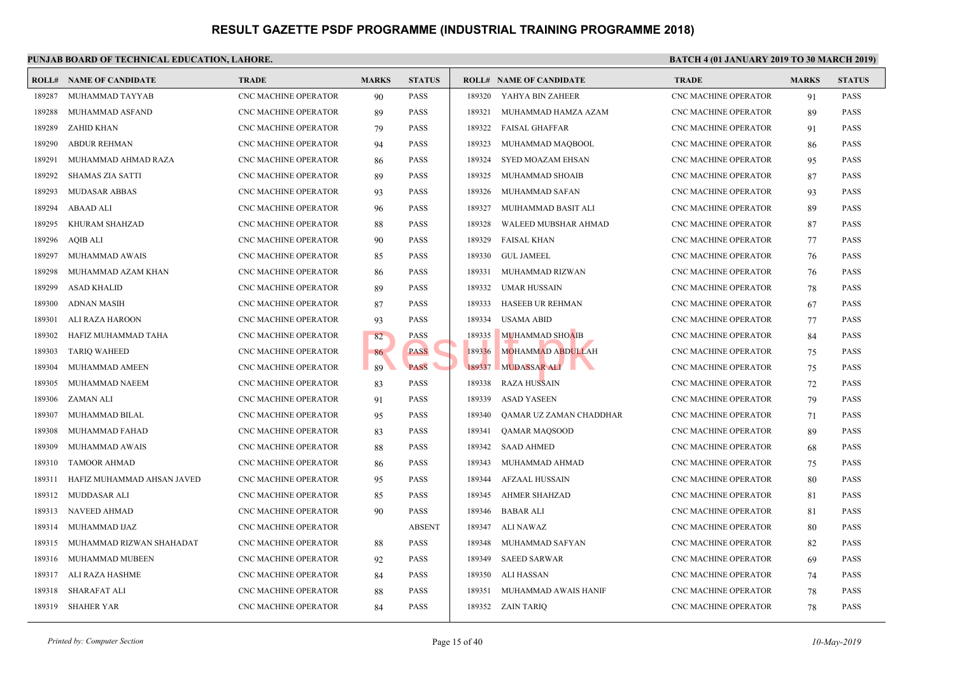|        | <b>ROLL# NAME OF CANDIDATE</b> | <b>TRADE</b>                | <b>MARKS</b> | <b>STATUS</b> |        | <b>ROLL# NAME OF CANDIDATE</b> | <b>TRAL</b>      |
|--------|--------------------------------|-----------------------------|--------------|---------------|--------|--------------------------------|------------------|
| 189287 | MUHAMMAD TAYYAB                | CNC MACHINE OPERATOR        | 90           | <b>PASS</b>   |        | 189320 YAHYA BIN ZAHEER        | CNC <sub>N</sub> |
| 189288 | MUHAMMAD ASFAND                | <b>CNC MACHINE OPERATOR</b> | 89           | <b>PASS</b>   | 189321 | MUHAMMAD HAMZA AZAM            | CNC <sub>N</sub> |
| 189289 | <b>ZAHID KHAN</b>              | <b>CNC MACHINE OPERATOR</b> | 79           | <b>PASS</b>   | 189322 | <b>FAISAL GHAFFAR</b>          | CNC <sub>N</sub> |
| 189290 | <b>ABDUR REHMAN</b>            | CNC MACHINE OPERATOR        | 94           | <b>PASS</b>   | 189323 | MUHAMMAD MAQBOOL               | CNC <sub>N</sub> |
| 189291 | MUHAMMAD AHMAD RAZA            | CNC MACHINE OPERATOR        | 86           | <b>PASS</b>   | 189324 | SYED MOAZAM EHSAN              | CNC <sub>N</sub> |
| 189292 | <b>SHAMAS ZIA SATTI</b>        | CNC MACHINE OPERATOR        | 89           | <b>PASS</b>   | 189325 | MUHAMMAD SHOAIB                | CNC <sub>N</sub> |
| 189293 | <b>MUDASAR ABBAS</b>           | <b>CNC MACHINE OPERATOR</b> | 93           | <b>PASS</b>   | 189326 | MUHAMMAD SAFAN                 | CNC <sub>N</sub> |
| 189294 | <b>ABAAD ALI</b>               | CNC MACHINE OPERATOR        | 96           | <b>PASS</b>   | 189327 | MUIHAMMAD BASIT ALI            | CNC <sub>N</sub> |
| 189295 | KHURAM SHAHZAD                 | CNC MACHINE OPERATOR        | 88           | <b>PASS</b>   | 189328 | WALEED MUBSHAR AHMAD           | CNC <sub>N</sub> |
| 189296 | AQIB ALI                       | CNC MACHINE OPERATOR        | 90           | <b>PASS</b>   | 189329 | FAISAL KHAN                    | CNC <sub>N</sub> |
| 189297 | MUHAMMAD AWAIS                 | CNC MACHINE OPERATOR        | 85           | <b>PASS</b>   | 189330 | <b>GUL JAMEEL</b>              | CNC <sub>N</sub> |
| 189298 | MUHAMMAD AZAM KHAN             | <b>CNC MACHINE OPERATOR</b> | 86           | <b>PASS</b>   | 189331 | MUHAMMAD RIZWAN                | CNC <sub>N</sub> |
| 189299 | <b>ASAD KHALID</b>             | CNC MACHINE OPERATOR        | 89           | <b>PASS</b>   | 189332 | <b>UMAR HUSSAIN</b>            | CNC <sub>N</sub> |
| 189300 | ADNAN MASIH                    | CNC MACHINE OPERATOR        | 87           | <b>PASS</b>   | 189333 | HASEEB UR REHMAN               | CNC <sub>N</sub> |
| 189301 | ALI RAZA HAROON                | CNC MACHINE OPERATOR        | 93           | <b>PASS</b>   | 189334 | USAMA ABID                     | CNC M            |
| 189302 | HAFIZ MUHAMMAD TAHA            | <b>CNC MACHINE OPERATOR</b> | 82           | <b>PASS</b>   | 189335 | <b>MUHAMMAD SHOAIB</b>         | CNC <sub>N</sub> |
| 189303 | <b>TARIQ WAHEED</b>            | CNC MACHINE OPERATOR        | 86           | <b>PASS</b>   | 189336 | MOHAMMAD ABDULLAH              | CNC <sub>N</sub> |
| 189304 | MUHAMMAD AMEEN                 | CNC MACHINE OPERATOR        | 89           | <b>PASS</b>   | 189337 | MUDASSAR ALI                   | CNC <sub>N</sub> |
| 189305 | MUHAMMAD NAEEM                 | CNC MACHINE OPERATOR        | 83           | <b>PASS</b>   | 189338 | <b>RAZA HUSSAIN</b>            | CNC <sub>N</sub> |
| 189306 | ZAMAN ALI                      | <b>CNC MACHINE OPERATOR</b> | 91           | <b>PASS</b>   | 189339 | <b>ASAD YASEEN</b>             | CNC <sub>N</sub> |
| 189307 | MUHAMMAD BILAL                 | <b>CNC MACHINE OPERATOR</b> | 95           | <b>PASS</b>   | 189340 | QAMAR UZ ZAMAN CHADDHAR        | CNC <sub>N</sub> |
| 189308 | MUHAMMAD FAHAD                 | <b>CNC MACHINE OPERATOR</b> | 83           | <b>PASS</b>   | 189341 | QAMAR MAQSOOD                  | CNC <sub>N</sub> |
| 189309 | MUHAMMAD AWAIS                 | CNC MACHINE OPERATOR        | 88           | PASS          |        | 189342 SAAD AHMED              | CNC <sub>N</sub> |
| 189310 | <b>TAMOOR AHMAD</b>            | CNC MACHINE OPERATOR        | 86           | <b>PASS</b>   | 189343 | MUHAMMAD AHMAD                 | CNC <sub>N</sub> |
| 189311 | HAFIZ MUHAMMAD AHSAN JAVED     | <b>CNC MACHINE OPERATOR</b> | 95           | <b>PASS</b>   | 189344 | <b>AFZAAL HUSSAIN</b>          | CNC <sub>N</sub> |
| 189312 | MUDDASAR ALI                   | CNC MACHINE OPERATOR        | 85           | <b>PASS</b>   | 189345 | AHMER SHAHZAD                  | CNC <sub>N</sub> |
| 189313 | NAVEED AHMAD                   | CNC MACHINE OPERATOR        | 90           | <b>PASS</b>   | 189346 | <b>BABAR ALI</b>               | CNC <sub>N</sub> |
| 189314 | MUHAMMAD IJAZ                  | CNC MACHINE OPERATOR        |              | <b>ABSENT</b> | 189347 | ALI NAWAZ                      | CNC <sub>N</sub> |
| 189315 | MUHAMMAD RIZWAN SHAHADAT       | <b>CNC MACHINE OPERATOR</b> | 88           | <b>PASS</b>   | 189348 | MUHAMMAD SAFYAN                | CNC <sub>N</sub> |
| 189316 | MUHAMMAD MUBEEN                | CNC MACHINE OPERATOR        | 92           | <b>PASS</b>   | 189349 | <b>SAEED SARWAR</b>            | CNC <sub>N</sub> |
| 189317 | ALI RAZA HASHME                | CNC MACHINE OPERATOR        | 84           | <b>PASS</b>   | 189350 | ALI HASSAN                     | CNC <sub>N</sub> |
| 189318 | SHARAFAT ALI                   | CNC MACHINE OPERATOR        | 88           | PASS          | 189351 | MUHAMMAD AWAIS HANIF           | CNC <sub>N</sub> |
|        | 189319 SHAHER YAR              | CNC MACHINE OPERATOR        | 84           | <b>PASS</b>   |        | 189352 ZAIN TARIQ              | CNC <sub>N</sub> |
|        |                                |                             |              |               |        |                                |                  |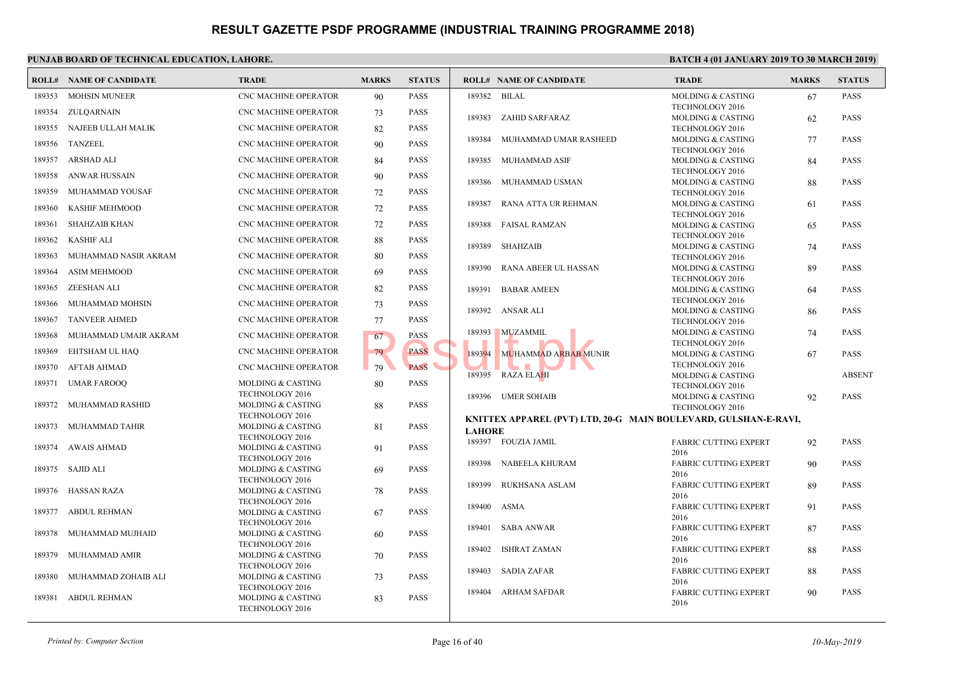|        | <b>ROLL# NAME OF CANDIDATE</b> | <b>TRADE</b>                                | <b>MARKS</b> | <b>STATUS</b> |               | <b>ROLL# NAME OF CANDIDATE</b>              | <b>TRAL</b>                 |
|--------|--------------------------------|---------------------------------------------|--------------|---------------|---------------|---------------------------------------------|-----------------------------|
| 189353 | <b>MOHSIN MUNEER</b>           | CNC MACHINE OPERATOR                        | 90           | <b>PASS</b>   | 189382        | BILAL                                       | <b>MOLD</b>                 |
| 189354 | ZULQARNAIN                     | <b>CNC MACHINE OPERATOR</b>                 | 73           | <b>PASS</b>   |               |                                             | <b>TECHN</b>                |
|        | NAJEEB ULLAH MALIK             | <b>CNC MACHINE OPERATOR</b>                 |              |               | 189383        | ZAHID SARFARAZ                              | <b>MOLD</b>                 |
| 189355 |                                |                                             | 82           | <b>PASS</b>   | 189384        | MUHAMMAD UMAR RASHEED                       | <b>TECHI</b><br><b>MOLD</b> |
| 189356 | <b>TANZEEL</b>                 | <b>CNC MACHINE OPERATOR</b>                 | 90           | <b>PASS</b>   |               |                                             | <b>TECHN</b>                |
| 189357 | ARSHAD ALI                     | <b>CNC MACHINE OPERATOR</b>                 | 84           | <b>PASS</b>   | 189385        | MUHAMMAD ASIF                               | <b>MOLD</b>                 |
| 189358 | ANWAR HUSSAIN                  | <b>CNC MACHINE OPERATOR</b>                 | 90           | <b>PASS</b>   | 189386        | MUHAMMAD USMAN                              | <b>TECHN</b><br><b>MOLD</b> |
| 189359 | MUHAMMAD YOUSAF                | <b>CNC MACHINE OPERATOR</b>                 | 72           | <b>PASS</b>   |               |                                             | <b>TECHI</b>                |
| 189360 | KASHIF MEHMOOD                 | CNC MACHINE OPERATOR                        | 72           | <b>PASS</b>   | 189387        | RANA ATTA UR REHMAN                         | <b>MOLD</b>                 |
|        |                                |                                             |              |               |               |                                             | <b>TECHI</b>                |
| 189361 | <b>SHAHZAIB KHAN</b>           | CNC MACHINE OPERATOR                        | 72           | <b>PASS</b>   | 189388        | FAISAL RAMZAN                               | <b>MOLD</b><br><b>TECHN</b> |
| 189362 | <b>KASHIF ALI</b>              | CNC MACHINE OPERATOR                        | 88           | <b>PASS</b>   | 189389        | <b>SHAHZAIB</b>                             | MOLD                        |
| 189363 | MUHAMMAD NASIR AKRAM           | <b>CNC MACHINE OPERATOR</b>                 | 80           | <b>PASS</b>   |               |                                             | <b>TECHN</b>                |
| 189364 | <b>ASIM MEHMOOD</b>            | CNC MACHINE OPERATOR                        | 69           | <b>PASS</b>   | 189390        | RANA ABEER UL HASSAN                        | MOLD                        |
| 189365 | ZEESHAN ALI                    | <b>CNC MACHINE OPERATOR</b>                 | 82           | <b>PASS</b>   | 189391        | <b>BABAR AMEEN</b>                          | <b>TECHI</b><br><b>MOLD</b> |
| 189366 | MUHAMMAD MOHSIN                | <b>CNC MACHINE OPERATOR</b>                 | 73           | <b>PASS</b>   |               |                                             | <b>TECHN</b>                |
| 189367 | <b>TANVEER AHMED</b>           | <b>CNC MACHINE OPERATOR</b>                 | 77           | <b>PASS</b>   |               | 189392 ANSAR ALI                            | <b>MOLD</b><br><b>TECHN</b> |
|        |                                |                                             |              |               | 189393        | <b>MUZAMMIL</b>                             | <b>MOLD</b>                 |
| 189368 | MUHAMMAD UMAIR AKRAM           | CNC MACHINE OPERATOR                        | 67           | <b>PASS</b>   |               |                                             | <b>TECHN</b>                |
| 189369 | EHTSHAM UL HAQ                 | <b>CNC MACHINE OPERATOR</b>                 | 79           | <b>PASS</b>   | 189394        | MUHAMMAD ARBAB MUNIR                        | <b>MOLD</b>                 |
| 189370 | AFTAB AHMAD                    | <b>CNC MACHINE OPERATOR</b>                 | 79           | <b>PASS</b>   |               | 189395 RAZA ELAHI                           | <b>TECHN</b><br><b>MOLD</b> |
| 189371 | <b>UMAR FAROOQ</b>             | <b>MOLDING &amp; CASTING</b>                | 80           | <b>PASS</b>   |               |                                             | <b>TECHI</b>                |
|        |                                | <b>TECHNOLOGY 2016</b>                      |              |               |               | 189396 UMER SOHAIB                          | <b>MOLD</b>                 |
| 189372 | MUHAMMAD RASHID                | MOLDING & CASTING<br><b>TECHNOLOGY 2016</b> | 88           | PASS          |               |                                             | <b>TECHN</b>                |
| 189373 | MUHAMMAD TAHIR                 | MOLDING & CASTING                           | 81           | <b>PASS</b>   |               | KNITTEX APPAREL (PVT) LTD, 20-G MAIN BOULEV |                             |
|        |                                | TECHNOLOGY 2016                             |              |               | <b>LAHORE</b> | 189397 FOUZIA JAMIL                         | FABRI                       |
| 189374 | AWAIS AHMAD                    | MOLDING & CASTING                           | 91           | <b>PASS</b>   |               |                                             | 2016                        |
| 189375 | SAJID ALI                      | <b>TECHNOLOGY 2016</b><br>MOLDING & CASTING |              | <b>PASS</b>   | 189398        | NABEELA KHURAM                              | FABRI                       |
|        |                                | <b>TECHNOLOGY 2016</b>                      | 69           |               |               |                                             | 2016                        |
| 189376 | HASSAN RAZA                    | MOLDING & CASTING                           | 78           | <b>PASS</b>   | 189399        | RUKHSANA ASLAM                              | FABRI<br>2016               |
|        |                                | <b>TECHNOLOGY 2016</b>                      |              |               | 189400        | <b>ASMA</b>                                 | FABRI                       |
| 189377 | <b>ABDUL REHMAN</b>            | MOLDING & CASTING<br><b>TECHNOLOGY 2016</b> | 67           | <b>PASS</b>   |               |                                             | 2016                        |
| 189378 | MUHAMMAD MUJHAID               | <b>MOLDING &amp; CASTING</b>                | 60           | <b>PASS</b>   | 189401        | SABA ANWAR                                  | FABRI                       |
|        |                                | <b>TECHNOLOGY 2016</b>                      |              |               | 189402        | <b>ISHRAT ZAMAN</b>                         | 2016<br>FABRI               |
| 189379 | MUHAMMAD AMIR                  | MOLDING & CASTING                           | 70           | <b>PASS</b>   |               |                                             | 2016                        |
| 189380 | MUHAMMAD ZOHAIB ALI            | <b>TECHNOLOGY 2016</b><br>MOLDING & CASTING | 73           | <b>PASS</b>   | 189403        | SADIA ZAFAR                                 | FABRI                       |
|        |                                | <b>TECHNOLOGY 2016</b>                      |              |               |               |                                             | 2016                        |
| 189381 | ABDUL REHMAN                   | MOLDING & CASTING                           | 83           | <b>PASS</b>   | 189404        | <b>ARHAM SAFDAR</b>                         | FABRI<br>2016               |
|        |                                | TECHNOLOGY 2016                             |              |               |               |                                             |                             |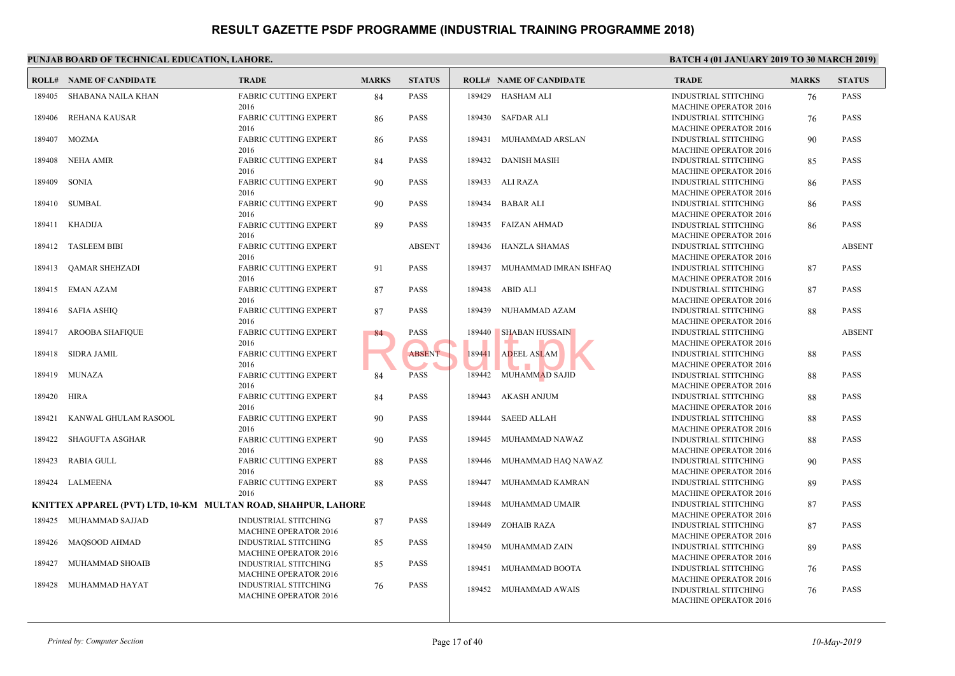|        | <b>ROLL# NAME OF CANDIDATE</b>                                | <b>TRADE</b>                                         | <b>MARKS</b> | <b>STATUS</b> |        | <b>ROLL# NAME OF CANDIDATE</b> | <b>TRAL</b>                 |
|--------|---------------------------------------------------------------|------------------------------------------------------|--------------|---------------|--------|--------------------------------|-----------------------------|
| 189405 | SHABANA NAILA KHAN                                            | <b>FABRIC CUTTING EXPERT</b><br>2016                 | 84           | <b>PASS</b>   |        | 189429 HASHAM ALI              | <b>INDUS</b><br><b>MACH</b> |
| 189406 | REHANA KAUSAR                                                 | <b>FABRIC CUTTING EXPERT</b>                         | 86           | <b>PASS</b>   |        | 189430 SAFDAR ALI              | <b>INDUS</b>                |
| 189407 | MOZMA                                                         | 2016<br><b>FABRIC CUTTING EXPERT</b>                 | 86           | <b>PASS</b>   | 189431 | MUHAMMAD ARSLAN                | <b>MACH</b><br><b>INDUS</b> |
| 189408 | NEHA AMIR                                                     | 2016<br><b>FABRIC CUTTING EXPERT</b>                 | 84           | <b>PASS</b>   |        | 189432 DANISH MASIH            | <b>MACH</b><br><b>INDUS</b> |
| 189409 | SONIA                                                         | 2016<br><b>FABRIC CUTTING EXPERT</b>                 | 90           | <b>PASS</b>   |        | 189433 ALI RAZA                | <b>MACH</b><br><b>INDUS</b> |
|        | 189410 SUMBAL                                                 | 2016<br><b>FABRIC CUTTING EXPERT</b>                 | 90           | <b>PASS</b>   |        | 189434 BABAR ALI               | <b>MACH</b><br><b>INDUS</b> |
|        | 189411 KHADIJA                                                | 2016<br><b>FABRIC CUTTING EXPERT</b>                 | 89           | <b>PASS</b>   |        | 189435 FAIZAN AHMAD            | <b>MACH</b><br><b>INDUS</b> |
| 189412 | <b>TASLEEM BIBI</b>                                           | 2016<br><b>FABRIC CUTTING EXPERT</b>                 |              | <b>ABSENT</b> |        | 189436 HANZLA SHAMAS           | <b>MACH</b><br><b>INDUS</b> |
| 189413 | QAMAR SHEHZADI                                                | 2016<br><b>FABRIC CUTTING EXPERT</b>                 | 91           | PASS          |        | 189437 MUHAMMAD IMRAN ISHFAQ   | <b>MACH</b><br><b>INDUS</b> |
|        | 189415 EMAN AZAM                                              | 2016<br><b>FABRIC CUTTING EXPERT</b>                 | 87           | <b>PASS</b>   |        | 189438 ABID ALI                | <b>MACH</b><br><b>INDUS</b> |
|        | 189416 SAFIA ASHIQ                                            | 2016<br>FABRIC CUTTING EXPERT                        | 87           | <b>PASS</b>   |        | 189439 NUHAMMAD AZAM           | <b>MACH</b><br><b>INDUS</b> |
|        | 189417 AROOBA SHAFIQUE                                        | 2016<br>FABRIC CUTTING EXPERT                        | 84           | PASS          | 189440 | <b>SHABAN HUSSAIN</b>          | <b>MACH</b><br><b>INDUS</b> |
| 189418 | SIDRA JAMIL                                                   | 2016<br><b>FABRIC CUTTING EXPERT</b>                 |              | <b>ABSENT</b> | 189441 | <b>ADEEL ASLAM</b>             | <b>MACH</b><br><b>INDUS</b> |
| 189419 | MUNAZA                                                        | 2016<br><b>FABRIC CUTTING EXPERT</b>                 | 84           | <b>PASS</b>   |        | 189442 MUHAMMAD SAJID          | <b>MACH</b><br><b>INDUS</b> |
| 189420 | HIRA                                                          | 2016<br><b>FABRIC CUTTING EXPERT</b>                 | 84           | <b>PASS</b>   | 189443 | <b>AKASH ANJUM</b>             | <b>MACH</b><br><b>INDUS</b> |
| 189421 | KANWAL GHULAM RASOOL                                          | 2016<br><b>FABRIC CUTTING EXPERT</b>                 | 90           | <b>PASS</b>   | 189444 | <b>SAEED ALLAH</b>             | <b>MACH</b><br><b>INDUS</b> |
| 189422 | <b>SHAGUFTA ASGHAR</b>                                        | 2016<br><b>FABRIC CUTTING EXPERT</b>                 | 90           | <b>PASS</b>   | 189445 | MUHAMMAD NAWAZ                 | <b>MACH</b><br><b>INDUS</b> |
| 189423 | RABIA GULL                                                    | 2016<br><b>FABRIC CUTTING EXPERT</b>                 | 88           | <b>PASS</b>   | 189446 | MUHAMMAD HAQ NAWAZ             | <b>MACH</b><br><b>INDUS</b> |
| 189424 | LALMEENA                                                      | 2016<br><b>FABRIC CUTTING EXPERT</b>                 | 88           | <b>PASS</b>   | 189447 | MUHAMMAD KAMRAN                | <b>MACH</b><br><b>INDUS</b> |
|        | KNITTEX APPAREL (PVT) LTD, 10-KM MULTAN ROAD, SHAHPUR, LAHORE | 2016                                                 |              |               | 189448 | MUHAMMAD UMAIR                 | <b>MACH</b><br><b>INDUS</b> |
|        | 189425 MUHAMMAD SAJJAD                                        | <b>INDUSTRIAL STITCHING</b><br>MACHINE OPERATOR 2016 | 87           | <b>PASS</b>   | 189449 | <b>ZOHAIB RAZA</b>             | <b>MACH</b><br><b>INDUS</b> |
|        | 189426 MAQSOOD AHMAD                                          | <b>INDUSTRIAL STITCHING</b><br>MACHINE OPERATOR 2016 | 85           | PASS          | 189450 | MUHAMMAD ZAIN                  | <b>MACH</b><br><b>INDUS</b> |
| 189427 | MUHAMMAD SHOAIB                                               | INDUSTRIAL STITCHING<br>MACHINE OPERATOR 2016        | 85           | <b>PASS</b>   | 189451 | MUHAMMAD BOOTA                 | <b>MACH</b><br><b>INDUS</b> |
| 189428 | MUHAMMAD HAYAT                                                | <b>INDUSTRIAL STITCHING</b><br>MACHINE OPERATOR 2016 | 76           | <b>PASS</b>   |        | 189452 MUHAMMAD AWAIS          | <b>MACH</b><br><b>INDUS</b> |
|        |                                                               |                                                      |              |               |        |                                | <b>MACH</b>                 |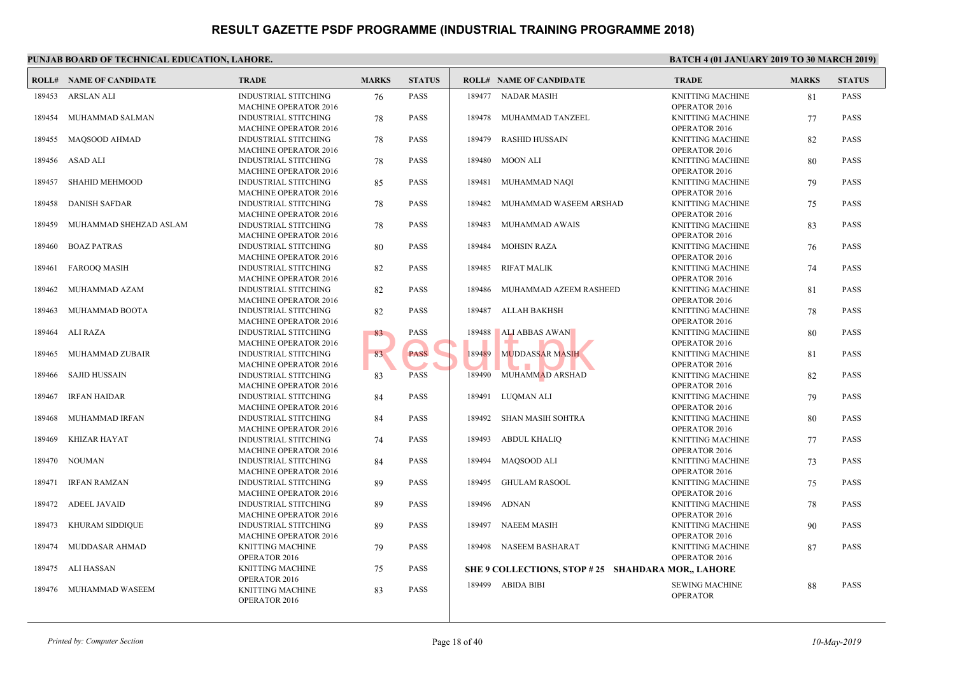|        | <b>ROLL# NAME OF CANDIDATE</b> | <b>TRADE</b>                                                | <b>MARKS</b> | <b>STATUS</b> |        | <b>ROLL# NAME OF CANDIDATE</b>             | <b>TRAL</b>  |
|--------|--------------------------------|-------------------------------------------------------------|--------------|---------------|--------|--------------------------------------------|--------------|
| 189453 | ARSLAN ALI                     | <b>INDUSTRIAL STITCHING</b>                                 | 76           | <b>PASS</b>   |        | 189477 NADAR MASIH                         | <b>KNITT</b> |
|        |                                | <b>MACHINE OPERATOR 2016</b>                                |              |               |        |                                            | OPER/        |
| 189454 | MUHAMMAD SALMAN                | <b>INDUSTRIAL STITCHING</b>                                 | 78           | <b>PASS</b>   | 189478 | MUHAMMAD TANZEEL                           | <b>KNITT</b> |
|        |                                | <b>MACHINE OPERATOR 2016</b>                                |              |               |        |                                            | OPER/        |
| 189455 | MAQSOOD AHMAD                  | <b>INDUSTRIAL STITCHING</b>                                 | 78           | <b>PASS</b>   | 189479 | <b>RASHID HUSSAIN</b>                      | <b>KNITT</b> |
|        |                                | <b>MACHINE OPERATOR 2016</b>                                |              |               |        |                                            | OPER/        |
| 189456 | ASAD ALI                       | <b>INDUSTRIAL STITCHING</b>                                 | 78           | <b>PASS</b>   | 189480 | MOON ALI                                   | <b>KNITT</b> |
|        |                                | <b>MACHINE OPERATOR 2016</b>                                |              |               |        |                                            | OPER/        |
| 189457 | SHAHID MEHMOOD                 | <b>INDUSTRIAL STITCHING</b>                                 | 85           | <b>PASS</b>   | 189481 | MUHAMMAD NAQI                              | <b>KNITT</b> |
|        |                                | <b>MACHINE OPERATOR 2016</b>                                |              |               |        |                                            | OPER/        |
| 189458 | <b>DANISH SAFDAR</b>           | <b>INDUSTRIAL STITCHING</b>                                 | 78           | <b>PASS</b>   | 189482 | MUHAMMAD WASEEM ARSHAD                     | <b>KNITT</b> |
|        |                                | MACHINE OPERATOR 2016                                       |              |               |        |                                            | OPER/        |
| 189459 | MUHAMMAD SHEHZAD ASLAM         | <b>INDUSTRIAL STITCHING</b>                                 | 78           | <b>PASS</b>   | 189483 | MUHAMMAD AWAIS                             | <b>KNITT</b> |
|        |                                | MACHINE OPERATOR 2016                                       |              |               |        |                                            | OPER/        |
| 189460 | <b>BOAZ PATRAS</b>             | <b>INDUSTRIAL STITCHING</b>                                 | 80           | <b>PASS</b>   | 189484 | <b>MOHSIN RAZA</b>                         | <b>KNITT</b> |
|        |                                | <b>MACHINE OPERATOR 2016</b>                                |              |               |        |                                            | OPER/        |
| 189461 | <b>FAROOQ MASIH</b>            | <b>INDUSTRIAL STITCHING</b>                                 | 82           | <b>PASS</b>   | 189485 | <b>RIFAT MALIK</b>                         | <b>KNITT</b> |
|        |                                | <b>MACHINE OPERATOR 2016</b>                                |              |               |        |                                            | OPER/        |
| 189462 | MUHAMMAD AZAM                  | <b>INDUSTRIAL STITCHING</b>                                 | 82           | <b>PASS</b>   | 189486 | MUHAMMAD AZEEM RASHEED                     | <b>KNITT</b> |
|        |                                | <b>MACHINE OPERATOR 2016</b>                                |              |               |        |                                            | OPER/        |
| 189463 | MUHAMMAD BOOTA                 | <b>INDUSTRIAL STITCHING</b>                                 | 82           | <b>PASS</b>   | 189487 | ALLAH BAKHSH                               | <b>KNITT</b> |
|        |                                | <b>MACHINE OPERATOR 2016</b>                                |              |               |        |                                            | OPER/        |
| 189464 | ALI RAZA                       | <b>INDUSTRIAL STITCHING</b>                                 | 83           | <b>PASS</b>   | 189488 | ALI ABBAS AWAN                             | <b>KNITT</b> |
|        |                                | <b>MACHINE OPERATOR 2016</b>                                |              |               |        |                                            | OPER/        |
| 189465 | MUHAMMAD ZUBAIR                | <b>INDUSTRIAL STITCHING</b>                                 | 83           | <b>PASS</b>   | 189489 | <b>MUDDASSAR MASIH</b>                     | <b>KNITT</b> |
|        |                                | <b>MACHINE OPERATOR 2016</b>                                |              |               |        |                                            | OPER/        |
| 189466 | <b>SAJID HUSSAIN</b>           | <b>INDUSTRIAL STITCHING</b>                                 | 83           | <b>PASS</b>   |        | 189490 MUHAMMAD ARSHAD                     | <b>KNITT</b> |
|        |                                | MACHINE OPERATOR 2016                                       |              |               |        |                                            | OPER/        |
| 189467 | <b>IRFAN HAIDAR</b>            | <b>INDUSTRIAL STITCHING</b>                                 | 84           | <b>PASS</b>   | 189491 | LUOMAN ALI                                 | <b>KNITT</b> |
|        |                                | <b>MACHINE OPERATOR 2016</b>                                |              |               |        |                                            | OPER/        |
| 189468 | MUHAMMAD IRFAN                 | <b>INDUSTRIAL STITCHING</b>                                 | 84           | <b>PASS</b>   | 189492 | SHAN MASIH SOHTRA                          | <b>KNITT</b> |
|        |                                | MACHINE OPERATOR 2016                                       |              |               |        |                                            | OPER/        |
| 189469 | <b>KHIZAR HAYAT</b>            | <b>INDUSTRIAL STITCHING</b>                                 | 74           | <b>PASS</b>   | 189493 | <b>ABDUL KHALIQ</b>                        | <b>KNITT</b> |
|        |                                | <b>MACHINE OPERATOR 2016</b>                                |              |               |        |                                            | OPER/        |
| 189470 | <b>NOUMAN</b>                  | <b>INDUSTRIAL STITCHING</b>                                 | 84           | <b>PASS</b>   | 189494 | MAQSOOD ALI                                | <b>KNITT</b> |
|        |                                | <b>MACHINE OPERATOR 2016</b>                                |              |               |        |                                            | OPER/        |
| 189471 | <b>IRFAN RAMZAN</b>            | <b>INDUSTRIAL STITCHING</b>                                 | 89           | <b>PASS</b>   | 189495 | <b>GHULAM RASOOL</b>                       | <b>KNITT</b> |
|        |                                | <b>MACHINE OPERATOR 2016</b>                                |              |               |        |                                            | OPER/        |
| 189472 | <b>ADEEL JAVAID</b>            | <b>INDUSTRIAL STITCHING</b>                                 | 89           | <b>PASS</b>   | 189496 | ADNAN                                      | <b>KNITT</b> |
|        |                                |                                                             |              |               |        |                                            | OPER/        |
| 189473 | <b>KHURAM SIDDIQUE</b>         | <b>MACHINE OPERATOR 2016</b><br><b>INDUSTRIAL STITCHING</b> |              | <b>PASS</b>   | 189497 | <b>NAEEM MASIH</b>                         | <b>KNITT</b> |
|        |                                | MACHINE OPERATOR 2016                                       | 89           |               |        |                                            | OPER/        |
| 189474 | MUDDASAR AHMAD                 |                                                             |              | <b>PASS</b>   | 189498 | NASEEM BASHARAT                            |              |
|        |                                | <b>KNITTING MACHINE</b>                                     | 79           |               |        |                                            | <b>KNITT</b> |
|        |                                | <b>OPERATOR 2016</b>                                        |              |               |        |                                            | OPER/        |
| 189475 | ALI HASSAN                     | <b>KNITTING MACHINE</b>                                     | 75           | <b>PASS</b>   |        | SHE 9 COLLECTIONS, STOP #25 SHAHDARA MOR,, |              |
|        |                                | OPERATOR 2016                                               |              |               | 189499 | <b>ABIDA BIBI</b>                          | <b>SEWIN</b> |
| 189476 | MUHAMMAD WASEEM                | <b>KNITTING MACHINE</b>                                     | 83           | <b>PASS</b>   |        |                                            | OPER/        |
|        |                                | OPERATOR 2016                                               |              |               |        |                                            |              |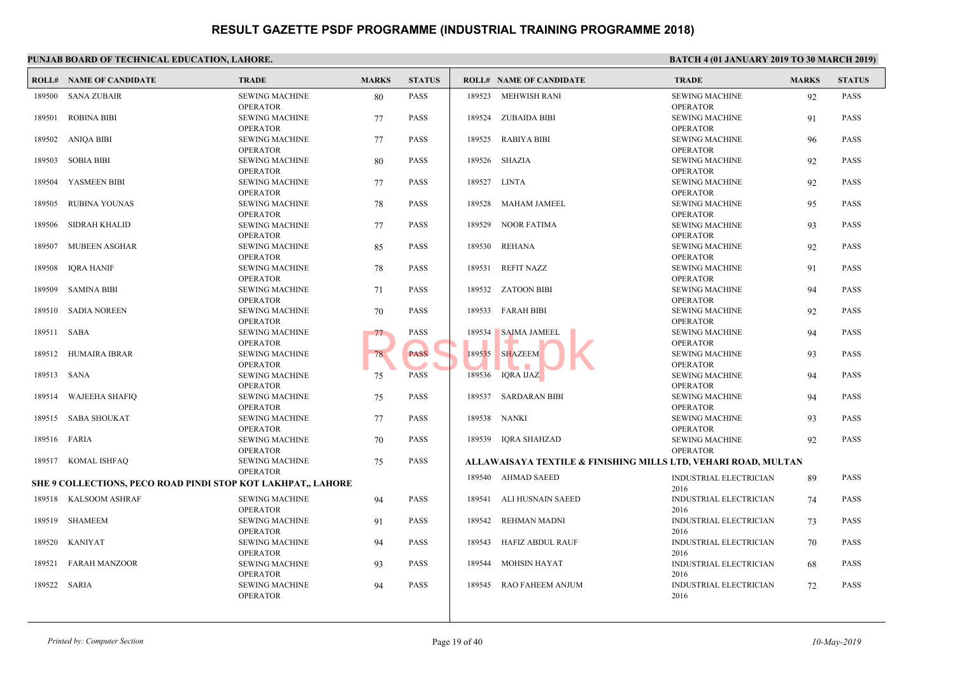|             | <b>ROLL# NAME OF CANDIDATE</b>                               | <b>TRADE</b>          | <b>MARKS</b> | <b>STATUS</b> |        | <b>ROLL# NAME OF CANDIDATE</b>             | <b>TRAL</b>  |
|-------------|--------------------------------------------------------------|-----------------------|--------------|---------------|--------|--------------------------------------------|--------------|
| 189500      | SANA ZUBAIR                                                  | <b>SEWING MACHINE</b> | 80           | <b>PASS</b>   |        | 189523 MEHWISH RANI                        | <b>SEWIN</b> |
|             |                                                              | <b>OPERATOR</b>       |              |               |        |                                            | OPER/        |
| 189501      | <b>ROBINA BIBI</b>                                           | <b>SEWING MACHINE</b> | 77           | <b>PASS</b>   |        | 189524 ZUBAIDA BIBI                        | <b>SEWIN</b> |
|             |                                                              | <b>OPERATOR</b>       |              |               |        |                                            | OPER/        |
| 189502      | ANIQA BIBI                                                   | <b>SEWING MACHINE</b> | 77           | PASS          |        | 189525 RABIYA BIBI                         | <b>SEWIN</b> |
|             |                                                              | <b>OPERATOR</b>       |              |               |        |                                            | OPER/        |
| 189503      | <b>SOBIA BIBI</b>                                            | <b>SEWING MACHINE</b> | 80           | <b>PASS</b>   |        | 189526 SHAZIA                              | <b>SEWIN</b> |
|             |                                                              | <b>OPERATOR</b>       |              |               |        |                                            | OPER/        |
| 189504      | YASMEEN BIBI                                                 | <b>SEWING MACHINE</b> | 77           | <b>PASS</b>   |        | 189527 LINTA                               | <b>SEWIN</b> |
|             |                                                              | <b>OPERATOR</b>       |              |               |        |                                            | OPER/        |
| 189505      | RUBINA YOUNAS                                                | <b>SEWING MACHINE</b> | 78           | <b>PASS</b>   |        | 189528 MAHAM JAMEEL                        | <b>SEWIN</b> |
|             |                                                              | <b>OPERATOR</b>       |              |               |        |                                            | OPER/        |
| 189506      | SIDRAH KHALID                                                | <b>SEWING MACHINE</b> | 77           | <b>PASS</b>   |        | 189529 NOOR FATIMA                         | <b>SEWIN</b> |
|             |                                                              | <b>OPERATOR</b>       |              |               |        |                                            | OPER/        |
| 189507      | MUBEEN ASGHAR                                                | <b>SEWING MACHINE</b> | 85           | <b>PASS</b>   |        | 189530 REHANA                              | <b>SEWIN</b> |
|             |                                                              | <b>OPERATOR</b>       |              |               |        |                                            | OPER/        |
| 189508      | IQRA HANIF                                                   | <b>SEWING MACHINE</b> | 78           | <b>PASS</b>   |        | 189531 REFIT NAZZ                          | <b>SEWIN</b> |
|             |                                                              | <b>OPERATOR</b>       |              |               |        |                                            | OPER/        |
| 189509      | <b>SAMINA BIBI</b>                                           | <b>SEWING MACHINE</b> | 71           | <b>PASS</b>   |        | 189532 ZATOON BIBI                         | <b>SEWIN</b> |
|             |                                                              | <b>OPERATOR</b>       |              |               |        |                                            | OPER/        |
| 189510      | <b>SADIA NOREEN</b>                                          | <b>SEWING MACHINE</b> | 70           | <b>PASS</b>   |        | 189533 FARAH BIBI                          | <b>SEWIN</b> |
|             |                                                              | <b>OPERATOR</b>       |              |               |        |                                            | OPER/        |
| 189511 SABA |                                                              | <b>SEWING MACHINE</b> | 77           | PASS          | 189534 | <b>SAIMA JAMEEL</b>                        | <b>SEWIN</b> |
|             |                                                              | <b>OPERATOR</b>       |              |               |        |                                            | OPER/        |
| 189512      | <b>HUMAIRA IBRAR</b>                                         | <b>SEWING MACHINE</b> | 78           | <b>PASS</b>   | 189535 | <b>SHAZEEM</b>                             | <b>SEWIN</b> |
|             |                                                              | <b>OPERATOR</b>       |              |               |        |                                            | OPER/        |
| 189513 SANA |                                                              | <b>SEWING MACHINE</b> | 75           | <b>PASS</b>   |        | 189536 IQRA IJAZ                           | <b>SEWIN</b> |
|             |                                                              | <b>OPERATOR</b>       |              |               |        |                                            | OPER/        |
|             | 189514 WAJEEHA SHAFIQ                                        | <b>SEWING MACHINE</b> | 75           | <b>PASS</b>   |        | 189537 SARDARAN BIBI                       | <b>SEWIN</b> |
|             |                                                              | <b>OPERATOR</b>       |              |               |        |                                            | OPER/        |
|             | 189515 SABA SHOUKAT                                          | <b>SEWING MACHINE</b> | 77           | <b>PASS</b>   |        | 189538 NANKI                               | <b>SEWIN</b> |
|             |                                                              | <b>OPERATOR</b>       |              |               |        |                                            | OPER/        |
|             | 189516 FARIA                                                 | <b>SEWING MACHINE</b> | 70           | <b>PASS</b>   |        | 189539 IORA SHAHZAD                        | <b>SEWIN</b> |
|             |                                                              | <b>OPERATOR</b>       |              |               |        |                                            | OPERA        |
|             | 189517 KOMAL ISHFAQ                                          | <b>SEWING MACHINE</b> | 75           | <b>PASS</b>   |        | ALLAWAISAYA TEXTILE & FINISHING MILLS LTD, |              |
|             |                                                              | <b>OPERATOR</b>       |              |               |        | 189540 AHMAD SAEED                         | <b>INDUS</b> |
|             | SHE 9 COLLECTIONS, PECO ROAD PINDI STOP KOT LAKHPAT,, LAHORE |                       |              |               |        |                                            | 2016         |
|             | 189518 KALSOOM ASHRAF                                        | <b>SEWING MACHINE</b> | 94           | <b>PASS</b>   |        | 189541 ALI HUSNAIN SAEED                   | <b>INDUS</b> |
|             |                                                              | <b>OPERATOR</b>       |              |               |        |                                            | 2016         |
|             | 189519 SHAMEEM                                               | <b>SEWING MACHINE</b> | 91           | <b>PASS</b>   |        | 189542 REHMAN MADNI                        | <b>INDUS</b> |
|             |                                                              | <b>OPERATOR</b>       |              |               |        |                                            | 2016         |
| 189520      | <b>KANIYAT</b>                                               | <b>SEWING MACHINE</b> | 94           | <b>PASS</b>   |        | 189543 HAFIZ ABDUL RAUF                    | <b>INDUS</b> |
|             |                                                              | <b>OPERATOR</b>       |              |               |        |                                            | 2016         |
| 189521      | <b>FARAH MANZOOR</b>                                         | <b>SEWING MACHINE</b> | 93           | <b>PASS</b>   | 189544 | <b>MOHSIN HAYAT</b>                        | <b>INDUS</b> |
|             |                                                              | <b>OPERATOR</b>       |              |               |        |                                            | 2016         |
| 189522      | SARIA                                                        | <b>SEWING MACHINE</b> | 94           | <b>PASS</b>   |        | 189545 RAO FAHEEM ANJUM                    | <b>INDUS</b> |
|             |                                                              | <b>OPERATOR</b>       |              |               |        |                                            | 2016         |
|             |                                                              |                       |              |               |        |                                            |              |
|             |                                                              |                       |              |               |        |                                            |              |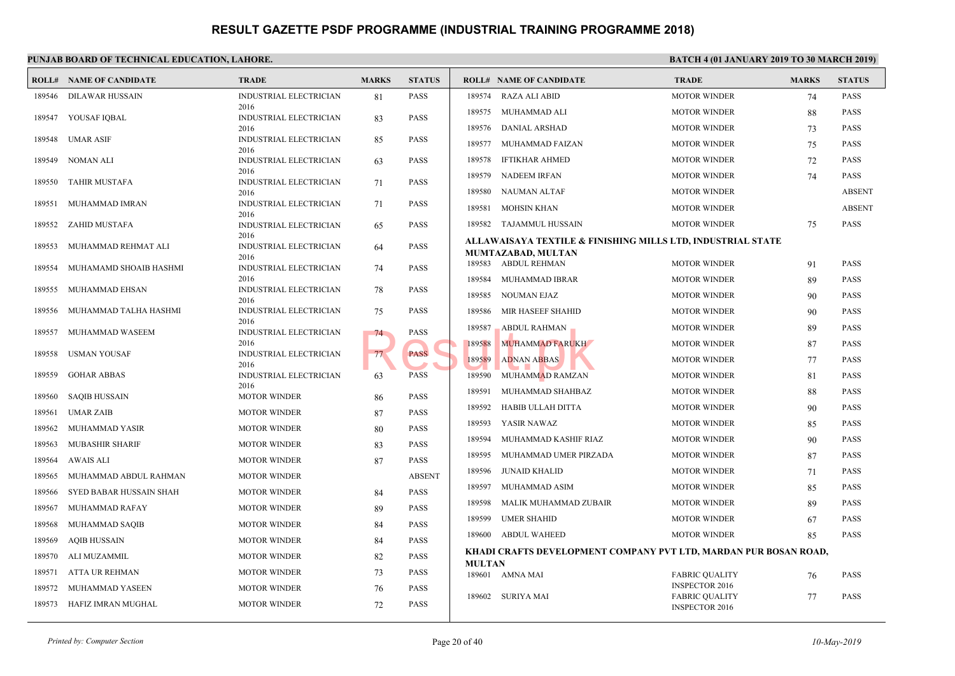|        | <b>ROLL# NAME OF CANDIDATE</b> | <b>TRADE</b>                          | <b>MARKS</b> | <b>STATUS</b> |               | <b>ROLL# NAME OF CANDIDATE</b>             | <b>TRAL</b>                  |
|--------|--------------------------------|---------------------------------------|--------------|---------------|---------------|--------------------------------------------|------------------------------|
| 189546 | DILAWAR HUSSAIN                | <b>INDUSTRIAL ELECTRICIAN</b><br>2016 | 81           | PASS          | 189574        | <b>RAZA ALI ABID</b>                       | <b>MOTO</b>                  |
| 189547 | YOUSAF IQBAL                   | INDUSTRIAL ELECTRICIAN                | 83           | PASS          | 189575        | MUHAMMAD ALI                               | <b>MOTO</b>                  |
|        |                                | 2016                                  |              |               | 189576        | <b>DANIAL ARSHAD</b>                       | <b>MOTO</b>                  |
| 189548 | UMAR ASIF                      | <b>INDUSTRIAL ELECTRICIAN</b><br>2016 | 85           | <b>PASS</b>   | 189577        | MUHAMMAD FAIZAN                            | <b>MOTO</b>                  |
| 189549 | NOMAN ALI                      | INDUSTRIAL ELECTRICIAN                | 63           | <b>PASS</b>   | 189578        | <b>IFTIKHAR AHMED</b>                      | <b>MOTO</b>                  |
| 189550 | <b>TAHIR MUSTAFA</b>           | 2016<br>INDUSTRIAL ELECTRICIAN        | 71           | PASS          | 189579        | NADEEM IRFAN                               | <b>MOTO</b>                  |
|        |                                | 2016                                  |              |               | 189580        | NAUMAN ALTAF                               | <b>MOTO</b>                  |
| 189551 | MUHAMMAD IMRAN                 | <b>INDUSTRIAL ELECTRICIAN</b><br>2016 | 71           | PASS          | 189581        | <b>MOHSIN KHAN</b>                         | <b>MOTO</b>                  |
| 189552 | ZAHID MUSTAFA                  | <b>INDUSTRIAL ELECTRICIAN</b>         | 65           | PASS          | 189582        | TAJAMMUL HUSSAIN                           | <b>MOTO</b>                  |
|        |                                | 2016                                  |              |               |               | ALLAWAISAYA TEXTILE & FINISHING MILLS LTD, |                              |
| 189553 | MUHAMMAD REHMAT ALI            | INDUSTRIAL ELECTRICIAN<br>2016        | 64           | PASS          |               | MUMTAZABAD, MULTAN                         |                              |
| 189554 | MUHAMAMD SHOAIB HASHMI         | INDUSTRIAL ELECTRICIAN                | 74           | <b>PASS</b>   |               | 189583 ABDUL REHMAN                        | <b>MOTO</b>                  |
| 189555 | MUHAMMAD EHSAN                 | 2016<br><b>INDUSTRIAL ELECTRICIAN</b> | 78           | <b>PASS</b>   | 189584        | MUHAMMAD IBRAR                             | <b>MOTO</b>                  |
|        |                                | 2016                                  |              |               | 189585        | NOUMAN EJAZ                                | <b>MOTO</b>                  |
| 189556 | MUHAMMAD TALHA HASHMI          | INDUSTRIAL ELECTRICIAN                | 75           | PASS          | 189586        | MIR HASEEF SHAHID                          | <b>MOTO</b>                  |
| 189557 | MUHAMMAD WASEEM                | 2016<br>INDUSTRIAL ELECTRICIAN        | 74           | PASS          | 189587        | <b>ABDUL RAHMAN</b>                        | <b>MOTO</b>                  |
|        |                                | 2016                                  |              |               | 189588        | MUHAMMAD FARUKH                            | <b>MOTO</b>                  |
| 189558 | USMAN YOUSAF                   | INDUSTRIAL ELECTRICIAN<br>2016        | 77           | <b>PASS</b>   | 189589        | <b>ADNAN ABBAS</b>                         | <b>MOTO</b>                  |
| 189559 | <b>GOHAR ABBAS</b>             | <b>INDUSTRIAL ELECTRICIAN</b>         | 63           | PASS          | 189590        | MUHAMMAD RAMZAN                            | <b>MOTO</b>                  |
| 189560 | <b>SAQIB HUSSAIN</b>           | 2016<br><b>MOTOR WINDER</b>           | 86           | PASS          | 189591        | MUHAMMAD SHAHBAZ                           | <b>MOTO</b>                  |
| 189561 | <b>UMAR ZAIB</b>               | <b>MOTOR WINDER</b>                   |              | PASS          | 189592        | HABIB ULLAH DITTA                          | <b>MOTO</b>                  |
|        |                                |                                       | 87           |               | 189593        | YASIR NAWAZ                                | <b>MOTO</b>                  |
| 189562 | MUHAMMAD YASIR                 | <b>MOTOR WINDER</b>                   | 80           | <b>PASS</b>   | 189594        | MUHAMMAD KASHIF RIAZ                       | <b>MOTO</b>                  |
| 189563 | <b>MUBASHIR SHARIF</b>         | <b>MOTOR WINDER</b>                   | 83           | <b>PASS</b>   | 189595        | MUHAMMAD UMER PIRZADA                      | <b>MOTO</b>                  |
| 189564 | AWAIS ALI                      | <b>MOTOR WINDER</b>                   | 87           | PASS          | 189596        | <b>JUNAID KHALID</b>                       | <b>MOTO</b>                  |
| 189565 | MUHAMMAD ABDUL RAHMAN          | <b>MOTOR WINDER</b>                   |              | <b>ABSENT</b> | 189597        | MUHAMMAD ASIM                              | <b>MOTO</b>                  |
| 189566 | SYED BABAR HUSSAIN SHAH        | <b>MOTOR WINDER</b>                   | 84           | PASS          | 189598        | MALIK MUHAMMAD ZUBAIR                      | <b>MOTO</b>                  |
| 189567 | MUHAMMAD RAFAY                 | <b>MOTOR WINDER</b>                   | 89           | <b>PASS</b>   |               |                                            |                              |
| 189568 | MUHAMMAD SAQIB                 | <b>MOTOR WINDER</b>                   | 84           | PASS          | 189599        | <b>UMER SHAHID</b>                         | <b>MOTO</b>                  |
| 189569 | <b>AQIB HUSSAIN</b>            | <b>MOTOR WINDER</b>                   | 84           | PASS          |               | 189600 ABDUL WAHEED                        | <b>MOTO</b>                  |
| 189570 | ALI MUZAMMIL                   | <b>MOTOR WINDER</b>                   | 82           | PASS          | <b>MULTAN</b> | KHADI CRAFTS DEVELOPMENT COMPANY PVT LTI   |                              |
| 189571 | ATTA UR REHMAN                 | <b>MOTOR WINDER</b>                   | 73           | PASS          |               | 189601 AMNA MAI                            | FABRI                        |
| 189572 | MUHAMMAD YASEEN                | <b>MOTOR WINDER</b>                   | 76           | PASS          |               |                                            | <b>INSPE</b>                 |
|        | 189573 HAFIZ IMRAN MUGHAL      | <b>MOTOR WINDER</b>                   | 72           | <b>PASS</b>   |               | 189602 SURIYA MAI                          | <b>FABRI</b><br><b>INSPE</b> |
|        |                                |                                       |              |               |               |                                            |                              |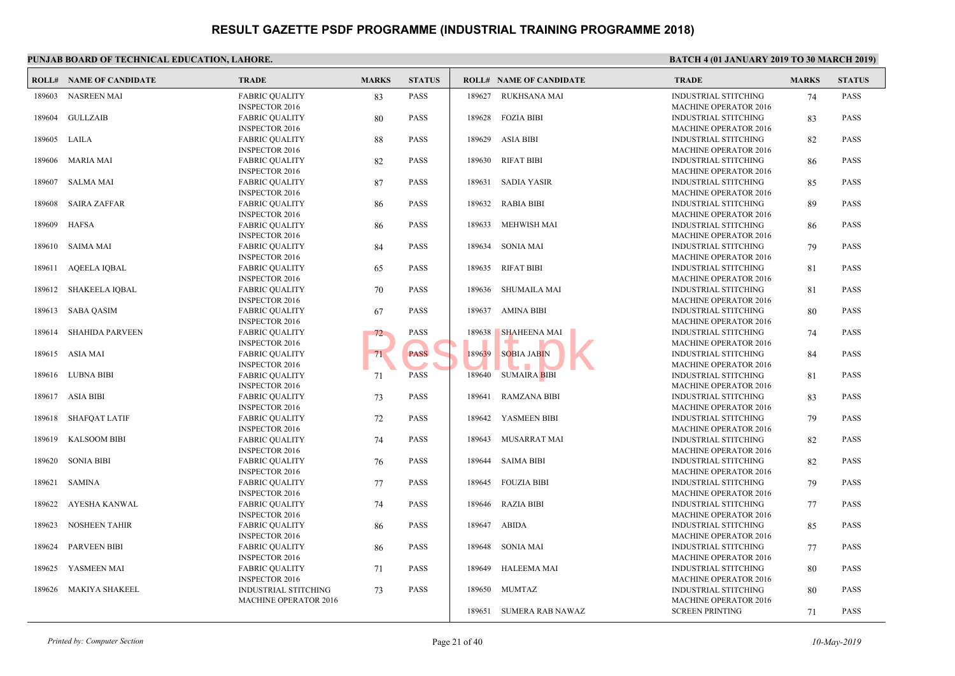|        | <b>ROLL# NAME OF CANDIDATE</b> | <b>TRADE</b>                 | <b>MARKS</b> | <b>STATUS</b> |        | <b>ROLL# NAME OF CANDIDATE</b> | <b>TRAL</b>  |
|--------|--------------------------------|------------------------------|--------------|---------------|--------|--------------------------------|--------------|
| 189603 | NASREEN MAI                    | <b>FABRIC QUALITY</b>        | 83           | <b>PASS</b>   | 189627 | RUKHSANA MAI                   | <b>INDUS</b> |
|        |                                | <b>INSPECTOR 2016</b>        |              |               |        |                                | <b>MACH</b>  |
| 189604 | GULLZAIB                       | <b>FABRIC QUALITY</b>        | 80           | <b>PASS</b>   | 189628 | <b>FOZIA BIBI</b>              | <b>INDUS</b> |
|        |                                | <b>INSPECTOR 2016</b>        |              |               |        |                                | <b>MACH</b>  |
|        | 189605 LAILA                   | <b>FABRIC OUALITY</b>        | 88           | <b>PASS</b>   | 189629 | <b>ASIA BIBI</b>               | <b>INDUS</b> |
|        |                                | <b>INSPECTOR 2016</b>        |              |               |        |                                | <b>MACH</b>  |
| 189606 | MARIA MAI                      | <b>FABRIC QUALITY</b>        | 82           | <b>PASS</b>   | 189630 | RIFAT BIBI                     | <b>INDUS</b> |
|        |                                | <b>INSPECTOR 2016</b>        |              |               |        |                                | <b>MACH</b>  |
| 189607 | <b>SALMA MAI</b>               | <b>FABRIC QUALITY</b>        | 87           | <b>PASS</b>   | 189631 | SADIA YASIR                    | <b>INDUS</b> |
|        |                                | <b>INSPECTOR 2016</b>        |              |               |        |                                | <b>MACH</b>  |
| 189608 | <b>SAIRA ZAFFAR</b>            | <b>FABRIC QUALITY</b>        | 86           | <b>PASS</b>   | 189632 | <b>RABIA BIBI</b>              | <b>INDUS</b> |
|        |                                | <b>INSPECTOR 2016</b>        |              |               |        |                                | <b>MACH</b>  |
| 189609 | <b>HAFSA</b>                   | <b>FABRIC QUALITY</b>        | 86           | <b>PASS</b>   | 189633 | <b>MEHWISH MAI</b>             | <b>INDUS</b> |
|        |                                | <b>INSPECTOR 2016</b>        |              |               |        |                                | <b>MACH</b>  |
| 189610 | <b>SAIMA MAI</b>               | <b>FABRIC QUALITY</b>        | 84           | <b>PASS</b>   | 189634 | SONIA MAI                      | <b>INDUS</b> |
|        |                                | <b>INSPECTOR 2016</b>        |              |               |        |                                | <b>MACH</b>  |
| 189611 | <b>AQEELA IQBAL</b>            | <b>FABRIC QUALITY</b>        | 65           | <b>PASS</b>   |        | 189635 RIFAT BIBI              | <b>INDUS</b> |
|        |                                | <b>INSPECTOR 2016</b>        |              |               |        |                                | <b>MACH</b>  |
| 189612 | SHAKEELA IQBAL                 | <b>FABRIC QUALITY</b>        | 70           | <b>PASS</b>   | 189636 | SHUMAILA MAI                   | <b>INDUS</b> |
|        |                                | <b>INSPECTOR 2016</b>        |              |               |        |                                | <b>MACH</b>  |
|        | 189613 SABA QASIM              | <b>FABRIC QUALITY</b>        | 67           | <b>PASS</b>   |        | 189637 AMINA BIBI              | <b>INDUS</b> |
|        |                                | <b>INSPECTOR 2016</b>        |              |               |        |                                | <b>MACH</b>  |
| 189614 | <b>SHAHIDA PARVEEN</b>         | <b>FABRIC QUALITY</b>        | $72^{\circ}$ | <b>PASS</b>   | 189638 | <b>SHAHEENA MAI</b>            | <b>INDUS</b> |
|        |                                | <b>INSPECTOR 2016</b>        |              |               |        |                                | <b>MACH</b>  |
|        | 189615 ASIA MAI                | <b>FABRIC QUALITY</b>        | 71           | <b>PASS</b>   | 189639 | <b>SOBIA JABIN</b>             | <b>INDUS</b> |
|        |                                | <b>INSPECTOR 2016</b>        |              |               |        |                                | <b>MACH</b>  |
| 189616 | LUBNA BIBI                     | <b>FABRIC QUALITY</b>        | 71           | <b>PASS</b>   |        | 189640 SUMAIRA BIBI            | <b>INDUS</b> |
|        |                                | <b>INSPECTOR 2016</b>        |              |               |        |                                | <b>MACH</b>  |
| 189617 | <b>ASIA BIBI</b>               | <b>FABRIC QUALITY</b>        | 73           | <b>PASS</b>   | 189641 | <b>RAMZANA BIBI</b>            | <b>INDUS</b> |
|        |                                | <b>INSPECTOR 2016</b>        |              |               |        |                                | <b>MACH</b>  |
| 189618 | <b>SHAFQAT LATIF</b>           | <b>FABRIC QUALITY</b>        | 72           | <b>PASS</b>   | 189642 | YASMEEN BIBI                   | <b>INDUS</b> |
|        |                                | <b>INSPECTOR 2016</b>        |              |               |        |                                | <b>MACH</b>  |
| 189619 | <b>KALSOOM BIBI</b>            | <b>FABRIC QUALITY</b>        | 74           | <b>PASS</b>   | 189643 | <b>MUSARRAT MAI</b>            | <b>INDUS</b> |
|        |                                | <b>INSPECTOR 2016</b>        |              |               |        |                                | <b>MACH</b>  |
| 189620 | <b>SONIA BIBI</b>              | <b>FABRIC QUALITY</b>        | 76           | <b>PASS</b>   | 189644 | <b>SAIMA BIBI</b>              | <b>INDUS</b> |
|        |                                | <b>INSPECTOR 2016</b>        |              |               |        |                                | <b>MACH</b>  |
| 189621 | SAMINA                         | <b>FABRIC QUALITY</b>        | 77           | <b>PASS</b>   |        | 189645 FOUZIA BIBI             | <b>INDUS</b> |
|        |                                | <b>INSPECTOR 2016</b>        |              |               |        |                                | <b>MACH</b>  |
| 189622 | AYESHA KANWAL                  | <b>FABRIC QUALITY</b>        | 74           | <b>PASS</b>   | 189646 | <b>RAZIA BIBI</b>              | <b>INDUS</b> |
|        |                                | <b>INSPECTOR 2016</b>        |              |               |        |                                | <b>MACH</b>  |
| 189623 | <b>NOSHEEN TAHIR</b>           | <b>FABRIC QUALITY</b>        | 86           | <b>PASS</b>   | 189647 | ABIDA                          | <b>INDUS</b> |
|        |                                | <b>INSPECTOR 2016</b>        |              |               |        |                                | <b>MACH</b>  |
| 189624 | <b>PARVEEN BIBI</b>            | <b>FABRIC QUALITY</b>        | 86           | <b>PASS</b>   |        | 189648 SONIA MAI               | <b>INDUS</b> |
|        |                                | <b>INSPECTOR 2016</b>        |              |               |        |                                | <b>MACH</b>  |
| 189625 | YASMEEN MAI                    | <b>FABRIC QUALITY</b>        | 71           | <b>PASS</b>   | 189649 | <b>HALEEMA MAI</b>             | <b>INDUS</b> |
|        |                                | <b>INSPECTOR 2016</b>        |              |               |        |                                | <b>MACH</b>  |
|        | 189626 MAKIYA SHAKEEL          | INDUSTRIAL STITCHING         | 73           | <b>PASS</b>   |        | 189650 MUMTAZ                  | <b>INDUS</b> |
|        |                                | <b>MACHINE OPERATOR 2016</b> |              |               |        |                                | <b>MACH</b>  |
|        |                                |                              |              |               | 189651 | SUMERA RAB NAWAZ               | <b>SCREE</b> |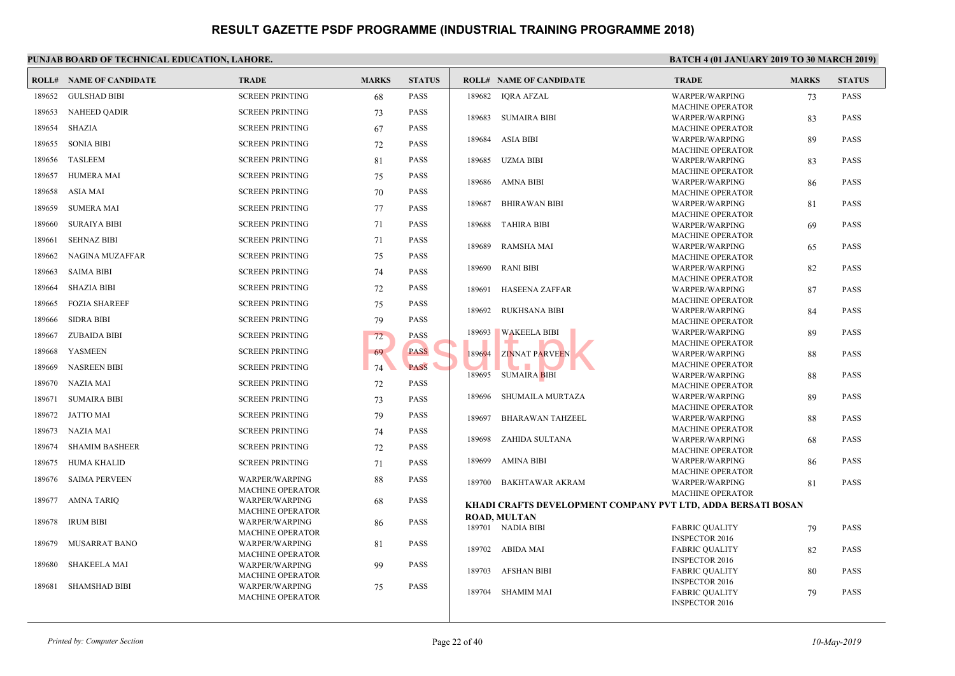|        | <b>ROLL# NAME OF CANDIDATE</b> | <b>TRADE</b>                                     | <b>MARKS</b> | <b>STATUS</b> |        | <b>ROLL# NAME OF CANDIDATE</b>           | <b>TRAL</b>                |
|--------|--------------------------------|--------------------------------------------------|--------------|---------------|--------|------------------------------------------|----------------------------|
| 189652 | <b>GULSHAD BIBI</b>            | <b>SCREEN PRINTING</b>                           | 68           | <b>PASS</b>   | 189682 | IQRA AFZAL                               | <b>WARP</b>                |
| 189653 | <b>NAHEED QADIR</b>            | <b>SCREEN PRINTING</b>                           | 73           | <b>PASS</b>   |        |                                          | <b>MACH</b>                |
| 189654 | <b>SHAZIA</b>                  | <b>SCREEN PRINTING</b>                           | 67           | <b>PASS</b>   | 189683 | SUMAIRA BIBI                             | <b>WARP</b><br><b>MACH</b> |
|        |                                |                                                  |              |               | 189684 | ASIA BIBI                                | <b>WARP</b>                |
| 189655 | <b>SONIA BIBI</b>              | <b>SCREEN PRINTING</b>                           | 72           | <b>PASS</b>   |        |                                          | <b>MACH</b>                |
| 189656 | TASLEEM                        | <b>SCREEN PRINTING</b>                           | 81           | <b>PASS</b>   |        | 189685 UZMA BIBI                         | <b>WARP</b>                |
| 189657 | <b>HUMERA MAI</b>              | <b>SCREEN PRINTING</b>                           | 75           | <b>PASS</b>   |        |                                          | <b>MACH</b>                |
| 189658 | ASIA MAI                       | <b>SCREEN PRINTING</b>                           | 70           | <b>PASS</b>   |        | 189686 AMNA BIBI                         | <b>WARP</b><br><b>MACH</b> |
|        |                                |                                                  |              |               | 189687 | <b>BHIRAWAN BIBI</b>                     | <b>WARP</b>                |
| 189659 | <b>SUMERA MAI</b>              | <b>SCREEN PRINTING</b>                           | 77           | <b>PASS</b>   |        |                                          | MACH                       |
| 189660 | SURAIYA BIBI                   | <b>SCREEN PRINTING</b>                           | 71           | <b>PASS</b>   | 189688 | TAHIRA BIBI                              | <b>WARP</b>                |
| 189661 | <b>SEHNAZ BIBI</b>             | <b>SCREEN PRINTING</b>                           | 71           | <b>PASS</b>   |        |                                          | <b>MACH</b>                |
| 189662 | NAGINA MUZAFFAR                | <b>SCREEN PRINTING</b>                           | 75           | <b>PASS</b>   | 189689 | RAMSHA MAI                               | <b>WARP</b><br><b>MACH</b> |
|        |                                |                                                  |              |               | 189690 | <b>RANI BIBI</b>                         | <b>WARP</b>                |
| 189663 | <b>SAIMA BIBI</b>              | <b>SCREEN PRINTING</b>                           | 74           | <b>PASS</b>   |        |                                          | <b>MACH</b>                |
| 189664 | <b>SHAZIA BIBI</b>             | <b>SCREEN PRINTING</b>                           | 72           | <b>PASS</b>   | 189691 | HASEENA ZAFFAR                           | <b>WARP</b>                |
| 189665 | <b>FOZIA SHAREEF</b>           | <b>SCREEN PRINTING</b>                           | 75           | <b>PASS</b>   |        |                                          | <b>MACH</b>                |
| 189666 | <b>SIDRA BIBI</b>              | <b>SCREEN PRINTING</b>                           | 79           | <b>PASS</b>   | 189692 | <b>RUKHSANA BIBI</b>                     | <b>WARP</b><br><b>MACH</b> |
| 189667 | <b>ZUBAIDA BIBI</b>            | <b>SCREEN PRINTING</b>                           | 72           | <b>PASS</b>   | 189693 | <b>WAKEELA BIBI</b>                      | <b>WARP</b>                |
| 189668 | <b>YASMEEN</b>                 | <b>SCREEN PRINTING</b>                           | 69           | <b>PASS</b>   |        |                                          | <b>MACH</b>                |
|        |                                |                                                  |              | <b>PASS</b>   | 189694 | <b>ZINNAT PARVEEN</b>                    | <b>WARP</b><br><b>MACH</b> |
| 189669 | <b>NASREEN BIBI</b>            | <b>SCREEN PRINTING</b>                           | 74           |               | 189695 | SUMAIRA BIBI                             | <b>WARP</b>                |
| 189670 | NAZIA MAI                      | <b>SCREEN PRINTING</b>                           | 72           | <b>PASS</b>   |        |                                          | <b>MACH</b>                |
| 189671 | <b>SUMAIRA BIBI</b>            | <b>SCREEN PRINTING</b>                           | 73           | <b>PASS</b>   | 189696 | SHUMAILA MURTAZA                         | <b>WARP</b>                |
| 189672 | JATTO MAI                      | <b>SCREEN PRINTING</b>                           | 79           | <b>PASS</b>   | 189697 | <b>BHARAWAN TAHZEEL</b>                  | <b>MACH</b><br><b>WARP</b> |
| 189673 | NAZIA MAI                      | <b>SCREEN PRINTING</b>                           | 74           | <b>PASS</b>   |        |                                          | <b>MACH</b>                |
|        |                                |                                                  |              |               | 189698 | ZAHIDA SULTANA                           | <b>WARP</b>                |
| 189674 | <b>SHAMIM BASHEER</b>          | <b>SCREEN PRINTING</b>                           | 72           | <b>PASS</b>   |        |                                          | <b>MACH</b>                |
| 189675 | <b>HUMA KHALID</b>             | <b>SCREEN PRINTING</b>                           | 71           | <b>PASS</b>   | 189699 | AMINA BIBI                               | <b>WARP</b><br>MACH        |
| 189676 | <b>SAIMA PERVEEN</b>           | WARPER/WARPING                                   | 88           | <b>PASS</b>   | 189700 | BAKHTAWAR AKRAM                          | <b>WARP</b>                |
|        |                                | <b>MACHINE OPERATOR</b>                          |              |               |        |                                          | <b>MACH</b>                |
| 189677 | AMNA TARIQ                     | WARPER/WARPING<br><b>MACHINE OPERATOR</b>        | 68           | <b>PASS</b>   |        | KHADI CRAFTS DEVELOPMENT COMPANY PVT LTI |                            |
| 189678 | <b>IRUM BIBI</b>               | WARPER/WARPING                                   | 86           | <b>PASS</b>   |        | <b>ROAD, MULTAN</b>                      |                            |
|        |                                | <b>MACHINE OPERATOR</b>                          |              |               |        | 189701 NADIA BIBI                        | FABRI                      |
| 189679 | MUSARRAT BANO                  | <b>WARPER/WARPING</b>                            | 81           | <b>PASS</b>   |        | 189702 ABIDA MAI                         | <b>INSPE</b>               |
|        |                                | <b>MACHINE OPERATOR</b>                          |              |               |        |                                          | FABRI<br><b>INSPE</b>      |
| 189680 | <b>SHAKEELA MAI</b>            | <b>WARPER/WARPING</b>                            | 99           | <b>PASS</b>   | 189703 | AFSHAN BIBI                              | <b>FABRI</b>               |
| 189681 | <b>SHAMSHAD BIBI</b>           | <b>MACHINE OPERATOR</b><br><b>WARPER/WARPING</b> | 75           | <b>PASS</b>   |        |                                          | <b>INSPE</b>               |
|        |                                | <b>MACHINE OPERATOR</b>                          |              |               | 189704 | SHAMIM MAI                               | <b>FABRI</b>               |
|        |                                |                                                  |              |               |        |                                          | <b>INSPE</b>               |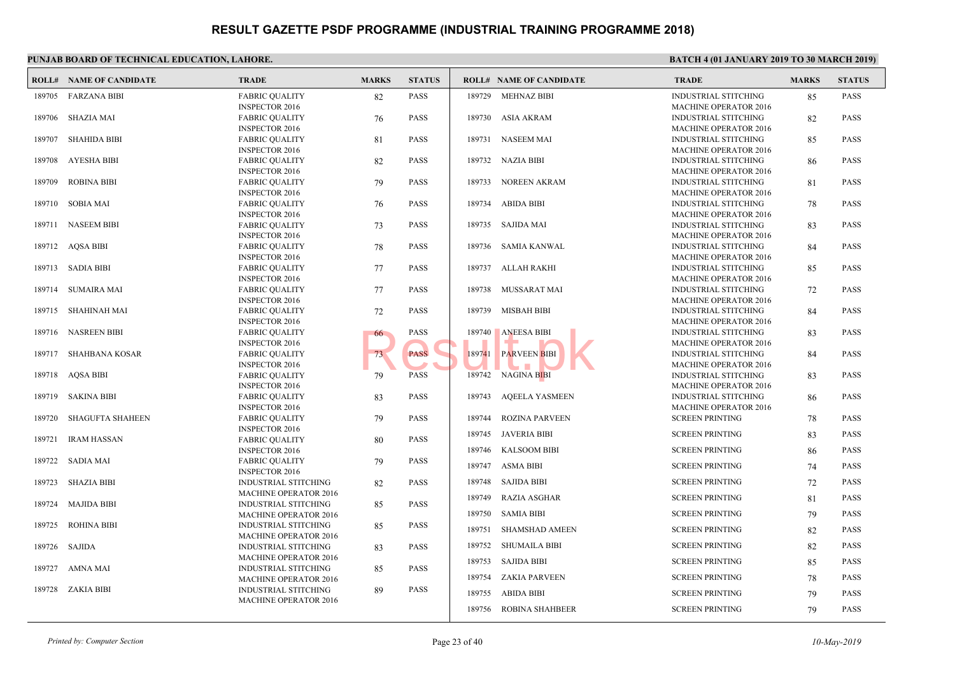|        | <b>ROLL# NAME OF CANDIDATE</b> | <b>TRADE</b>                                                | <b>MARKS</b> | <b>STATUS</b> |        | <b>ROLL# NAME OF CANDIDATE</b> | <b>TRAL</b>                 |
|--------|--------------------------------|-------------------------------------------------------------|--------------|---------------|--------|--------------------------------|-----------------------------|
|        | 189705 FARZANA BIBI            | <b>FABRIC QUALITY</b>                                       | 82           | <b>PASS</b>   |        | 189729 MEHNAZ BIBI             | <b>INDUS</b>                |
| 189706 | SHAZIA MAI                     | <b>INSPECTOR 2016</b><br><b>FABRIC QUALITY</b>              |              | <b>PASS</b>   |        | 189730 ASIA AKRAM              | <b>MACH</b><br><b>INDUS</b> |
|        |                                | <b>INSPECTOR 2016</b>                                       | 76           |               |        |                                | <b>MACH</b>                 |
| 189707 | <b>SHAHIDA BIBI</b>            | <b>FABRIC QUALITY</b>                                       | 81           | <b>PASS</b>   |        | 189731 NASEEM MAI              | <b>INDUS</b>                |
|        |                                | <b>INSPECTOR 2016</b>                                       |              |               |        |                                | <b>MACH</b>                 |
| 189708 | AYESHA BIBI                    | <b>FABRIC QUALITY</b>                                       | 82           | <b>PASS</b>   |        | 189732 NAZIA BIBI              | <b>INDUS</b>                |
|        |                                | <b>INSPECTOR 2016</b>                                       |              |               |        |                                | <b>MACH</b>                 |
| 189709 | <b>ROBINA BIBI</b>             | <b>FABRIC QUALITY</b>                                       | 79           | <b>PASS</b>   | 189733 | NOREEN AKRAM                   | <b>INDUS</b>                |
|        |                                | <b>INSPECTOR 2016</b>                                       |              |               |        |                                | <b>MACH</b>                 |
| 189710 | <b>SOBIA MAI</b>               | <b>FABRIC QUALITY</b>                                       | 76           | <b>PASS</b>   | 189734 | <b>ABIDA BIBI</b>              | <b>INDUS</b>                |
|        |                                | <b>INSPECTOR 2016</b>                                       |              |               |        |                                | <b>MACH</b>                 |
| 189711 | <b>NASEEM BIBI</b>             | <b>FABRIC QUALITY</b>                                       | 73           | <b>PASS</b>   |        | 189735 SAJIDA MAI              | <b>INDUS</b>                |
|        |                                | <b>INSPECTOR 2016</b>                                       |              |               |        |                                | <b>MACH</b>                 |
| 189712 | AQSA BIBI                      | <b>FABRIC QUALITY</b>                                       | 78           | <b>PASS</b>   | 189736 | SAMIA KANWAL                   | <b>INDUS</b>                |
|        |                                | <b>INSPECTOR 2016</b>                                       |              |               |        |                                | <b>MACH</b>                 |
| 189713 | SADIA BIBI                     | <b>FABRIC QUALITY</b>                                       | 77           | <b>PASS</b>   | 189737 | ALLAH RAKHI                    | <b>INDUS</b>                |
| 189714 | <b>SUMAIRA MAI</b>             | <b>INSPECTOR 2016</b><br><b>FABRIC QUALITY</b>              | 77           | <b>PASS</b>   | 189738 | <b>MUSSARAT MAI</b>            | <b>MACH</b><br><b>INDUS</b> |
|        |                                | <b>INSPECTOR 2016</b>                                       |              |               |        |                                | <b>MACH</b>                 |
| 189715 | SHAHINAH MAI                   | <b>FABRIC QUALITY</b>                                       | 72           | <b>PASS</b>   |        | 189739 MISBAH BIBI             | <b>INDUS</b>                |
|        |                                | <b>INSPECTOR 2016</b>                                       |              |               |        |                                | <b>MACH</b>                 |
|        | 189716 NASREEN BIBI            | <b>FABRIC QUALITY</b>                                       | 66           | <b>PASS</b>   | 189740 | <b>ANEESA BIBI</b>             | <b>INDUS</b>                |
|        |                                | <b>INSPECTOR 2016</b>                                       |              |               |        |                                | <b>MACH</b>                 |
| 189717 | SHAHBANA KOSAR                 | <b>FABRIC QUALITY</b>                                       | 73           | <b>PASS</b>   | 189741 | <b>PARVEEN BIBI</b>            | <b>INDUS</b>                |
|        |                                | <b>INSPECTOR 2016</b>                                       |              |               |        |                                | <b>MACH</b>                 |
|        | 189718 AQSA BIBI               | <b>FABRIC QUALITY</b>                                       | 79           | <b>PASS</b>   |        | 189742 NAGINA BIBI             | <b>INDUS</b>                |
|        |                                | <b>INSPECTOR 2016</b>                                       |              |               |        |                                | <b>MACH</b>                 |
| 189719 | SAKINA BIBI                    | <b>FABRIC QUALITY</b>                                       | 83           | <b>PASS</b>   |        | 189743 AQEELA YASMEEN          | <b>INDUS</b>                |
|        |                                | <b>INSPECTOR 2016</b>                                       |              |               |        |                                | <b>MACH</b>                 |
| 189720 | <b>SHAGUFTA SHAHEEN</b>        | <b>FABRIC QUALITY</b>                                       | 79           | <b>PASS</b>   | 189744 | <b>ROZINA PARVEEN</b>          | <b>SCREE</b>                |
|        |                                | <b>INSPECTOR 2016</b>                                       |              |               |        | 189745 JAVERIA BIBI            | <b>SCREE</b>                |
| 189721 | <b>IRAM HASSAN</b>             | <b>FABRIC QUALITY</b>                                       | 80           | <b>PASS</b>   |        |                                |                             |
|        |                                | <b>INSPECTOR 2016</b>                                       |              |               |        | 189746 KALSOOM BIBI            | <b>SCREE</b>                |
| 189722 | <b>SADIA MAI</b>               | <b>FABRIC QUALITY</b>                                       | 79           | <b>PASS</b>   |        | 189747 ASMA BIBI               | <b>SCREE</b>                |
|        |                                | <b>INSPECTOR 2016</b>                                       |              |               | 189748 |                                |                             |
| 189723 | <b>SHAZIA BIBI</b>             | <b>INDUSTRIAL STITCHING</b>                                 | 82           | <b>PASS</b>   |        | <b>SAJIDA BIBI</b>             | <b>SCREE</b>                |
| 189724 | <b>MAJIDA BIBI</b>             | <b>MACHINE OPERATOR 2016</b><br><b>INDUSTRIAL STITCHING</b> | 85           | <b>PASS</b>   | 189749 | RAZIA ASGHAR                   | <b>SCREE</b>                |
|        |                                | <b>MACHINE OPERATOR 2016</b>                                |              |               | 189750 | <b>SAMIA BIBI</b>              | <b>SCREE</b>                |
| 189725 | <b>ROHINA BIBI</b>             | INDUSTRIAL STITCHING                                        | 85           | <b>PASS</b>   |        |                                |                             |
|        |                                | <b>MACHINE OPERATOR 2016</b>                                |              |               | 189751 | <b>SHAMSHAD AMEEN</b>          | <b>SCREE</b>                |
|        | 189726 SAJIDA                  | INDUSTRIAL STITCHING                                        | 83           | <b>PASS</b>   | 189752 | SHUMAILA BIBI                  | <b>SCREE</b>                |
|        |                                | <b>MACHINE OPERATOR 2016</b>                                |              |               |        |                                |                             |
| 189727 | AMNA MAI                       | <b>INDUSTRIAL STITCHING</b>                                 | 85           | <b>PASS</b>   | 189753 | SAJIDA BIBI                    | <b>SCREE</b>                |
|        |                                | <b>MACHINE OPERATOR 2016</b>                                |              |               | 189754 | ZAKIA PARVEEN                  | <b>SCREE</b>                |
|        | 189728 ZAKIA BIBI              | INDUSTRIAL STITCHING                                        | 89           | <b>PASS</b>   | 189755 | ABIDA BIBI                     | <b>SCREE</b>                |
|        |                                | <b>MACHINE OPERATOR 2016</b>                                |              |               |        |                                |                             |
|        |                                |                                                             |              |               | 189756 | <b>ROBINA SHAHBEER</b>         | <b>SCREE</b>                |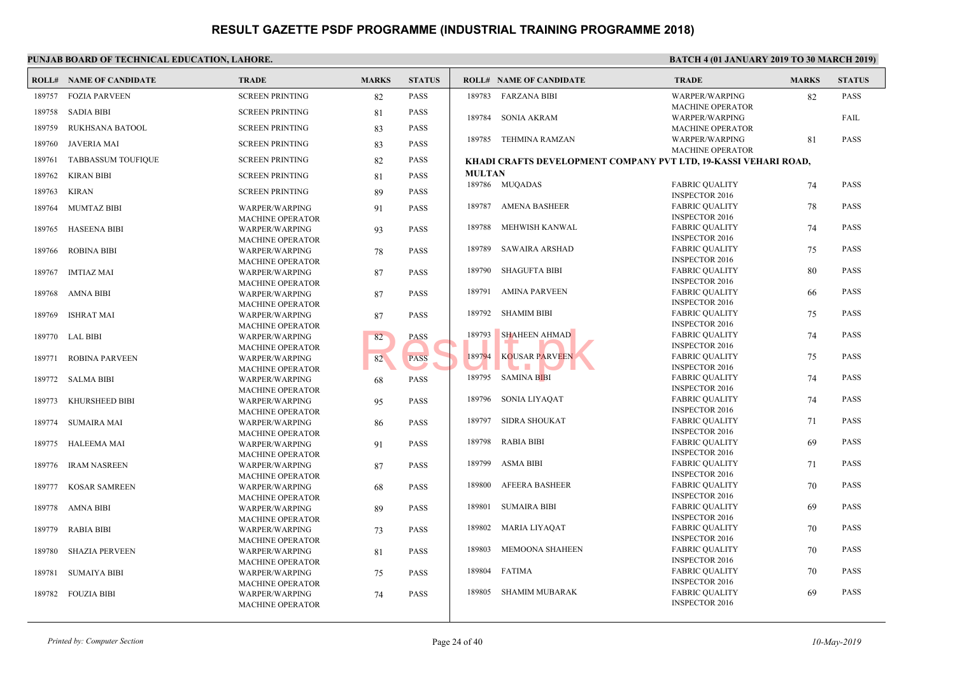|        | <b>ROLL# NAME OF CANDIDATE</b> | <b>TRADE</b>                              | <b>MARKS</b> | <b>STATUS</b> |               | <b>ROLL# NAME OF CANDIDATE</b>           | <b>TRAL</b>           |
|--------|--------------------------------|-------------------------------------------|--------------|---------------|---------------|------------------------------------------|-----------------------|
| 189757 | <b>FOZIA PARVEEN</b>           | <b>SCREEN PRINTING</b>                    | 82           | <b>PASS</b>   |               | 189783 FARZANA BIBI                      | <b>WARP</b>           |
|        |                                |                                           |              |               |               |                                          | <b>MACH</b>           |
| 189758 | <b>SADIA BIBI</b>              | <b>SCREEN PRINTING</b>                    | 81           | <b>PASS</b>   | 189784        | SONIA AKRAM                              | <b>WARP</b>           |
| 189759 | RUKHSANA BATOOL                | <b>SCREEN PRINTING</b>                    | 83           | <b>PASS</b>   |               |                                          | <b>MACH</b>           |
| 189760 | <b>JAVERIA MAI</b>             | <b>SCREEN PRINTING</b>                    | 83           | <b>PASS</b>   |               | 189785 TEHMINA RAMZAN                    | <b>WARP</b>           |
|        |                                |                                           |              |               |               |                                          | <b>MACH</b>           |
| 189761 | <b>TABBASSUM TOUFIQUE</b>      | <b>SCREEN PRINTING</b>                    | 82           | <b>PASS</b>   |               | KHADI CRAFTS DEVELOPMENT COMPANY PVT LTD |                       |
| 189762 | <b>KIRAN BIBI</b>              | <b>SCREEN PRINTING</b>                    | 81           | <b>PASS</b>   | <b>MULTAN</b> |                                          |                       |
| 189763 | <b>KIRAN</b>                   | <b>SCREEN PRINTING</b>                    | 89           | <b>PASS</b>   |               | 189786 MUQADAS                           | FABRI<br><b>INSPE</b> |
|        | <b>MUMTAZ BIBI</b>             |                                           |              | <b>PASS</b>   |               | 189787 AMENA BASHEER                     | FABRI                 |
| 189764 |                                | WARPER/WARPING<br><b>MACHINE OPERATOR</b> | 91           |               |               |                                          | <b>INSPE</b>          |
| 189765 | <b>HASEENA BIBI</b>            | WARPER/WARPING                            | 93           | <b>PASS</b>   | 189788        | MEHWISH KANWAL                           | FABRI                 |
|        |                                | <b>MACHINE OPERATOR</b>                   |              |               |               |                                          | <b>INSPE</b>          |
| 189766 | <b>ROBINA BIBI</b>             | <b>WARPER/WARPING</b>                     | 78           | <b>PASS</b>   | 189789        | SAWAIRA ARSHAD                           | FABRI                 |
|        |                                | <b>MACHINE OPERATOR</b>                   |              |               |               |                                          | <b>INSPE</b>          |
| 189767 | <b>IMTIAZ MAI</b>              | <b>WARPER/WARPING</b>                     | 87           | <b>PASS</b>   | 189790        | <b>SHAGUFTA BIBI</b>                     | FABRI                 |
|        |                                | <b>MACHINE OPERATOR</b>                   |              |               |               |                                          | <b>INSPE</b>          |
| 189768 | AMNA BIBI                      | <b>WARPER/WARPING</b>                     | 87           | <b>PASS</b>   | 189791        | AMINA PARVEEN                            | FABRI                 |
|        |                                | <b>MACHINE OPERATOR</b>                   |              |               |               |                                          | <b>INSPE</b>          |
| 189769 | ISHRAT MAI                     | WARPER/WARPING                            | 87           | <b>PASS</b>   | 189792        | SHAMIM BIBI                              | FABRI                 |
|        |                                | <b>MACHINE OPERATOR</b>                   |              |               | 189793        | <b>SHAHEEN AHMAD</b>                     | <b>INSPE</b>          |
| 189770 | LAL BIBI                       | WARPER/WARPING                            | 82           | <b>PASS</b>   |               |                                          | FABRI<br><b>INSPE</b> |
|        |                                | <b>MACHINE OPERATOR</b>                   |              |               | 189794        | <b>KOUSAR PARVEEN</b>                    | FABRI                 |
| 189771 | <b>ROBINA PARVEEN</b>          | <b>WARPER/WARPING</b>                     | 82           | <b>PASS</b>   |               |                                          | <b>INSPE</b>          |
| 189772 | <b>SALMA BIBI</b>              | <b>MACHINE OPERATOR</b><br>WARPER/WARPING | 68           | <b>PASS</b>   |               | 189795 SAMINA BIBI                       | FABRI                 |
|        |                                | <b>MACHINE OPERATOR</b>                   |              |               |               |                                          | <b>INSPE</b>          |
| 189773 | KHURSHEED BIBI                 | WARPER/WARPING                            | 95           | <b>PASS</b>   | 189796        | SONIA LIYAQAT                            | FABRI                 |
|        |                                | <b>MACHINE OPERATOR</b>                   |              |               |               |                                          | <b>INSPE</b>          |
| 189774 | <b>SUMAIRA MAI</b>             | WARPER/WARPING                            | 86           | <b>PASS</b>   | 189797        | <b>SIDRA SHOUKAT</b>                     | FABRI                 |
|        |                                | <b>MACHINE OPERATOR</b>                   |              |               |               |                                          | <b>INSPE</b>          |
| 189775 | <b>HALEEMA MAI</b>             | WARPER/WARPING                            | 91           | <b>PASS</b>   | 189798        | <b>RABIA BIBI</b>                        | FABRI                 |
|        |                                | <b>MACHINE OPERATOR</b>                   |              |               |               |                                          | <b>INSPE</b>          |
| 189776 | <b>IRAM NASREEN</b>            | <b>WARPER/WARPING</b>                     | 87           | <b>PASS</b>   | 189799        | <b>ASMA BIBI</b>                         | FABRI                 |
|        |                                | <b>MACHINE OPERATOR</b>                   |              |               | 189800        |                                          | <b>INSPE</b>          |
| 189777 | <b>KOSAR SAMREEN</b>           | <b>WARPER/WARPING</b>                     | 68           | <b>PASS</b>   |               | <b>AFEERA BASHEER</b>                    | FABRI<br><b>INSPE</b> |
|        |                                | <b>MACHINE OPERATOR</b>                   |              |               | 189801        | <b>SUMAIRA BIBI</b>                      | FABRI                 |
| 189778 | <b>AMNA BIBI</b>               | WARPER/WARPING<br><b>MACHINE OPERATOR</b> | 89           | <b>PASS</b>   |               |                                          | <b>INSPE</b>          |
| 189779 | <b>RABIA BIBI</b>              | <b>WARPER/WARPING</b>                     | 73           | <b>PASS</b>   | 189802        | MARIA LIYAQAT                            | FABRI                 |
|        |                                | <b>MACHINE OPERATOR</b>                   |              |               |               |                                          | <b>INSPE</b>          |
| 189780 | <b>SHAZIA PERVEEN</b>          | <b>WARPER/WARPING</b>                     | 81           | <b>PASS</b>   | 189803        | MEMOONA SHAHEEN                          | FABRI                 |
|        |                                | <b>MACHINE OPERATOR</b>                   |              |               |               |                                          | <b>INSPE</b>          |
| 189781 | <b>SUMAIYA BIBI</b>            | <b>WARPER/WARPING</b>                     | 75           | <b>PASS</b>   | 189804        | FATIMA                                   | FABRI                 |
|        |                                | <b>MACHINE OPERATOR</b>                   |              |               |               |                                          | <b>INSPE</b>          |
| 189782 | <b>FOUZIA BIBI</b>             | <b>WARPER/WARPING</b>                     | 74           | <b>PASS</b>   |               | 189805 SHAMIM MUBARAK                    | FABRI                 |
|        |                                | <b>MACHINE OPERATOR</b>                   |              |               |               |                                          | <b>INSPE</b>          |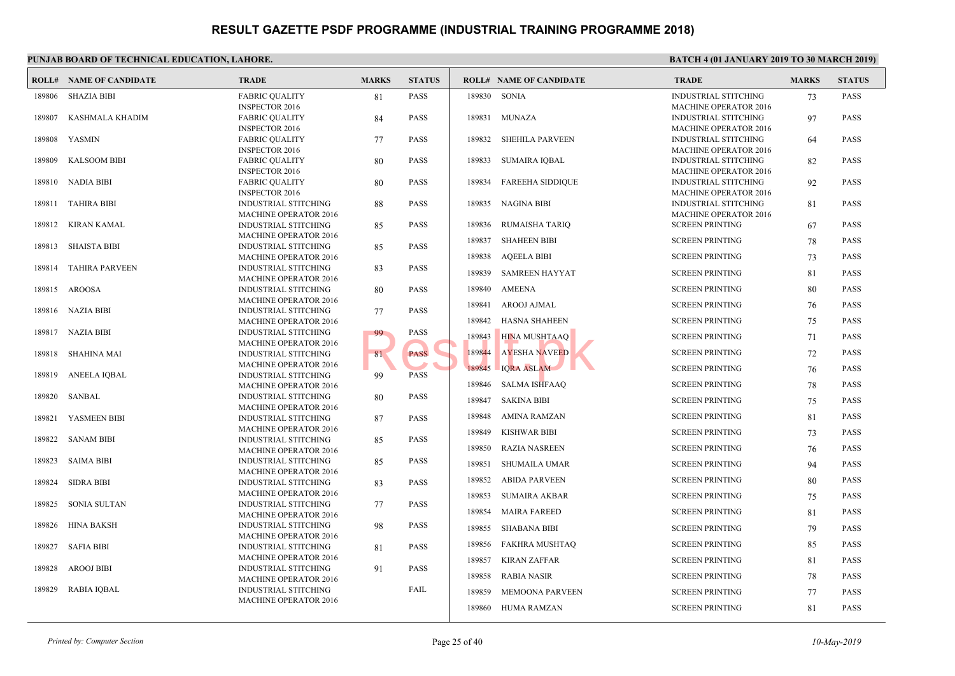| 189806<br>SHAZIA BIBI<br><b>FABRIC QUALITY</b><br><b>PASS</b><br>189830 SONIA<br>81<br><b>INSPECTOR 2016</b><br><b>PASS</b><br>189807<br>KASHMALA KHADIM<br>189831<br>MUNAZA<br><b>FABRIC QUALITY</b><br>84<br><b>INSPECTOR 2016</b><br>YASMIN<br><b>FABRIC QUALITY</b><br>77<br><b>PASS</b><br>189832<br><b>SHEHILA PARVEEN</b><br>189808<br><b>INSPECTOR 2016</b><br><b>SUMAIRA IQBAL</b><br>189809<br><b>KALSOOM BIBI</b><br><b>FABRIC QUALITY</b><br><b>PASS</b><br>189833<br>80<br><b>INSPECTOR 2016</b><br>NADIA BIBI<br><b>FABRIC QUALITY</b><br>80<br><b>PASS</b><br>189834<br><b>FAREEHA SIDDIQUE</b><br>189810<br><b>INSPECTOR 2016</b><br><b>INDUSTRIAL STITCHING</b><br><b>PASS</b><br><b>NAGINA BIBI</b><br>189811<br><b>TAHIRA BIBI</b><br>189835<br>88<br><b>MACHINE OPERATOR 2016</b><br>KIRAN KAMAL<br><b>PASS</b><br>189836<br>RUMAISHA TARIQ<br>189812<br><b>INDUSTRIAL STITCHING</b><br>85<br><b>MACHINE OPERATOR 2016</b><br><b>SHAHEEN BIBI</b><br>189837<br>189813<br><b>SHAISTA BIBI</b><br><b>INDUSTRIAL STITCHING</b><br>85<br><b>PASS</b><br>189838<br><b>AQEELA BIBI</b><br><b>MACHINE OPERATOR 2016</b><br><b>TAHIRA PARVEEN</b><br>189814<br><b>INDUSTRIAL STITCHING</b><br>83<br><b>PASS</b><br>189839<br><b>SAMREEN HAYYAT</b><br><b>MACHINE OPERATOR 2016</b><br><b>AMEENA</b><br>189840<br>189815 AROOSA<br><b>INDUSTRIAL STITCHING</b><br>80<br><b>PASS</b><br><b>MACHINE OPERATOR 2016</b><br>189841<br>AROOJ AJMAL<br>189816 NAZIA BIBI<br><b>PASS</b><br><b>INDUSTRIAL STITCHING</b><br>77<br>189842<br><b>HASNA SHAHEEN</b><br><b>MACHINE OPERATOR 2016</b><br>189817 NAZIA BIBI<br><b>PASS</b><br><b>INDUSTRIAL STITCHING</b><br>99<br>189843<br><b>HINA MUSHTAAQ</b><br><b>MACHINE OPERATOR 2016</b><br><b>AYESHA NAVEED</b><br>189844<br><b>PASS</b><br>189818<br>SHAHINA MAI<br><b>INDUSTRIAL STITCHING</b><br>81<br><b>MACHINE OPERATOR 2016</b><br><b>IQRA ASLAM</b><br>189845<br>189819<br><b>ANEELA IQBAL</b><br><b>INDUSTRIAL STITCHING</b><br><b>PASS</b><br>99<br>189846<br><b>SALMA ISHFAAO</b><br><b>MACHINE OPERATOR 2016</b><br>SANBAL<br><b>PASS</b><br>189820<br><b>INDUSTRIAL STITCHING</b><br>80<br>189847<br><b>SAKINA BIBI</b><br>MACHINE OPERATOR 2016<br>189848<br>AMINA RAMZAN<br>YASMEEN BIBI<br><b>PASS</b><br>189821<br><b>INDUSTRIAL STITCHING</b><br>87<br><b>MACHINE OPERATOR 2016</b><br>189849<br><b>KISHWAR BIBI</b><br>189822<br><b>SANAM BIBI</b><br><b>PASS</b><br><b>INDUSTRIAL STITCHING</b><br>85<br>189850<br><b>RAZIA NASREEN</b><br><b>MACHINE OPERATOR 2016</b><br><b>INDUSTRIAL STITCHING</b><br><b>PASS</b><br>189823<br>SAIMA BIBI<br>85<br>189851<br>SHUMAILA UMAR<br><b>MACHINE OPERATOR 2016</b><br>189852<br><b>ABIDA PARVEEN</b><br>189824<br><b>SIDRA BIBI</b><br><b>INDUSTRIAL STITCHING</b><br><b>PASS</b><br>83<br>MACHINE OPERATOR 2016<br>189853<br><b>SUMAIRA AKBAR</b><br><b>SONIA SULTAN</b><br>INDUSTRIAL STITCHING<br>189825<br>77<br><b>PASS</b><br>189854<br><b>MAIRA FAREED</b><br><b>MACHINE OPERATOR 2016</b><br><b>HINA BAKSH</b><br><b>INDUSTRIAL STITCHING</b><br><b>PASS</b><br>189826<br>98<br>189855<br><b>SHABANA BIBI</b><br><b>MACHINE OPERATOR 2016</b><br>189856<br>FAKHRA MUSHTAQ<br><b>SAFIA BIBI</b><br><b>PASS</b><br>189827<br><b>INDUSTRIAL STITCHING</b><br>81<br><b>MACHINE OPERATOR 2016</b><br>189857<br><b>KIRAN ZAFFAR</b><br>189828<br><b>AROOJ BIBI</b><br><b>INDUSTRIAL STITCHING</b><br><b>PASS</b><br>91<br>189858<br><b>RABIA NASIR</b><br><b>MACHINE OPERATOR 2016</b><br>189829<br><b>RABIA IQBAL</b><br><b>INDUSTRIAL STITCHING</b><br>FAIL<br><b>MEMOONA PARVEEN</b><br>189859<br><b>MACHINE OPERATOR 2016</b><br>189860<br>HUMA RAMZAN | <b>ROLL# NAME OF CANDIDATE</b> | <b>TRADE</b> | <b>MARKS</b> | <b>STATUS</b> | <b>ROLL# NAME OF CANDIDATE</b> | <b>TRAL</b>  |
|------------------------------------------------------------------------------------------------------------------------------------------------------------------------------------------------------------------------------------------------------------------------------------------------------------------------------------------------------------------------------------------------------------------------------------------------------------------------------------------------------------------------------------------------------------------------------------------------------------------------------------------------------------------------------------------------------------------------------------------------------------------------------------------------------------------------------------------------------------------------------------------------------------------------------------------------------------------------------------------------------------------------------------------------------------------------------------------------------------------------------------------------------------------------------------------------------------------------------------------------------------------------------------------------------------------------------------------------------------------------------------------------------------------------------------------------------------------------------------------------------------------------------------------------------------------------------------------------------------------------------------------------------------------------------------------------------------------------------------------------------------------------------------------------------------------------------------------------------------------------------------------------------------------------------------------------------------------------------------------------------------------------------------------------------------------------------------------------------------------------------------------------------------------------------------------------------------------------------------------------------------------------------------------------------------------------------------------------------------------------------------------------------------------------------------------------------------------------------------------------------------------------------------------------------------------------------------------------------------------------------------------------------------------------------------------------------------------------------------------------------------------------------------------------------------------------------------------------------------------------------------------------------------------------------------------------------------------------------------------------------------------------------------------------------------------------------------------------------------------------------------------------------------------------------------------------------------------------------------------------------------------------------------------------------------------------------------------------------------------------------------------------------------------------------------------------------------------------------------------------------------------------------------------------------------------------------------------------------------------------------------------------------------------------------------|--------------------------------|--------------|--------------|---------------|--------------------------------|--------------|
| <b>MACH</b><br><b>INDUS</b><br><b>MACH</b><br><b>SCREE</b><br><b>SCREE</b><br><b>SCREE</b><br><b>SCREE</b><br><b>SCREE</b><br><b>SCREE</b><br><b>SCREE</b><br><b>SCREE</b><br><b>SCREE</b><br><b>SCREE</b><br><b>SCREE</b><br><b>SCREE</b>                                                                                                                                                                                                                                                                                                                                                                                                                                                                                                                                                                                                                                                                                                                                                                                                                                                                                                                                                                                                                                                                                                                                                                                                                                                                                                                                                                                                                                                                                                                                                                                                                                                                                                                                                                                                                                                                                                                                                                                                                                                                                                                                                                                                                                                                                                                                                                                                                                                                                                                                                                                                                                                                                                                                                                                                                                                                                                                                                                                                                                                                                                                                                                                                                                                                                                                                                                                                                                         |                                |              |              |               |                                | <b>INDUS</b> |
|                                                                                                                                                                                                                                                                                                                                                                                                                                                                                                                                                                                                                                                                                                                                                                                                                                                                                                                                                                                                                                                                                                                                                                                                                                                                                                                                                                                                                                                                                                                                                                                                                                                                                                                                                                                                                                                                                                                                                                                                                                                                                                                                                                                                                                                                                                                                                                                                                                                                                                                                                                                                                                                                                                                                                                                                                                                                                                                                                                                                                                                                                                                                                                                                                                                                                                                                                                                                                                                                                                                                                                                                                                                                                    |                                |              |              |               |                                | <b>MACH</b>  |
|                                                                                                                                                                                                                                                                                                                                                                                                                                                                                                                                                                                                                                                                                                                                                                                                                                                                                                                                                                                                                                                                                                                                                                                                                                                                                                                                                                                                                                                                                                                                                                                                                                                                                                                                                                                                                                                                                                                                                                                                                                                                                                                                                                                                                                                                                                                                                                                                                                                                                                                                                                                                                                                                                                                                                                                                                                                                                                                                                                                                                                                                                                                                                                                                                                                                                                                                                                                                                                                                                                                                                                                                                                                                                    |                                |              |              |               |                                | <b>INDUS</b> |
|                                                                                                                                                                                                                                                                                                                                                                                                                                                                                                                                                                                                                                                                                                                                                                                                                                                                                                                                                                                                                                                                                                                                                                                                                                                                                                                                                                                                                                                                                                                                                                                                                                                                                                                                                                                                                                                                                                                                                                                                                                                                                                                                                                                                                                                                                                                                                                                                                                                                                                                                                                                                                                                                                                                                                                                                                                                                                                                                                                                                                                                                                                                                                                                                                                                                                                                                                                                                                                                                                                                                                                                                                                                                                    |                                |              |              |               |                                | <b>MACH</b>  |
|                                                                                                                                                                                                                                                                                                                                                                                                                                                                                                                                                                                                                                                                                                                                                                                                                                                                                                                                                                                                                                                                                                                                                                                                                                                                                                                                                                                                                                                                                                                                                                                                                                                                                                                                                                                                                                                                                                                                                                                                                                                                                                                                                                                                                                                                                                                                                                                                                                                                                                                                                                                                                                                                                                                                                                                                                                                                                                                                                                                                                                                                                                                                                                                                                                                                                                                                                                                                                                                                                                                                                                                                                                                                                    |                                |              |              |               |                                | <b>INDUS</b> |
|                                                                                                                                                                                                                                                                                                                                                                                                                                                                                                                                                                                                                                                                                                                                                                                                                                                                                                                                                                                                                                                                                                                                                                                                                                                                                                                                                                                                                                                                                                                                                                                                                                                                                                                                                                                                                                                                                                                                                                                                                                                                                                                                                                                                                                                                                                                                                                                                                                                                                                                                                                                                                                                                                                                                                                                                                                                                                                                                                                                                                                                                                                                                                                                                                                                                                                                                                                                                                                                                                                                                                                                                                                                                                    |                                |              |              |               |                                | <b>MACH</b>  |
|                                                                                                                                                                                                                                                                                                                                                                                                                                                                                                                                                                                                                                                                                                                                                                                                                                                                                                                                                                                                                                                                                                                                                                                                                                                                                                                                                                                                                                                                                                                                                                                                                                                                                                                                                                                                                                                                                                                                                                                                                                                                                                                                                                                                                                                                                                                                                                                                                                                                                                                                                                                                                                                                                                                                                                                                                                                                                                                                                                                                                                                                                                                                                                                                                                                                                                                                                                                                                                                                                                                                                                                                                                                                                    |                                |              |              |               |                                | <b>INDUS</b> |
|                                                                                                                                                                                                                                                                                                                                                                                                                                                                                                                                                                                                                                                                                                                                                                                                                                                                                                                                                                                                                                                                                                                                                                                                                                                                                                                                                                                                                                                                                                                                                                                                                                                                                                                                                                                                                                                                                                                                                                                                                                                                                                                                                                                                                                                                                                                                                                                                                                                                                                                                                                                                                                                                                                                                                                                                                                                                                                                                                                                                                                                                                                                                                                                                                                                                                                                                                                                                                                                                                                                                                                                                                                                                                    |                                |              |              |               |                                | <b>MACH</b>  |
|                                                                                                                                                                                                                                                                                                                                                                                                                                                                                                                                                                                                                                                                                                                                                                                                                                                                                                                                                                                                                                                                                                                                                                                                                                                                                                                                                                                                                                                                                                                                                                                                                                                                                                                                                                                                                                                                                                                                                                                                                                                                                                                                                                                                                                                                                                                                                                                                                                                                                                                                                                                                                                                                                                                                                                                                                                                                                                                                                                                                                                                                                                                                                                                                                                                                                                                                                                                                                                                                                                                                                                                                                                                                                    |                                |              |              |               |                                | <b>INDUS</b> |
|                                                                                                                                                                                                                                                                                                                                                                                                                                                                                                                                                                                                                                                                                                                                                                                                                                                                                                                                                                                                                                                                                                                                                                                                                                                                                                                                                                                                                                                                                                                                                                                                                                                                                                                                                                                                                                                                                                                                                                                                                                                                                                                                                                                                                                                                                                                                                                                                                                                                                                                                                                                                                                                                                                                                                                                                                                                                                                                                                                                                                                                                                                                                                                                                                                                                                                                                                                                                                                                                                                                                                                                                                                                                                    |                                |              |              |               |                                |              |
|                                                                                                                                                                                                                                                                                                                                                                                                                                                                                                                                                                                                                                                                                                                                                                                                                                                                                                                                                                                                                                                                                                                                                                                                                                                                                                                                                                                                                                                                                                                                                                                                                                                                                                                                                                                                                                                                                                                                                                                                                                                                                                                                                                                                                                                                                                                                                                                                                                                                                                                                                                                                                                                                                                                                                                                                                                                                                                                                                                                                                                                                                                                                                                                                                                                                                                                                                                                                                                                                                                                                                                                                                                                                                    |                                |              |              |               |                                |              |
|                                                                                                                                                                                                                                                                                                                                                                                                                                                                                                                                                                                                                                                                                                                                                                                                                                                                                                                                                                                                                                                                                                                                                                                                                                                                                                                                                                                                                                                                                                                                                                                                                                                                                                                                                                                                                                                                                                                                                                                                                                                                                                                                                                                                                                                                                                                                                                                                                                                                                                                                                                                                                                                                                                                                                                                                                                                                                                                                                                                                                                                                                                                                                                                                                                                                                                                                                                                                                                                                                                                                                                                                                                                                                    |                                |              |              |               |                                |              |
|                                                                                                                                                                                                                                                                                                                                                                                                                                                                                                                                                                                                                                                                                                                                                                                                                                                                                                                                                                                                                                                                                                                                                                                                                                                                                                                                                                                                                                                                                                                                                                                                                                                                                                                                                                                                                                                                                                                                                                                                                                                                                                                                                                                                                                                                                                                                                                                                                                                                                                                                                                                                                                                                                                                                                                                                                                                                                                                                                                                                                                                                                                                                                                                                                                                                                                                                                                                                                                                                                                                                                                                                                                                                                    |                                |              |              |               |                                |              |
|                                                                                                                                                                                                                                                                                                                                                                                                                                                                                                                                                                                                                                                                                                                                                                                                                                                                                                                                                                                                                                                                                                                                                                                                                                                                                                                                                                                                                                                                                                                                                                                                                                                                                                                                                                                                                                                                                                                                                                                                                                                                                                                                                                                                                                                                                                                                                                                                                                                                                                                                                                                                                                                                                                                                                                                                                                                                                                                                                                                                                                                                                                                                                                                                                                                                                                                                                                                                                                                                                                                                                                                                                                                                                    |                                |              |              |               |                                | <b>SCREE</b> |
|                                                                                                                                                                                                                                                                                                                                                                                                                                                                                                                                                                                                                                                                                                                                                                                                                                                                                                                                                                                                                                                                                                                                                                                                                                                                                                                                                                                                                                                                                                                                                                                                                                                                                                                                                                                                                                                                                                                                                                                                                                                                                                                                                                                                                                                                                                                                                                                                                                                                                                                                                                                                                                                                                                                                                                                                                                                                                                                                                                                                                                                                                                                                                                                                                                                                                                                                                                                                                                                                                                                                                                                                                                                                                    |                                |              |              |               |                                |              |
|                                                                                                                                                                                                                                                                                                                                                                                                                                                                                                                                                                                                                                                                                                                                                                                                                                                                                                                                                                                                                                                                                                                                                                                                                                                                                                                                                                                                                                                                                                                                                                                                                                                                                                                                                                                                                                                                                                                                                                                                                                                                                                                                                                                                                                                                                                                                                                                                                                                                                                                                                                                                                                                                                                                                                                                                                                                                                                                                                                                                                                                                                                                                                                                                                                                                                                                                                                                                                                                                                                                                                                                                                                                                                    |                                |              |              |               |                                |              |
|                                                                                                                                                                                                                                                                                                                                                                                                                                                                                                                                                                                                                                                                                                                                                                                                                                                                                                                                                                                                                                                                                                                                                                                                                                                                                                                                                                                                                                                                                                                                                                                                                                                                                                                                                                                                                                                                                                                                                                                                                                                                                                                                                                                                                                                                                                                                                                                                                                                                                                                                                                                                                                                                                                                                                                                                                                                                                                                                                                                                                                                                                                                                                                                                                                                                                                                                                                                                                                                                                                                                                                                                                                                                                    |                                |              |              |               |                                | <b>SCREE</b> |
|                                                                                                                                                                                                                                                                                                                                                                                                                                                                                                                                                                                                                                                                                                                                                                                                                                                                                                                                                                                                                                                                                                                                                                                                                                                                                                                                                                                                                                                                                                                                                                                                                                                                                                                                                                                                                                                                                                                                                                                                                                                                                                                                                                                                                                                                                                                                                                                                                                                                                                                                                                                                                                                                                                                                                                                                                                                                                                                                                                                                                                                                                                                                                                                                                                                                                                                                                                                                                                                                                                                                                                                                                                                                                    |                                |              |              |               |                                |              |
|                                                                                                                                                                                                                                                                                                                                                                                                                                                                                                                                                                                                                                                                                                                                                                                                                                                                                                                                                                                                                                                                                                                                                                                                                                                                                                                                                                                                                                                                                                                                                                                                                                                                                                                                                                                                                                                                                                                                                                                                                                                                                                                                                                                                                                                                                                                                                                                                                                                                                                                                                                                                                                                                                                                                                                                                                                                                                                                                                                                                                                                                                                                                                                                                                                                                                                                                                                                                                                                                                                                                                                                                                                                                                    |                                |              |              |               |                                |              |
|                                                                                                                                                                                                                                                                                                                                                                                                                                                                                                                                                                                                                                                                                                                                                                                                                                                                                                                                                                                                                                                                                                                                                                                                                                                                                                                                                                                                                                                                                                                                                                                                                                                                                                                                                                                                                                                                                                                                                                                                                                                                                                                                                                                                                                                                                                                                                                                                                                                                                                                                                                                                                                                                                                                                                                                                                                                                                                                                                                                                                                                                                                                                                                                                                                                                                                                                                                                                                                                                                                                                                                                                                                                                                    |                                |              |              |               |                                | <b>SCREE</b> |
|                                                                                                                                                                                                                                                                                                                                                                                                                                                                                                                                                                                                                                                                                                                                                                                                                                                                                                                                                                                                                                                                                                                                                                                                                                                                                                                                                                                                                                                                                                                                                                                                                                                                                                                                                                                                                                                                                                                                                                                                                                                                                                                                                                                                                                                                                                                                                                                                                                                                                                                                                                                                                                                                                                                                                                                                                                                                                                                                                                                                                                                                                                                                                                                                                                                                                                                                                                                                                                                                                                                                                                                                                                                                                    |                                |              |              |               |                                |              |
|                                                                                                                                                                                                                                                                                                                                                                                                                                                                                                                                                                                                                                                                                                                                                                                                                                                                                                                                                                                                                                                                                                                                                                                                                                                                                                                                                                                                                                                                                                                                                                                                                                                                                                                                                                                                                                                                                                                                                                                                                                                                                                                                                                                                                                                                                                                                                                                                                                                                                                                                                                                                                                                                                                                                                                                                                                                                                                                                                                                                                                                                                                                                                                                                                                                                                                                                                                                                                                                                                                                                                                                                                                                                                    |                                |              |              |               |                                |              |
|                                                                                                                                                                                                                                                                                                                                                                                                                                                                                                                                                                                                                                                                                                                                                                                                                                                                                                                                                                                                                                                                                                                                                                                                                                                                                                                                                                                                                                                                                                                                                                                                                                                                                                                                                                                                                                                                                                                                                                                                                                                                                                                                                                                                                                                                                                                                                                                                                                                                                                                                                                                                                                                                                                                                                                                                                                                                                                                                                                                                                                                                                                                                                                                                                                                                                                                                                                                                                                                                                                                                                                                                                                                                                    |                                |              |              |               |                                |              |
|                                                                                                                                                                                                                                                                                                                                                                                                                                                                                                                                                                                                                                                                                                                                                                                                                                                                                                                                                                                                                                                                                                                                                                                                                                                                                                                                                                                                                                                                                                                                                                                                                                                                                                                                                                                                                                                                                                                                                                                                                                                                                                                                                                                                                                                                                                                                                                                                                                                                                                                                                                                                                                                                                                                                                                                                                                                                                                                                                                                                                                                                                                                                                                                                                                                                                                                                                                                                                                                                                                                                                                                                                                                                                    |                                |              |              |               |                                | <b>SCREE</b> |
|                                                                                                                                                                                                                                                                                                                                                                                                                                                                                                                                                                                                                                                                                                                                                                                                                                                                                                                                                                                                                                                                                                                                                                                                                                                                                                                                                                                                                                                                                                                                                                                                                                                                                                                                                                                                                                                                                                                                                                                                                                                                                                                                                                                                                                                                                                                                                                                                                                                                                                                                                                                                                                                                                                                                                                                                                                                                                                                                                                                                                                                                                                                                                                                                                                                                                                                                                                                                                                                                                                                                                                                                                                                                                    |                                |              |              |               |                                |              |
|                                                                                                                                                                                                                                                                                                                                                                                                                                                                                                                                                                                                                                                                                                                                                                                                                                                                                                                                                                                                                                                                                                                                                                                                                                                                                                                                                                                                                                                                                                                                                                                                                                                                                                                                                                                                                                                                                                                                                                                                                                                                                                                                                                                                                                                                                                                                                                                                                                                                                                                                                                                                                                                                                                                                                                                                                                                                                                                                                                                                                                                                                                                                                                                                                                                                                                                                                                                                                                                                                                                                                                                                                                                                                    |                                |              |              |               |                                |              |
|                                                                                                                                                                                                                                                                                                                                                                                                                                                                                                                                                                                                                                                                                                                                                                                                                                                                                                                                                                                                                                                                                                                                                                                                                                                                                                                                                                                                                                                                                                                                                                                                                                                                                                                                                                                                                                                                                                                                                                                                                                                                                                                                                                                                                                                                                                                                                                                                                                                                                                                                                                                                                                                                                                                                                                                                                                                                                                                                                                                                                                                                                                                                                                                                                                                                                                                                                                                                                                                                                                                                                                                                                                                                                    |                                |              |              |               |                                | <b>SCREE</b> |
|                                                                                                                                                                                                                                                                                                                                                                                                                                                                                                                                                                                                                                                                                                                                                                                                                                                                                                                                                                                                                                                                                                                                                                                                                                                                                                                                                                                                                                                                                                                                                                                                                                                                                                                                                                                                                                                                                                                                                                                                                                                                                                                                                                                                                                                                                                                                                                                                                                                                                                                                                                                                                                                                                                                                                                                                                                                                                                                                                                                                                                                                                                                                                                                                                                                                                                                                                                                                                                                                                                                                                                                                                                                                                    |                                |              |              |               |                                |              |
|                                                                                                                                                                                                                                                                                                                                                                                                                                                                                                                                                                                                                                                                                                                                                                                                                                                                                                                                                                                                                                                                                                                                                                                                                                                                                                                                                                                                                                                                                                                                                                                                                                                                                                                                                                                                                                                                                                                                                                                                                                                                                                                                                                                                                                                                                                                                                                                                                                                                                                                                                                                                                                                                                                                                                                                                                                                                                                                                                                                                                                                                                                                                                                                                                                                                                                                                                                                                                                                                                                                                                                                                                                                                                    |                                |              |              |               |                                |              |
|                                                                                                                                                                                                                                                                                                                                                                                                                                                                                                                                                                                                                                                                                                                                                                                                                                                                                                                                                                                                                                                                                                                                                                                                                                                                                                                                                                                                                                                                                                                                                                                                                                                                                                                                                                                                                                                                                                                                                                                                                                                                                                                                                                                                                                                                                                                                                                                                                                                                                                                                                                                                                                                                                                                                                                                                                                                                                                                                                                                                                                                                                                                                                                                                                                                                                                                                                                                                                                                                                                                                                                                                                                                                                    |                                |              |              |               |                                | <b>SCREE</b> |
|                                                                                                                                                                                                                                                                                                                                                                                                                                                                                                                                                                                                                                                                                                                                                                                                                                                                                                                                                                                                                                                                                                                                                                                                                                                                                                                                                                                                                                                                                                                                                                                                                                                                                                                                                                                                                                                                                                                                                                                                                                                                                                                                                                                                                                                                                                                                                                                                                                                                                                                                                                                                                                                                                                                                                                                                                                                                                                                                                                                                                                                                                                                                                                                                                                                                                                                                                                                                                                                                                                                                                                                                                                                                                    |                                |              |              |               |                                |              |
|                                                                                                                                                                                                                                                                                                                                                                                                                                                                                                                                                                                                                                                                                                                                                                                                                                                                                                                                                                                                                                                                                                                                                                                                                                                                                                                                                                                                                                                                                                                                                                                                                                                                                                                                                                                                                                                                                                                                                                                                                                                                                                                                                                                                                                                                                                                                                                                                                                                                                                                                                                                                                                                                                                                                                                                                                                                                                                                                                                                                                                                                                                                                                                                                                                                                                                                                                                                                                                                                                                                                                                                                                                                                                    |                                |              |              |               |                                |              |
|                                                                                                                                                                                                                                                                                                                                                                                                                                                                                                                                                                                                                                                                                                                                                                                                                                                                                                                                                                                                                                                                                                                                                                                                                                                                                                                                                                                                                                                                                                                                                                                                                                                                                                                                                                                                                                                                                                                                                                                                                                                                                                                                                                                                                                                                                                                                                                                                                                                                                                                                                                                                                                                                                                                                                                                                                                                                                                                                                                                                                                                                                                                                                                                                                                                                                                                                                                                                                                                                                                                                                                                                                                                                                    |                                |              |              |               |                                | <b>SCREE</b> |
|                                                                                                                                                                                                                                                                                                                                                                                                                                                                                                                                                                                                                                                                                                                                                                                                                                                                                                                                                                                                                                                                                                                                                                                                                                                                                                                                                                                                                                                                                                                                                                                                                                                                                                                                                                                                                                                                                                                                                                                                                                                                                                                                                                                                                                                                                                                                                                                                                                                                                                                                                                                                                                                                                                                                                                                                                                                                                                                                                                                                                                                                                                                                                                                                                                                                                                                                                                                                                                                                                                                                                                                                                                                                                    |                                |              |              |               |                                | <b>SCREE</b> |
|                                                                                                                                                                                                                                                                                                                                                                                                                                                                                                                                                                                                                                                                                                                                                                                                                                                                                                                                                                                                                                                                                                                                                                                                                                                                                                                                                                                                                                                                                                                                                                                                                                                                                                                                                                                                                                                                                                                                                                                                                                                                                                                                                                                                                                                                                                                                                                                                                                                                                                                                                                                                                                                                                                                                                                                                                                                                                                                                                                                                                                                                                                                                                                                                                                                                                                                                                                                                                                                                                                                                                                                                                                                                                    |                                |              |              |               |                                |              |
|                                                                                                                                                                                                                                                                                                                                                                                                                                                                                                                                                                                                                                                                                                                                                                                                                                                                                                                                                                                                                                                                                                                                                                                                                                                                                                                                                                                                                                                                                                                                                                                                                                                                                                                                                                                                                                                                                                                                                                                                                                                                                                                                                                                                                                                                                                                                                                                                                                                                                                                                                                                                                                                                                                                                                                                                                                                                                                                                                                                                                                                                                                                                                                                                                                                                                                                                                                                                                                                                                                                                                                                                                                                                                    |                                |              |              |               |                                |              |
|                                                                                                                                                                                                                                                                                                                                                                                                                                                                                                                                                                                                                                                                                                                                                                                                                                                                                                                                                                                                                                                                                                                                                                                                                                                                                                                                                                                                                                                                                                                                                                                                                                                                                                                                                                                                                                                                                                                                                                                                                                                                                                                                                                                                                                                                                                                                                                                                                                                                                                                                                                                                                                                                                                                                                                                                                                                                                                                                                                                                                                                                                                                                                                                                                                                                                                                                                                                                                                                                                                                                                                                                                                                                                    |                                |              |              |               |                                | <b>SCREE</b> |
|                                                                                                                                                                                                                                                                                                                                                                                                                                                                                                                                                                                                                                                                                                                                                                                                                                                                                                                                                                                                                                                                                                                                                                                                                                                                                                                                                                                                                                                                                                                                                                                                                                                                                                                                                                                                                                                                                                                                                                                                                                                                                                                                                                                                                                                                                                                                                                                                                                                                                                                                                                                                                                                                                                                                                                                                                                                                                                                                                                                                                                                                                                                                                                                                                                                                                                                                                                                                                                                                                                                                                                                                                                                                                    |                                |              |              |               |                                |              |
|                                                                                                                                                                                                                                                                                                                                                                                                                                                                                                                                                                                                                                                                                                                                                                                                                                                                                                                                                                                                                                                                                                                                                                                                                                                                                                                                                                                                                                                                                                                                                                                                                                                                                                                                                                                                                                                                                                                                                                                                                                                                                                                                                                                                                                                                                                                                                                                                                                                                                                                                                                                                                                                                                                                                                                                                                                                                                                                                                                                                                                                                                                                                                                                                                                                                                                                                                                                                                                                                                                                                                                                                                                                                                    |                                |              |              |               |                                |              |
|                                                                                                                                                                                                                                                                                                                                                                                                                                                                                                                                                                                                                                                                                                                                                                                                                                                                                                                                                                                                                                                                                                                                                                                                                                                                                                                                                                                                                                                                                                                                                                                                                                                                                                                                                                                                                                                                                                                                                                                                                                                                                                                                                                                                                                                                                                                                                                                                                                                                                                                                                                                                                                                                                                                                                                                                                                                                                                                                                                                                                                                                                                                                                                                                                                                                                                                                                                                                                                                                                                                                                                                                                                                                                    |                                |              |              |               |                                | <b>SCREE</b> |
|                                                                                                                                                                                                                                                                                                                                                                                                                                                                                                                                                                                                                                                                                                                                                                                                                                                                                                                                                                                                                                                                                                                                                                                                                                                                                                                                                                                                                                                                                                                                                                                                                                                                                                                                                                                                                                                                                                                                                                                                                                                                                                                                                                                                                                                                                                                                                                                                                                                                                                                                                                                                                                                                                                                                                                                                                                                                                                                                                                                                                                                                                                                                                                                                                                                                                                                                                                                                                                                                                                                                                                                                                                                                                    |                                |              |              |               |                                |              |
|                                                                                                                                                                                                                                                                                                                                                                                                                                                                                                                                                                                                                                                                                                                                                                                                                                                                                                                                                                                                                                                                                                                                                                                                                                                                                                                                                                                                                                                                                                                                                                                                                                                                                                                                                                                                                                                                                                                                                                                                                                                                                                                                                                                                                                                                                                                                                                                                                                                                                                                                                                                                                                                                                                                                                                                                                                                                                                                                                                                                                                                                                                                                                                                                                                                                                                                                                                                                                                                                                                                                                                                                                                                                                    |                                |              |              |               |                                |              |
|                                                                                                                                                                                                                                                                                                                                                                                                                                                                                                                                                                                                                                                                                                                                                                                                                                                                                                                                                                                                                                                                                                                                                                                                                                                                                                                                                                                                                                                                                                                                                                                                                                                                                                                                                                                                                                                                                                                                                                                                                                                                                                                                                                                                                                                                                                                                                                                                                                                                                                                                                                                                                                                                                                                                                                                                                                                                                                                                                                                                                                                                                                                                                                                                                                                                                                                                                                                                                                                                                                                                                                                                                                                                                    |                                |              |              |               |                                | <b>SCREE</b> |
|                                                                                                                                                                                                                                                                                                                                                                                                                                                                                                                                                                                                                                                                                                                                                                                                                                                                                                                                                                                                                                                                                                                                                                                                                                                                                                                                                                                                                                                                                                                                                                                                                                                                                                                                                                                                                                                                                                                                                                                                                                                                                                                                                                                                                                                                                                                                                                                                                                                                                                                                                                                                                                                                                                                                                                                                                                                                                                                                                                                                                                                                                                                                                                                                                                                                                                                                                                                                                                                                                                                                                                                                                                                                                    |                                |              |              |               |                                |              |
|                                                                                                                                                                                                                                                                                                                                                                                                                                                                                                                                                                                                                                                                                                                                                                                                                                                                                                                                                                                                                                                                                                                                                                                                                                                                                                                                                                                                                                                                                                                                                                                                                                                                                                                                                                                                                                                                                                                                                                                                                                                                                                                                                                                                                                                                                                                                                                                                                                                                                                                                                                                                                                                                                                                                                                                                                                                                                                                                                                                                                                                                                                                                                                                                                                                                                                                                                                                                                                                                                                                                                                                                                                                                                    |                                |              |              |               |                                |              |
|                                                                                                                                                                                                                                                                                                                                                                                                                                                                                                                                                                                                                                                                                                                                                                                                                                                                                                                                                                                                                                                                                                                                                                                                                                                                                                                                                                                                                                                                                                                                                                                                                                                                                                                                                                                                                                                                                                                                                                                                                                                                                                                                                                                                                                                                                                                                                                                                                                                                                                                                                                                                                                                                                                                                                                                                                                                                                                                                                                                                                                                                                                                                                                                                                                                                                                                                                                                                                                                                                                                                                                                                                                                                                    |                                |              |              |               |                                | <b>SCREE</b> |
|                                                                                                                                                                                                                                                                                                                                                                                                                                                                                                                                                                                                                                                                                                                                                                                                                                                                                                                                                                                                                                                                                                                                                                                                                                                                                                                                                                                                                                                                                                                                                                                                                                                                                                                                                                                                                                                                                                                                                                                                                                                                                                                                                                                                                                                                                                                                                                                                                                                                                                                                                                                                                                                                                                                                                                                                                                                                                                                                                                                                                                                                                                                                                                                                                                                                                                                                                                                                                                                                                                                                                                                                                                                                                    |                                |              |              |               |                                | <b>SCREE</b> |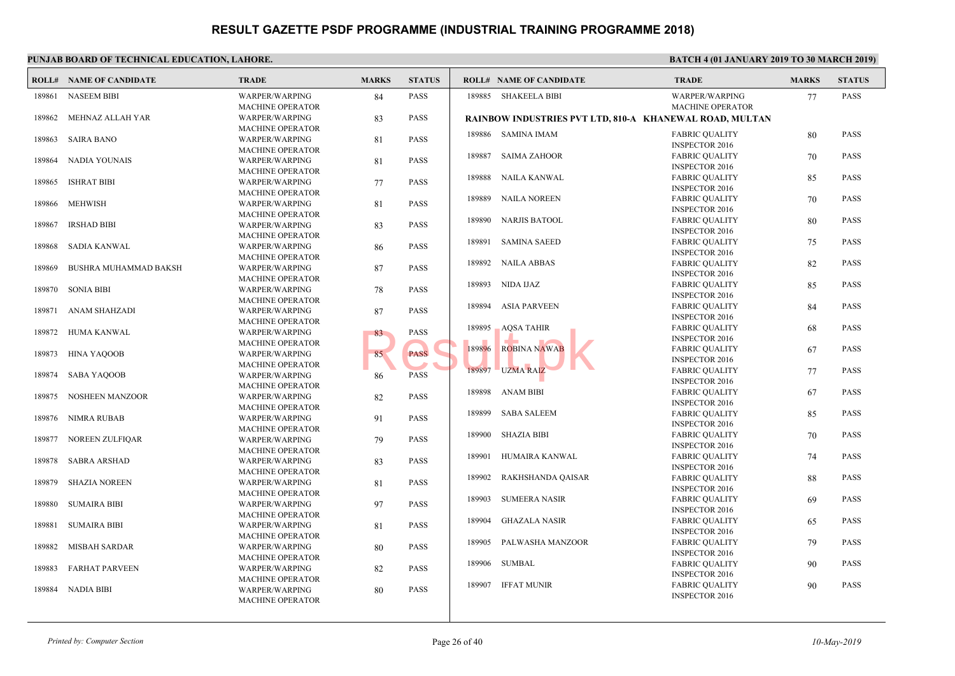|        | <b>ROLL# NAME OF CANDIDATE</b> | <b>TRADE</b>                              | <b>MARKS</b> | <b>STATUS</b> |        | <b>ROLL# NAME OF CANDIDATE</b>                    | <b>TRAL</b>  |
|--------|--------------------------------|-------------------------------------------|--------------|---------------|--------|---------------------------------------------------|--------------|
| 189861 | <b>NASEEM BIBI</b>             | <b>WARPER/WARPING</b>                     | 84           | <b>PASS</b>   |        | 189885 SHAKEELA BIBI                              | <b>WARP</b>  |
|        |                                | <b>MACHINE OPERATOR</b>                   |              | <b>PASS</b>   |        |                                                   | <b>MACH</b>  |
| 189862 | MEHNAZ ALLAH YAR               | WARPER/WARPING<br><b>MACHINE OPERATOR</b> | 83           |               |        | <b>RAINBOW INDUSTRIES PVT LTD, 810-A KHANEWAI</b> |              |
| 189863 | <b>SAIRA BANO</b>              | <b>WARPER/WARPING</b>                     | 81           | <b>PASS</b>   |        | 189886 SAMINA IMAM                                | FABRI        |
|        |                                | <b>MACHINE OPERATOR</b>                   |              |               |        |                                                   | <b>INSPE</b> |
| 189864 | NADIA YOUNAIS                  | WARPER/WARPING                            | 81           | <b>PASS</b>   | 189887 | SAIMA ZAHOOR                                      | <b>FABRI</b> |
|        |                                | <b>MACHINE OPERATOR</b>                   |              |               |        |                                                   | <b>INSPE</b> |
| 189865 | <b>ISHRAT BIBI</b>             | <b>WARPER/WARPING</b>                     | 77           | <b>PASS</b>   | 189888 | NAILA KANWAL                                      | FABRI        |
|        |                                | <b>MACHINE OPERATOR</b>                   |              |               |        |                                                   | <b>INSPE</b> |
| 189866 | MEHWISH                        | <b>WARPER/WARPING</b>                     | 81           | <b>PASS</b>   | 189889 | NAILA NOREEN                                      | FABRI        |
|        |                                | <b>MACHINE OPERATOR</b>                   |              |               |        |                                                   | <b>INSPE</b> |
| 189867 | <b>IRSHAD BIBI</b>             | <b>WARPER/WARPING</b>                     | 83           | <b>PASS</b>   | 189890 | NARJIS BATOOL                                     | <b>FABRI</b> |
|        |                                | <b>MACHINE OPERATOR</b>                   |              |               |        |                                                   | <b>INSPE</b> |
| 189868 | <b>SADIA KANWAL</b>            | <b>WARPER/WARPING</b>                     | 86           | <b>PASS</b>   | 189891 | <b>SAMINA SAEED</b>                               | FABRI        |
|        |                                | <b>MACHINE OPERATOR</b>                   |              |               |        |                                                   | <b>INSPE</b> |
| 189869 | BUSHRA MUHAMMAD BAKSH          | WARPER/WARPING                            | 87           | <b>PASS</b>   |        | 189892 NAILA ABBAS                                | FABRI        |
|        |                                | <b>MACHINE OPERATOR</b>                   |              |               |        |                                                   | <b>INSPE</b> |
| 189870 | <b>SONIA BIBI</b>              | WARPER/WARPING                            | 78           | <b>PASS</b>   |        | 189893 NIDA IJAZ                                  | <b>FABRI</b> |
|        |                                | <b>MACHINE OPERATOR</b>                   |              |               |        |                                                   | <b>INSPE</b> |
| 189871 | ANAM SHAHZADI                  | WARPER/WARPING                            | 87           | <b>PASS</b>   |        | 189894 ASIA PARVEEN                               | FABRI        |
|        |                                | <b>MACHINE OPERATOR</b>                   |              |               |        |                                                   | <b>INSPE</b> |
| 189872 | HUMA KANWAL                    | WARPER/WARPING                            | 83           | <b>PASS</b>   | 189895 | <b>AQSA TAHIR</b>                                 | FABRI        |
|        |                                | <b>MACHINE OPERATOR</b>                   |              |               |        |                                                   | <b>INSPE</b> |
| 189873 | HINA YAQOOB                    | <b>WARPER/WARPING</b>                     | 85           | <b>PASS</b>   | 189896 | <b>ROBINA NAWAB</b>                               | <b>FABRI</b> |
|        |                                | <b>MACHINE OPERATOR</b>                   |              |               |        |                                                   | <b>INSPE</b> |
| 189874 | SABA YAQOOB                    | <b>WARPER/WARPING</b>                     | 86           | <b>PASS</b>   |        | 189897 UZMA RAIZ                                  | FABRI        |
|        |                                | <b>MACHINE OPERATOR</b>                   |              |               |        |                                                   | <b>INSPE</b> |
| 189875 | NOSHEEN MANZOOR                | WARPER/WARPING                            | 82           | <b>PASS</b>   |        | 189898 ANAM BIBI                                  | FABRI        |
|        |                                | <b>MACHINE OPERATOR</b>                   |              |               |        |                                                   | <b>INSPE</b> |
| 189876 | NIMRA RUBAB                    | <b>WARPER/WARPING</b>                     | 91           | <b>PASS</b>   | 189899 | <b>SABA SALEEM</b>                                | FABRI        |
|        |                                | <b>MACHINE OPERATOR</b>                   |              |               |        |                                                   | <b>INSPE</b> |
| 189877 | NOREEN ZULFIQAR                | WARPER/WARPING                            | 79           | <b>PASS</b>   | 189900 | SHAZIA BIBI                                       | FABRI        |
|        |                                | <b>MACHINE OPERATOR</b>                   |              |               |        |                                                   | <b>INSPE</b> |
| 189878 | <b>SABRA ARSHAD</b>            | WARPER/WARPING                            | 83           | <b>PASS</b>   | 189901 | HUMAIRA KANWAL                                    | FABRI        |
|        |                                | <b>MACHINE OPERATOR</b>                   |              |               |        |                                                   | <b>INSPE</b> |
| 189879 | <b>SHAZIA NOREEN</b>           | <b>WARPER/WARPING</b>                     | 81           | <b>PASS</b>   | 189902 | RAKHSHANDA QAISAR                                 | FABRI        |
|        |                                | <b>MACHINE OPERATOR</b>                   |              |               |        |                                                   | <b>INSPE</b> |
| 189880 | <b>SUMAIRA BIBI</b>            | <b>WARPER/WARPING</b>                     | 97           | <b>PASS</b>   | 189903 | <b>SUMEERA NASIR</b>                              | FABRI        |
|        |                                | <b>MACHINE OPERATOR</b>                   |              |               |        |                                                   | <b>INSPE</b> |
| 189881 | <b>SUMAIRA BIBI</b>            | WARPER/WARPING                            | 81           | <b>PASS</b>   | 189904 | GHAZALA NASIR                                     | FABRI        |
|        |                                | <b>MACHINE OPERATOR</b>                   |              |               |        |                                                   | <b>INSPE</b> |
| 189882 | MISBAH SARDAR                  | <b>WARPER/WARPING</b>                     | 80           | <b>PASS</b>   | 189905 | PALWASHA MANZOOR                                  | FABRI        |
|        |                                | <b>MACHINE OPERATOR</b>                   |              |               |        |                                                   | <b>INSPE</b> |
| 189883 | <b>FARHAT PARVEEN</b>          | WARPER/WARPING                            | 82           | <b>PASS</b>   | 189906 | SUMBAL                                            | FABRI        |
|        |                                | <b>MACHINE OPERATOR</b>                   |              |               |        |                                                   | <b>INSPE</b> |
| 189884 | NADIA BIBI                     | <b>WARPER/WARPING</b>                     | 80           | <b>PASS</b>   | 189907 | <b>IFFAT MUNIR</b>                                | FABRI        |
|        |                                | <b>MACHINE OPERATOR</b>                   |              |               |        |                                                   | <b>INSPE</b> |
|        |                                |                                           |              |               |        |                                                   |              |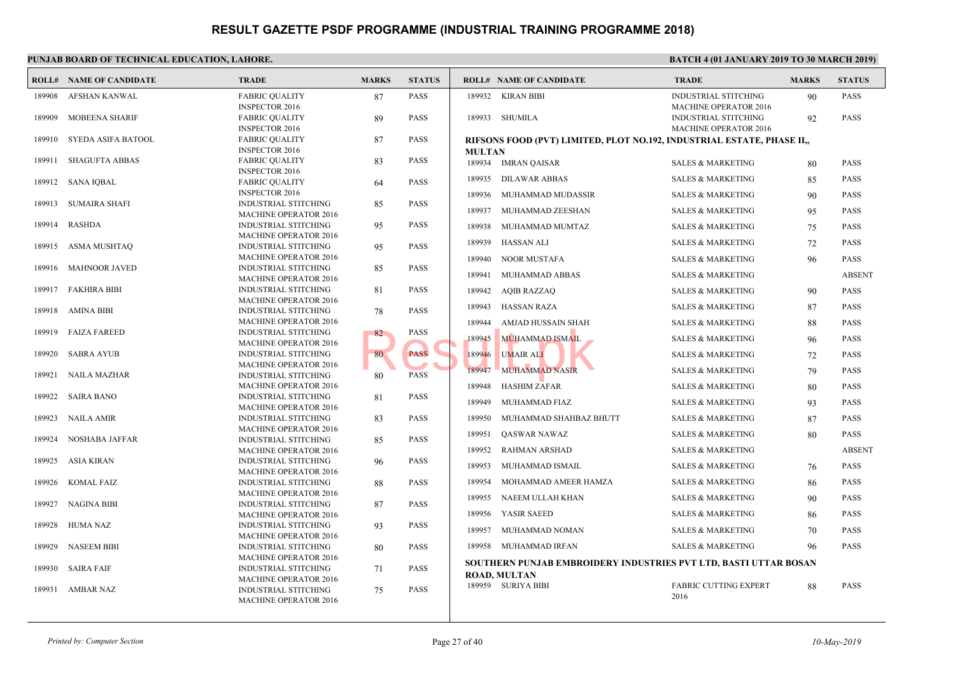|        | <b>ROLL# NAME OF CANDIDATE</b> | <b>TRADE</b>                                                | <b>MARKS</b> | <b>STATUS</b> |               | <b>ROLL# NAME OF CANDIDATE</b>                 | <b>TRAL</b>                 |
|--------|--------------------------------|-------------------------------------------------------------|--------------|---------------|---------------|------------------------------------------------|-----------------------------|
| 189908 | AFSHAN KANWAL                  | <b>FABRIC QUALITY</b>                                       | 87           | <b>PASS</b>   |               | 189932 KIRAN BIBI                              | <b>INDUS</b>                |
|        |                                | <b>INSPECTOR 2016</b>                                       |              |               |               |                                                | <b>MACH</b>                 |
| 189909 | MOBEENA SHARIF                 | <b>FABRIC QUALITY</b><br><b>INSPECTOR 2016</b>              | 89           | <b>PASS</b>   |               | 189933 SHUMILA                                 | <b>INDUS</b><br><b>MACH</b> |
| 189910 | SYEDA ASIFA BATOOL             | <b>FABRIC QUALITY</b>                                       | 87           | <b>PASS</b>   |               | RIFSONS FOOD (PVT) LIMITED, PLOT NO.192, INDUS |                             |
|        |                                | <b>INSPECTOR 2016</b>                                       |              |               | <b>MULTAN</b> |                                                |                             |
| 189911 | <b>SHAGUFTA ABBAS</b>          | <b>FABRIC QUALITY</b>                                       | 83           | <b>PASS</b>   |               | 189934 IMRAN QAISAR                            | <b>SALES</b>                |
|        |                                | <b>INSPECTOR 2016</b>                                       |              |               | 189935        | <b>DILAWAR ABBAS</b>                           | <b>SALES</b>                |
| 189912 | SANA IQBAL                     | <b>FABRIC QUALITY</b><br><b>INSPECTOR 2016</b>              | 64           | <b>PASS</b>   |               |                                                |                             |
| 189913 | SUMAIRA SHAFI                  | <b>INDUSTRIAL STITCHING</b>                                 | 85           | <b>PASS</b>   | 189936        | MUHAMMAD MUDASSIR                              | <b>SALES</b>                |
|        |                                | <b>MACHINE OPERATOR 2016</b>                                |              |               | 189937        | MUHAMMAD ZEESHAN                               | <b>SALES</b>                |
| 189914 | <b>RASHDA</b>                  | <b>INDUSTRIAL STITCHING</b>                                 | 95           | <b>PASS</b>   | 189938        | MUHAMMAD MUMTAZ                                | <b>SALES</b>                |
|        |                                | <b>MACHINE OPERATOR 2016</b>                                |              |               |               |                                                |                             |
| 189915 | <b>ASMA MUSHTAQ</b>            | <b>INDUSTRIAL STITCHING</b>                                 | 95           | <b>PASS</b>   | 189939        | HASSAN ALI                                     | <b>SALES</b>                |
|        |                                | <b>MACHINE OPERATOR 2016</b>                                |              |               | 189940        | NOOR MUSTAFA                                   | <b>SALES</b>                |
| 189916 | <b>MAHNOOR JAVED</b>           | <b>INDUSTRIAL STITCHING</b>                                 | 85           | <b>PASS</b>   | 189941        | MUHAMMAD ABBAS                                 | <b>SALES</b>                |
|        |                                | <b>MACHINE OPERATOR 2016</b>                                |              |               |               |                                                |                             |
| 189917 | <b>FAKHIRA BIBI</b>            | <b>INDUSTRIAL STITCHING</b>                                 | 81           | <b>PASS</b>   | 189942        | <b>AQIB RAZZAQ</b>                             | <b>SALES</b>                |
|        |                                | <b>MACHINE OPERATOR 2016</b>                                |              |               | 189943        | <b>HASSAN RAZA</b>                             | <b>SALES</b>                |
| 189918 | AMINA BIBI                     | <b>INDUSTRIAL STITCHING</b>                                 | 78           | <b>PASS</b>   |               |                                                |                             |
| 189919 | <b>FAIZA FAREED</b>            | <b>MACHINE OPERATOR 2016</b>                                |              | <b>PASS</b>   | 189944        | AMJAD HUSSAIN SHAH                             | <b>SALES</b>                |
|        |                                | <b>INDUSTRIAL STITCHING</b><br><b>MACHINE OPERATOR 2016</b> | 82           |               | 189945        | <b>MUHAMMAD ISMAIL</b>                         | <b>SALES</b>                |
| 189920 | <b>SABRA AYUB</b>              | <b>INDUSTRIAL STITCHING</b>                                 | 80           | <b>PASS</b>   | 189946        | <b>UMAIR ALI</b>                               | <b>SALES</b>                |
|        |                                | <b>MACHINE OPERATOR 2016</b>                                |              |               |               |                                                |                             |
| 189921 | <b>NAILA MAZHAR</b>            | <b>INDUSTRIAL STITCHING</b>                                 | 80           | <b>PASS</b>   | 189947        | <b>MUHAMMAD NASIR</b>                          | <b>SALES</b>                |
|        |                                | <b>MACHINE OPERATOR 2016</b>                                |              |               | 189948        | <b>HASHIM ZAFAR</b>                            | <b>SALES</b>                |
| 189922 | <b>SAIRA BANO</b>              | <b>INDUSTRIAL STITCHING</b>                                 | 81           | <b>PASS</b>   |               |                                                |                             |
|        |                                | <b>MACHINE OPERATOR 2016</b>                                |              |               | 189949        | MUHAMMAD FIAZ                                  | <b>SALES</b>                |
| 189923 | <b>NAILA AMIR</b>              | <b>INDUSTRIAL STITCHING</b>                                 | 83           | <b>PASS</b>   | 189950        | MUHAMMAD SHAHBAZ BHUTT                         | <b>SALES</b>                |
|        |                                | <b>MACHINE OPERATOR 2016</b>                                |              |               | 189951        | QASWAR NAWAZ                                   | <b>SALES</b>                |
| 189924 | NOSHABA JAFFAR                 | <b>INDUSTRIAL STITCHING</b>                                 | 85           | <b>PASS</b>   |               |                                                |                             |
|        |                                | <b>MACHINE OPERATOR 2016</b>                                |              |               | 189952        | <b>RAHMAN ARSHAD</b>                           | <b>SALES</b>                |
| 189925 | ASIA KIRAN                     | <b>INDUSTRIAL STITCHING</b>                                 | 96           | <b>PASS</b>   | 189953        | MUHAMMAD ISMAIL                                | <b>SALES</b>                |
| 189926 | <b>KOMAL FAIZ</b>              | <b>MACHINE OPERATOR 2016</b><br><b>INDUSTRIAL STITCHING</b> |              | <b>PASS</b>   | 189954        | MOHAMMAD AMEER HAMZA                           | <b>SALES</b>                |
|        |                                | <b>MACHINE OPERATOR 2016</b>                                | 88           |               |               |                                                |                             |
| 189927 | <b>NAGINA BIBI</b>             | <b>INDUSTRIAL STITCHING</b>                                 | 87           | <b>PASS</b>   | 189955        | NAEEM ULLAH KHAN                               | <b>SALES</b>                |
|        |                                | <b>MACHINE OPERATOR 2016</b>                                |              |               | 189956        | YASIR SAEED                                    | <b>SALES</b>                |
| 189928 | HUMA NAZ                       | <b>INDUSTRIAL STITCHING</b>                                 | 93           | <b>PASS</b>   |               |                                                |                             |
|        |                                | MACHINE OPERATOR 2016                                       |              |               | 189957        | MUHAMMAD NOMAN                                 | <b>SALES</b>                |
| 189929 | <b>NASEEM BIBI</b>             | <b>INDUSTRIAL STITCHING</b>                                 | 80           | <b>PASS</b>   | 189958        | MUHAMMAD IRFAN                                 | <b>SALES</b>                |
|        |                                | <b>MACHINE OPERATOR 2016</b>                                |              |               |               |                                                |                             |
| 189930 | <b>SAIRA FAIF</b>              | <b>INDUSTRIAL STITCHING</b>                                 | 71           | <b>PASS</b>   |               | SOUTHERN PUNJAB EMBROIDERY INDUSTRIES PVT      |                             |
|        |                                | <b>MACHINE OPERATOR 2016</b>                                |              |               |               | <b>ROAD, MULTAN</b>                            |                             |
| 189931 | AMBAR NAZ                      | <b>INDUSTRIAL STITCHING</b>                                 | 75           | <b>PASS</b>   |               | 189959 SURIYA BIBI                             | FABRI                       |
|        |                                | <b>MACHINE OPERATOR 2016</b>                                |              |               |               |                                                | 2016                        |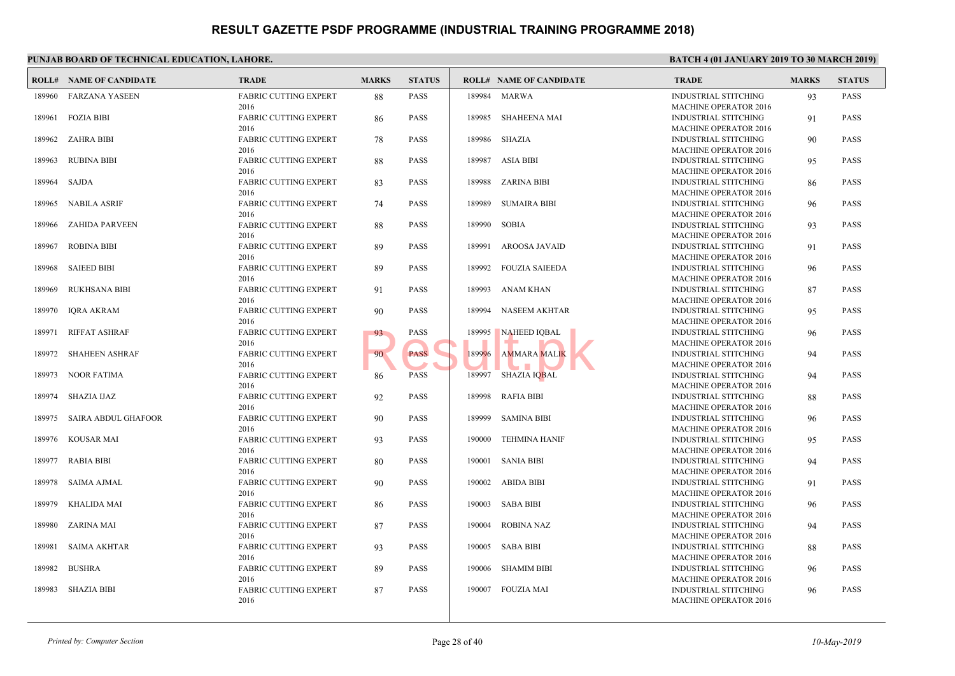|        | <b>ROLL# NAME OF CANDIDATE</b> | <b>TRADE</b>                         | <b>MARKS</b> | <b>STATUS</b> |        | <b>ROLL# NAME OF CANDIDATE</b> | <b>TRAL</b>                 |
|--------|--------------------------------|--------------------------------------|--------------|---------------|--------|--------------------------------|-----------------------------|
|        |                                |                                      |              |               |        |                                |                             |
|        | 189960 FARZANA YASEEN          | FABRIC CUTTING EXPERT<br>2016        | 88           | <b>PASS</b>   |        | 189984 MARWA                   | <b>INDUS</b><br><b>MACH</b> |
|        | 189961 FOZIA BIBI              | FABRIC CUTTING EXPERT                | 86           | <b>PASS</b>   |        | 189985 SHAHEENA MAI            | <b>INDUS</b>                |
|        |                                | 2016                                 |              |               |        |                                | <b>MACH</b>                 |
|        | 189962 ZAHRA BIBI              | <b>FABRIC CUTTING EXPERT</b>         | 78           | <b>PASS</b>   |        | 189986 SHAZIA                  | <b>INDUS</b>                |
|        |                                | 2016                                 |              |               |        |                                | <b>MACH</b>                 |
| 189963 | RUBINA BIBI                    | <b>FABRIC CUTTING EXPERT</b>         | 88           | <b>PASS</b>   |        | 189987 ASIA BIBI               | <b>INDUS</b>                |
|        |                                | 2016                                 |              |               |        |                                | <b>MACH</b>                 |
| 189964 | SAJDA                          | <b>FABRIC CUTTING EXPERT</b>         | 83           | <b>PASS</b>   |        | 189988 ZARINA BIBI             | <b>INDUS</b>                |
|        |                                | 2016                                 |              |               |        |                                | <b>MACH</b>                 |
| 189965 | NABILA ASRIF                   | <b>FABRIC CUTTING EXPERT</b><br>2016 | 74           | <b>PASS</b>   | 189989 | SUMAIRA BIBI                   | <b>INDUS</b><br><b>MACH</b> |
| 189966 | ZAHIDA PARVEEN                 | <b>FABRIC CUTTING EXPERT</b>         | 88           | <b>PASS</b>   | 189990 | SOBIA                          | <b>INDUS</b>                |
|        |                                | 2016                                 |              |               |        |                                | <b>MACH</b>                 |
| 189967 | <b>ROBINA BIBI</b>             | <b>FABRIC CUTTING EXPERT</b>         | 89           | <b>PASS</b>   | 189991 | AROOSA JAVAID                  | <b>INDUS</b>                |
|        |                                | 2016                                 |              |               |        |                                | <b>MACH</b>                 |
| 189968 | <b>SAIEED BIBI</b>             | <b>FABRIC CUTTING EXPERT</b>         | 89           | <b>PASS</b>   |        | 189992 FOUZIA SAIEEDA          | <b>INDUS</b>                |
|        |                                | 2016                                 |              |               |        |                                | <b>MACH</b>                 |
| 189969 | <b>RUKHSANA BIBI</b>           | <b>FABRIC CUTTING EXPERT</b>         | 91           | <b>PASS</b>   | 189993 | ANAM KHAN                      | <b>INDUS</b>                |
|        |                                | 2016                                 |              |               |        |                                | <b>MACH</b>                 |
| 189970 | <b>IQRA AKRAM</b>              | FABRIC CUTTING EXPERT                | 90           | <b>PASS</b>   |        | 189994 NASEEM AKHTAR           | <b>INDUS</b>                |
|        |                                | 2016                                 |              |               |        |                                | <b>MACH</b>                 |
| 189971 | <b>RIFFAT ASHRAF</b>           | FABRIC CUTTING EXPERT                | 93           | <b>PASS</b>   |        | 189995 NAHEED IQBAL            | <b>INDUS</b>                |
|        |                                | 2016                                 |              | <b>PASS</b>   |        | a ya                           | <b>MACH</b>                 |
| 189972 | SHAHEEN ASHRAF                 | <b>FABRIC CUTTING EXPERT</b><br>2016 | 90           |               |        | 189996 AMMARA MALIK            | <b>INDUS</b><br><b>MACH</b> |
|        | 189973 NOOR FATIMA             | <b>FABRIC CUTTING EXPERT</b>         | 86           | <b>PASS</b>   |        | 189997 SHAZIA IQBAL            | <b>INDUS</b>                |
|        |                                | 2016                                 |              |               |        |                                | <b>MACH</b>                 |
|        | 189974 SHAZIA IJAZ             | <b>FABRIC CUTTING EXPERT</b>         | 92           | <b>PASS</b>   |        | 189998 RAFIA BIBI              | <b>INDUS</b>                |
|        |                                | 2016                                 |              |               |        |                                | <b>MACH</b>                 |
|        | 189975 SAIRA ABDUL GHAFOOR     | <b>FABRIC CUTTING EXPERT</b>         | 90           | <b>PASS</b>   | 189999 | SAMINA BIBI                    | <b>INDUS</b>                |
|        |                                | 2016                                 |              |               |        |                                | <b>MACH</b>                 |
| 189976 | KOUSAR MAI                     | <b>FABRIC CUTTING EXPERT</b>         | 93           | <b>PASS</b>   |        | 190000 TEHMINA HANIF           | <b>INDUS</b>                |
|        |                                | 2016                                 |              |               |        |                                | <b>MACH</b>                 |
| 189977 | <b>RABIA BIBI</b>              | <b>FABRIC CUTTING EXPERT</b>         | 80           | <b>PASS</b>   |        | 190001 SANIA BIBI              | <b>INDUS</b>                |
|        |                                | 2016                                 |              |               |        |                                | <b>MACH</b>                 |
| 189978 | SAIMA AJMAL                    | <b>FABRIC CUTTING EXPERT</b><br>2016 | 90           | <b>PASS</b>   |        | 190002 ABIDA BIBI              | <b>INDUS</b>                |
| 189979 | KHALIDA MAI                    | FABRIC CUTTING EXPERT                | 86           | <b>PASS</b>   |        | 190003 SABA BIBI               | <b>MACH</b><br><b>INDUS</b> |
|        |                                | 2016                                 |              |               |        |                                | <b>MACH</b>                 |
| 189980 | ZARINA MAI                     | <b>FABRIC CUTTING EXPERT</b>         | 87           | <b>PASS</b>   |        | 190004 ROBINA NAZ              | <b>INDUS</b>                |
|        |                                | 2016                                 |              |               |        |                                | <b>MACH</b>                 |
|        | 189981 SAIMA AKHTAR            | FABRIC CUTTING EXPERT                | 93           | <b>PASS</b>   |        | 190005 SABA BIBI               | <b>INDUS</b>                |
|        |                                | 2016                                 |              |               |        |                                | <b>MACH</b>                 |
| 189982 | <b>BUSHRA</b>                  | <b>FABRIC CUTTING EXPERT</b>         | 89           | <b>PASS</b>   |        | 190006 SHAMIM BIBI             | <b>INDUS</b>                |
|        |                                | 2016                                 |              |               |        |                                | <b>MACH</b>                 |
| 189983 | SHAZIA BIBI                    | FABRIC CUTTING EXPERT                | 87           | <b>PASS</b>   |        | 190007 FOUZIA MAI              | <b>INDUS</b>                |
|        |                                | 2016                                 |              |               |        |                                | <b>MACH</b>                 |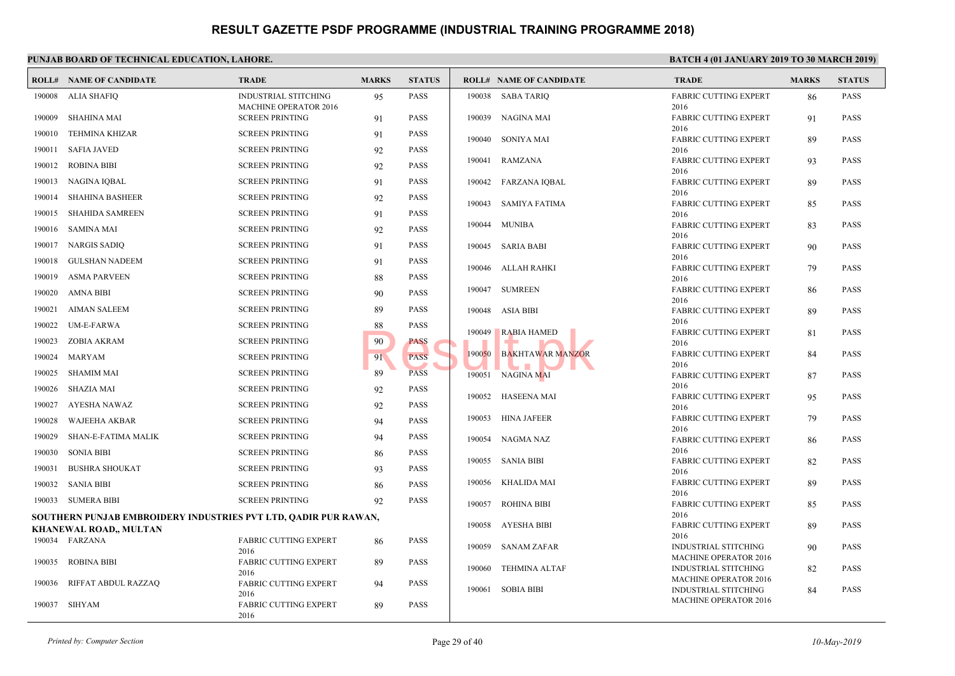|        | <b>ROLL# NAME OF CANDIDATE</b>                                  | <b>TRADE</b>                                           | <b>MARKS</b> | <b>STATUS</b> |        | <b>ROLL# NAME OF CANDIDATE</b> | <b>TRAL</b>                 |
|--------|-----------------------------------------------------------------|--------------------------------------------------------|--------------|---------------|--------|--------------------------------|-----------------------------|
| 190008 | ALIA SHAFIQ                                                     | <b>INDUSTRIAL STITCHING</b>                            | 95           | <b>PASS</b>   |        | 190038 SABA TARIO              | FABRI                       |
| 190009 | <b>SHAHINA MAI</b>                                              | <b>MACHINE OPERATOR 2016</b><br><b>SCREEN PRINTING</b> | 91           | <b>PASS</b>   |        | 190039 NAGINA MAI              | 2016<br>FABRI               |
| 190010 | <b>TEHMINA KHIZAR</b>                                           | <b>SCREEN PRINTING</b>                                 | 91           | <b>PASS</b>   |        |                                | 2016                        |
| 190011 | <b>SAFIA JAVED</b>                                              | <b>SCREEN PRINTING</b>                                 | 92           | <b>PASS</b>   |        | 190040 SONIYA MAI              | FABRI<br>2016               |
|        |                                                                 |                                                        |              |               |        | 190041 RAMZANA                 | FABRI                       |
| 190012 | <b>ROBINA BIBI</b>                                              | <b>SCREEN PRINTING</b>                                 | 92           | <b>PASS</b>   |        |                                | 2016                        |
| 190013 | NAGINA IQBAL                                                    | <b>SCREEN PRINTING</b>                                 | 91           | <b>PASS</b>   |        | 190042 FARZANA IQBAL           | FABRI                       |
| 190014 | <b>SHAHINA BASHEER</b>                                          | <b>SCREEN PRINTING</b>                                 | 92           | <b>PASS</b>   | 190043 | SAMIYA FATIMA                  | 2016<br>FABRI               |
| 190015 | <b>SHAHIDA SAMREEN</b>                                          | <b>SCREEN PRINTING</b>                                 | 91           | <b>PASS</b>   |        |                                | 2016                        |
| 190016 | SAMINA MAI                                                      | <b>SCREEN PRINTING</b>                                 | 92           | <b>PASS</b>   | 190044 | MUNIBA                         | FABRI                       |
| 190017 | NARGIS SADIO                                                    | <b>SCREEN PRINTING</b>                                 | 91           | <b>PASS</b>   |        | 190045 SARIA BABI              | 2016<br><b>FABRI</b>        |
|        |                                                                 |                                                        |              |               |        |                                | 2016                        |
| 190018 | <b>GULSHAN NADEEM</b>                                           | <b>SCREEN PRINTING</b>                                 | 91           | <b>PASS</b>   |        | 190046 ALLAH RAHKI             | FABRI                       |
| 190019 | <b>ASMA PARVEEN</b>                                             | <b>SCREEN PRINTING</b>                                 | 88           | <b>PASS</b>   |        |                                | 2016                        |
| 190020 | <b>AMNA BIBI</b>                                                | <b>SCREEN PRINTING</b>                                 | 90           | <b>PASS</b>   |        | 190047 SUMREEN                 | FABRI                       |
| 190021 | <b>AIMAN SALEEM</b>                                             | <b>SCREEN PRINTING</b>                                 | 89           | <b>PASS</b>   |        | 190048 ASIA BIBI               | 2016<br>FABRI               |
| 190022 | <b>UM-E-FARWA</b>                                               | <b>SCREEN PRINTING</b>                                 | 88           | <b>PASS</b>   |        |                                | 2016                        |
| 190023 | ZOBIA AKRAM                                                     | <b>SCREEN PRINTING</b>                                 | 90           | <b>PASS</b>   | 190049 | <b>RABIA HAMED</b>             | FABRI<br>2016               |
| 190024 | MARYAM                                                          | <b>SCREEN PRINTING</b>                                 | 91           | <b>PASS</b>   | 190050 | <b>BAKHTAWAR MANZOR</b>        | FABRI                       |
| 190025 | <b>SHAMIM MAI</b>                                               | <b>SCREEN PRINTING</b>                                 | 89           | <b>PASS</b>   |        | 190051 NAGINA MAI              | 2016<br>FABRI               |
| 190026 | <b>SHAZIA MAI</b>                                               | <b>SCREEN PRINTING</b>                                 |              | <b>PASS</b>   |        |                                | 2016                        |
|        |                                                                 |                                                        | 92           |               |        | 190052 HASEENA MAI             | FABRI                       |
| 190027 | AYESHA NAWAZ                                                    | <b>SCREEN PRINTING</b>                                 | 92           | <b>PASS</b>   |        |                                | 2016                        |
| 190028 | WAJEEHA AKBAR                                                   | <b>SCREEN PRINTING</b>                                 | 94           | <b>PASS</b>   |        | 190053 HINA JAFEER             | FABRI<br>2016               |
| 190029 | SHAN-E-FATIMA MALIK                                             | <b>SCREEN PRINTING</b>                                 | 94           | <b>PASS</b>   | 190054 | NAGMA NAZ                      | FABRI                       |
| 190030 | <b>SONIA BIBI</b>                                               | <b>SCREEN PRINTING</b>                                 | 86           | <b>PASS</b>   |        |                                | 2016                        |
| 190031 | <b>BUSHRA SHOUKAT</b>                                           | <b>SCREEN PRINTING</b>                                 | 93           | <b>PASS</b>   |        | 190055 SANIA BIBI              | FABRI<br>2016               |
| 190032 | <b>SANIA BIBI</b>                                               | <b>SCREEN PRINTING</b>                                 | 86           | <b>PASS</b>   | 190056 | KHALIDA MAI                    | FABRI                       |
|        | 190033 SUMERA BIBI                                              | <b>SCREEN PRINTING</b>                                 | 92           | <b>PASS</b>   |        | 190057 ROHINA BIBI             | 2016<br>FABRI               |
|        | SOUTHERN PUNJAB EMBROIDERY INDUSTRIES PVT LTD, QADIR PUR RAWAN, |                                                        |              |               |        |                                | 2016                        |
|        | KHANEWAL ROAD,, MULTAN                                          |                                                        |              |               | 190058 | AYESHA BIBI                    | FABRI                       |
|        | 190034 FARZANA                                                  | <b>FABRIC CUTTING EXPERT</b>                           | 86           | <b>PASS</b>   | 190059 | SANAM ZAFAR                    | 2016<br><b>INDUS</b>        |
| 190035 | <b>ROBINA BIBI</b>                                              | 2016<br><b>FABRIC CUTTING EXPERT</b>                   | 89           | <b>PASS</b>   |        |                                | <b>MACH</b>                 |
|        |                                                                 | 2016                                                   |              |               | 190060 | <b>TEHMINA ALTAF</b>           | <b>INDUS</b>                |
| 190036 | RIFFAT ABDUL RAZZAQ                                             | FABRIC CUTTING EXPERT<br>2016                          | 94           | <b>PASS</b>   |        | 190061 SOBIA BIBI              | <b>MACH</b><br><b>INDUS</b> |
|        | 190037 SIHYAM                                                   | <b>FABRIC CUTTING EXPERT</b><br>2016                   | 89           | <b>PASS</b>   |        |                                | <b>MACH</b>                 |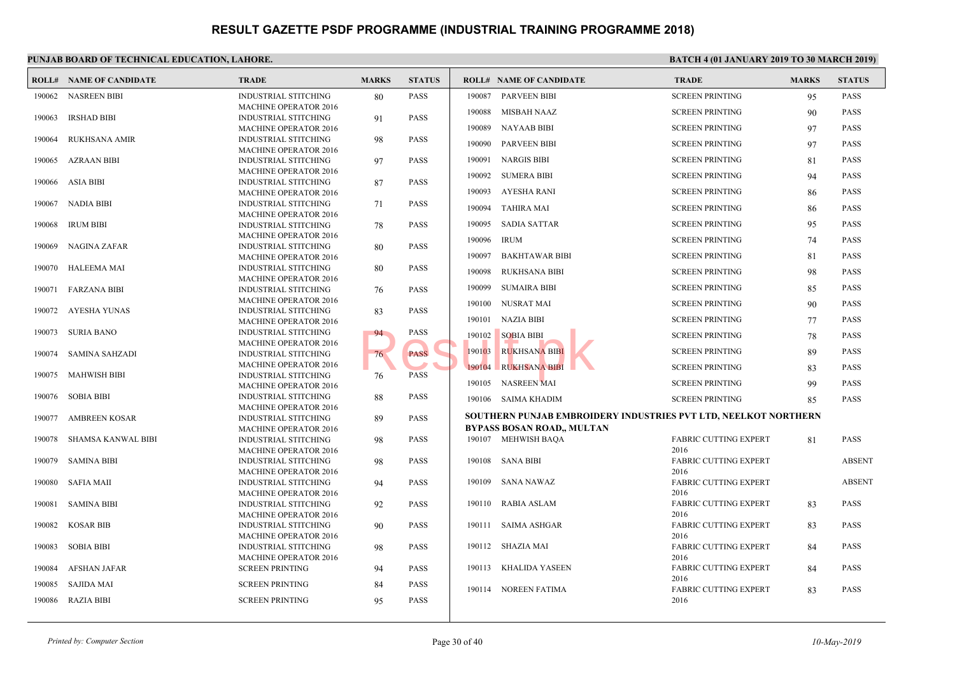|        | <b>ROLL# NAME OF CANDIDATE</b> | <b>TRADE</b>                                                | <b>MARKS</b> | <b>STATUS</b> |        | <b>ROLL# NAME OF CANDIDATE</b>                   | <b>TRAL</b>          |
|--------|--------------------------------|-------------------------------------------------------------|--------------|---------------|--------|--------------------------------------------------|----------------------|
|        | 190062 NASREEN BIBI            | <b>INDUSTRIAL STITCHING</b>                                 | 80           | <b>PASS</b>   | 190087 | <b>PARVEEN BIBI</b>                              | <b>SCREE</b>         |
|        |                                | <b>MACHINE OPERATOR 2016</b>                                |              |               | 190088 | <b>MISBAH NAAZ</b>                               | <b>SCREE</b>         |
| 190063 | <b>IRSHAD BIBI</b>             | <b>INDUSTRIAL STITCHING</b>                                 | 91           | <b>PASS</b>   |        |                                                  |                      |
|        |                                | <b>MACHINE OPERATOR 2016</b>                                |              |               | 190089 | <b>NAYAAB BIBI</b>                               | <b>SCREE</b>         |
| 190064 | <b>RUKHSANA AMIR</b>           | <b>INDUSTRIAL STITCHING</b>                                 | 98           | <b>PASS</b>   | 190090 | <b>PARVEEN BIBI</b>                              | <b>SCREE</b>         |
|        |                                | <b>MACHINE OPERATOR 2016</b>                                |              |               | 190091 | <b>NARGIS BIBI</b>                               | <b>SCREE</b>         |
| 190065 | AZRAAN BIBI                    | <b>INDUSTRIAL STITCHING</b><br><b>MACHINE OPERATOR 2016</b> | 97           | <b>PASS</b>   |        |                                                  |                      |
| 190066 | <b>ASIA BIBI</b>               | <b>INDUSTRIAL STITCHING</b>                                 | 87           | <b>PASS</b>   | 190092 | <b>SUMERA BIBI</b>                               | <b>SCREE</b>         |
|        |                                | <b>MACHINE OPERATOR 2016</b>                                |              |               | 190093 | AYESHA RANI                                      | <b>SCREE</b>         |
| 190067 | NADIA BIBI                     | <b>INDUSTRIAL STITCHING</b>                                 | 71           | <b>PASS</b>   |        |                                                  |                      |
|        |                                | <b>MACHINE OPERATOR 2016</b>                                |              |               | 190094 | <b>TAHIRA MAI</b>                                | <b>SCREE</b>         |
| 190068 | <b>IRUM BIBI</b>               | <b>INDUSTRIAL STITCHING</b>                                 | 78           | <b>PASS</b>   | 190095 | <b>SADIA SATTAR</b>                              | <b>SCREE</b>         |
|        |                                | <b>MACHINE OPERATOR 2016</b>                                |              |               | 190096 | <b>IRUM</b>                                      | <b>SCREE</b>         |
| 190069 | NAGINA ZAFAR                   | <b>INDUSTRIAL STITCHING</b>                                 | 80           | <b>PASS</b>   |        |                                                  |                      |
|        |                                | <b>MACHINE OPERATOR 2016</b>                                |              |               | 190097 | <b>BAKHTAWAR BIBI</b>                            | <b>SCREE</b>         |
| 190070 | HALEEMA MAI                    | <b>INDUSTRIAL STITCHING</b>                                 | 80           | <b>PASS</b>   | 190098 | <b>RUKHSANA BIBI</b>                             | <b>SCREE</b>         |
|        |                                | <b>MACHINE OPERATOR 2016</b>                                |              |               |        |                                                  |                      |
| 190071 | FARZANA BIBI                   | <b>INDUSTRIAL STITCHING</b>                                 | 76           | <b>PASS</b>   | 190099 | <b>SUMAIRA BIBI</b>                              | <b>SCREE</b>         |
|        |                                | <b>MACHINE OPERATOR 2016</b>                                |              |               | 190100 | NUSRAT MAI                                       | <b>SCREE</b>         |
| 190072 | AYESHA YUNAS                   | <b>INDUSTRIAL STITCHING</b><br><b>MACHINE OPERATOR 2016</b> | 83           | <b>PASS</b>   | 190101 | <b>NAZIA BIBI</b>                                | <b>SCREE</b>         |
| 190073 | <b>SURIA BANO</b>              | <b>INDUSTRIAL STITCHING</b>                                 | 94           | <b>PASS</b>   |        |                                                  |                      |
|        |                                | <b>MACHINE OPERATOR 2016</b>                                |              |               | 190102 | <b>SOBIA BIBI</b>                                | <b>SCREE</b>         |
| 190074 | SAMINA SAHZADI                 | <b>INDUSTRIAL STITCHING</b>                                 | 76           | <b>PASS</b>   | 190103 | <b>RUKHSANA BIBI</b>                             | <b>SCREE</b>         |
|        |                                | <b>MACHINE OPERATOR 2016</b>                                |              |               | 190104 | <b>RUKHSANA BIBI</b>                             | <b>SCREE</b>         |
| 190075 | MAHWISH BIBI                   | <b>INDUSTRIAL STITCHING</b>                                 | 76           | <b>PASS</b>   |        |                                                  |                      |
|        |                                | <b>MACHINE OPERATOR 2016</b>                                |              |               | 190105 | <b>NASREEN MAI</b>                               | <b>SCREE</b>         |
| 190076 | <b>SOBIA BIBI</b>              | <b>INDUSTRIAL STITCHING</b>                                 | 88           | <b>PASS</b>   |        | 190106 SAIMA KHADIM                              | <b>SCREE</b>         |
|        |                                | <b>MACHINE OPERATOR 2016</b>                                |              |               |        |                                                  |                      |
| 190077 | <b>AMBREEN KOSAR</b>           | <b>INDUSTRIAL STITCHING</b>                                 | 89           | <b>PASS</b>   |        | <b>SOUTHERN PUNJAB EMBROIDERY INDUSTRIES PVT</b> |                      |
|        |                                | <b>MACHINE OPERATOR 2016</b>                                |              |               |        | <b>BYPASS BOSAN ROAD,, MULTAN</b>                |                      |
| 190078 | SHAMSA KANWAL BIBI             | <b>INDUSTRIAL STITCHING</b>                                 | 98           | <b>PASS</b>   |        | 190107 MEHWISH BAQA                              | FABRI                |
| 190079 | SAMINA BIBI                    | <b>MACHINE OPERATOR 2016</b><br><b>INDUSTRIAL STITCHING</b> |              | PASS          | 190108 | SANA BIBI                                        | 2016<br><b>FABRI</b> |
|        |                                | <b>MACHINE OPERATOR 2016</b>                                | 98           |               |        |                                                  | 2016                 |
| 190080 | SAFIA MAII                     | <b>INDUSTRIAL STITCHING</b>                                 | 94           | <b>PASS</b>   |        | 190109 SANA NAWAZ                                | FABRI                |
|        |                                | <b>MACHINE OPERATOR 2016</b>                                |              |               |        |                                                  | 2016                 |
| 190081 | <b>SAMINA BIBI</b>             | <b>INDUSTRIAL STITCHING</b>                                 | 92           | <b>PASS</b>   |        | 190110 RABIA ASLAM                               | FABRI                |
|        |                                | <b>MACHINE OPERATOR 2016</b>                                |              |               |        |                                                  | 2016                 |
| 190082 | <b>KOSAR BIB</b>               | <b>INDUSTRIAL STITCHING</b>                                 | 90           | <b>PASS</b>   |        | 190111 SAIMA ASHGAR                              | FABRI                |
|        |                                | <b>MACHINE OPERATOR 2016</b>                                |              |               |        |                                                  | 2016                 |
| 190083 | SOBIA BIBI                     | <b>INDUSTRIAL STITCHING</b>                                 | 98           | <b>PASS</b>   |        | 190112 SHAZIA MAI                                | FABRI                |
|        |                                | <b>MACHINE OPERATOR 2016</b>                                |              |               |        |                                                  | 2016                 |
| 190084 | AFSHAN JAFAR                   | <b>SCREEN PRINTING</b>                                      | 94           | <b>PASS</b>   | 190113 | KHALIDA YASEEN                                   | FABRI                |
| 190085 | SAJIDA MAI                     | <b>SCREEN PRINTING</b>                                      | 84           | <b>PASS</b>   |        |                                                  | 2016                 |
|        | 190086 RAZIA BIBI              | <b>SCREEN PRINTING</b>                                      | 95           | PASS          | 190114 | NOREEN FATIMA                                    | <b>FABR</b><br>2016  |
|        |                                |                                                             |              |               |        |                                                  |                      |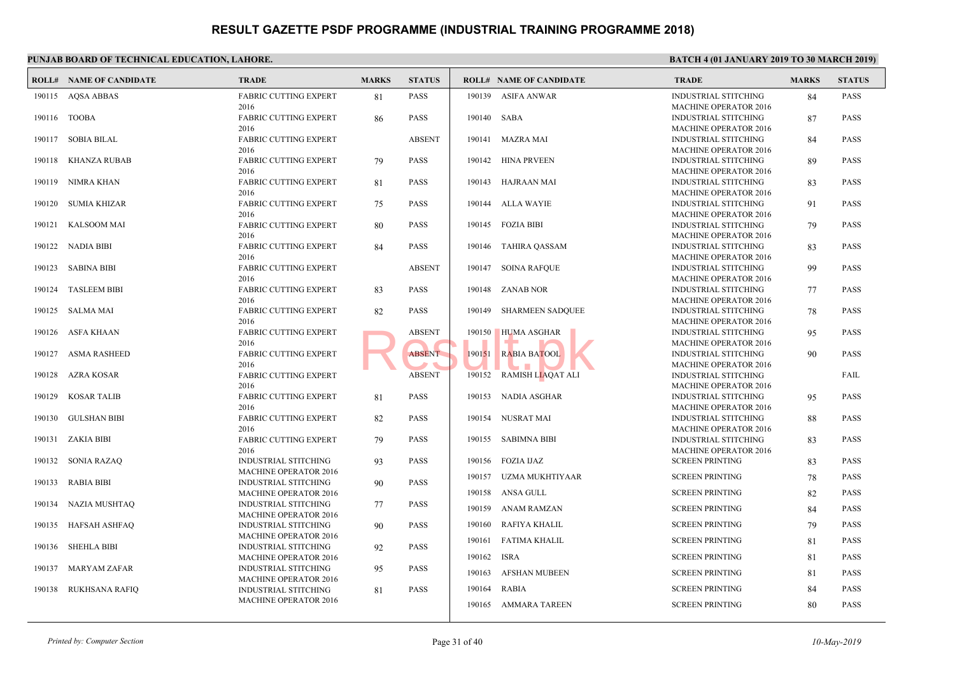|        | <b>ROLL# NAME OF CANDIDATE</b> | <b>TRADE</b>                                                | <b>MARKS</b> | <b>STATUS</b> |             | <b>ROLL# NAME OF CANDIDATE</b> | <b>TRAL</b>                 |
|--------|--------------------------------|-------------------------------------------------------------|--------------|---------------|-------------|--------------------------------|-----------------------------|
|        | 190115 AQSA ABBAS              | <b>FABRIC CUTTING EXPERT</b>                                | 81           | <b>PASS</b>   |             | 190139 ASIFA ANWAR             | <b>INDUS</b>                |
|        |                                | 2016                                                        |              |               |             |                                | <b>MACH</b>                 |
|        | 190116 TOOBA                   | <b>FABRIC CUTTING EXPERT</b>                                | 86           | <b>PASS</b>   | 190140 SABA |                                | <b>INDUS</b>                |
|        |                                | 2016                                                        |              |               |             |                                | <b>MACH</b>                 |
|        | 190117 SOBIA BILAL             | <b>FABRIC CUTTING EXPERT</b>                                |              | <b>ABSENT</b> |             | 190141 MAZRA MAI               | <b>INDUS</b>                |
|        | 190118 KHANZA RUBAB            | 2016<br><b>FABRIC CUTTING EXPERT</b>                        |              | <b>PASS</b>   |             | 190142 HINA PRVEEN             | <b>MACH</b><br><b>INDUS</b> |
|        |                                | 2016                                                        | 79           |               |             |                                | <b>MACH</b>                 |
|        | 190119 NIMRA KHAN              | <b>FABRIC CUTTING EXPERT</b>                                | 81           | <b>PASS</b>   |             | 190143 HAJRAAN MAI             | <b>INDUS</b>                |
|        |                                | 2016                                                        |              |               |             |                                | <b>MACH</b>                 |
|        | 190120 SUMIA KHIZAR            | <b>FABRIC CUTTING EXPERT</b>                                | 75           | <b>PASS</b>   |             | 190144 ALLA WAYIE              | <b>INDUS</b>                |
|        |                                | 2016                                                        |              |               |             |                                | <b>MACH</b>                 |
| 190121 | KALSOOM MAI                    | <b>FABRIC CUTTING EXPERT</b>                                | 80           | <b>PASS</b>   |             | 190145 FOZIA BIBI              | <b>INDUS</b>                |
|        |                                | 2016                                                        |              |               |             |                                | <b>MACH</b>                 |
|        | 190122 NADIA BIBI              | <b>FABRIC CUTTING EXPERT</b>                                | 84           | <b>PASS</b>   |             | 190146 TAHIRA QASSAM           | <b>INDUS</b>                |
|        |                                | 2016                                                        |              |               |             |                                | <b>MACH</b>                 |
| 190123 | SABINA BIBI                    | <b>FABRIC CUTTING EXPERT</b>                                |              | <b>ABSENT</b> |             | 190147 SOINA RAFOUE            | <b>INDUS</b>                |
|        |                                | 2016                                                        |              |               |             |                                | <b>MACH</b>                 |
| 190124 | <b>TASLEEM BIBI</b>            | <b>FABRIC CUTTING EXPERT</b>                                | 83           | <b>PASS</b>   |             | 190148 ZANAB NOR               | <b>INDUS</b>                |
|        |                                | 2016                                                        |              |               |             |                                | <b>MACH</b>                 |
|        | 190125 SALMA MAI               | <b>FABRIC CUTTING EXPERT</b>                                | 82           | <b>PASS</b>   |             | 190149 SHARMEEN SADQUEE        | <b>INDUS</b>                |
|        |                                | 2016                                                        |              | <b>ABSENT</b> | 190150      |                                | <b>MACH</b>                 |
|        | 190126 ASFA KHAAN              | <b>FABRIC CUTTING EXPERT</b><br>2016                        |              |               |             | <b>HUMA ASGHAR</b>             | <b>INDUS</b><br><b>MACH</b> |
|        | 190127 ASMA RASHEED            | <b>FABRIC CUTTING EXPERT</b>                                |              | <b>ABSENT</b> | 190151      | <b>RABIA BATOOL</b>            | <b>INDUS</b>                |
|        |                                | 2016                                                        |              |               |             |                                | <b>MACH</b>                 |
|        | 190128 AZRA KOSAR              | <b>FABRIC CUTTING EXPERT</b>                                |              | <b>ABSENT</b> |             | 190152 RAMISH LIAQAT ALI       | <b>INDUS</b>                |
|        |                                | 2016                                                        |              |               |             |                                | <b>MACH</b>                 |
| 190129 | KOSAR TALIB                    | <b>FABRIC CUTTING EXPERT</b>                                | 81           | <b>PASS</b>   |             | 190153 NADIA ASGHAR            | <b>INDUS</b>                |
|        |                                | 2016                                                        |              |               |             |                                | <b>MACH</b>                 |
|        | 190130 GULSHAN BIBI            | FABRIC CUTTING EXPERT                                       | 82           | <b>PASS</b>   |             | 190154 NUSRAT MAI              | <b>INDUS</b>                |
|        |                                | 2016                                                        |              |               |             |                                | <b>MACH</b>                 |
|        | 190131 ZAKIA BIBI              | <b>FABRIC CUTTING EXPERT</b>                                | 79           | <b>PASS</b>   |             | 190155 SABIMNA BIBI            | <b>INDUS</b>                |
|        |                                | 2016                                                        |              |               |             |                                | <b>MACH</b>                 |
|        | 190132 SONIA RAZAQ             | <b>INDUSTRIAL STITCHING</b>                                 | 93           | <b>PASS</b>   |             | 190156 FOZIA IJAZ              | <b>SCREE</b>                |
|        |                                | MACHINE OPERATOR 2016                                       |              |               |             | 190157 UZMA MUKHTIYAAR         | <b>SCREE</b>                |
| 190133 | RABIA BIBI                     | <b>INDUSTRIAL STITCHING</b>                                 | 90           | <b>PASS</b>   |             |                                |                             |
|        |                                | <b>MACHINE OPERATOR 2016</b>                                |              |               |             | 190158 ANSA GULL               | <b>SCREE</b>                |
|        | 190134 NAZIA MUSHTAQ           | INDUSTRIAL STITCHING                                        | 77           | <b>PASS</b>   |             | 190159 ANAM RAMZAN             | <b>SCREE</b>                |
|        |                                | <b>MACHINE OPERATOR 2016</b>                                |              |               |             |                                |                             |
|        | 190135 HAFSAH ASHFAQ           | INDUSTRIAL STITCHING                                        | 90           | <b>PASS</b>   |             | 190160 RAFIYA KHALIL           | <b>SCREE</b>                |
|        | 190136 SHEHLA BIBI             | <b>MACHINE OPERATOR 2016</b>                                |              | <b>PASS</b>   |             | 190161 FATIMA KHALIL           | <b>SCREE</b>                |
|        |                                | <b>INDUSTRIAL STITCHING</b><br><b>MACHINE OPERATOR 2016</b> | 92           |               | 190162 ISRA |                                | <b>SCREE</b>                |
|        | 190137 MARYAM ZAFAR            | INDUSTRIAL STITCHING                                        | 95           | PASS          |             |                                |                             |
|        |                                | <b>MACHINE OPERATOR 2016</b>                                |              |               | 190163      | <b>AFSHAN MUBEEN</b>           | <b>SCREE</b>                |
|        | 190138 RUKHSANA RAFIQ          | INDUSTRIAL STITCHING                                        | 81           | <b>PASS</b>   | 190164      | RABIA                          | <b>SCREE</b>                |
|        |                                | <b>MACHINE OPERATOR 2016</b>                                |              |               |             |                                |                             |
|        |                                |                                                             |              |               |             | 190165 AMMARA TAREEN           | <b>SCREE</b>                |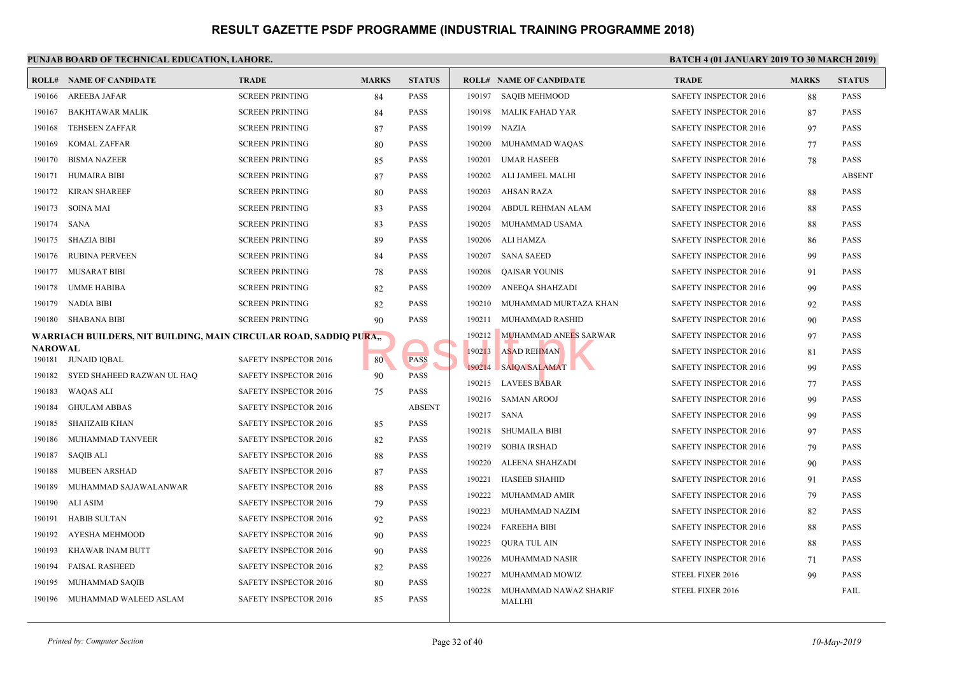|                          | <b>ROLL# NAME OF CANDIDATE</b>                                     | <b>TRADE</b>           | <b>MARKS</b> | <b>STATUS</b> |        | <b>ROLL# NAME OF CANDIDATE</b> | <b>TRAL</b>  |
|--------------------------|--------------------------------------------------------------------|------------------------|--------------|---------------|--------|--------------------------------|--------------|
| 190166                   | AREEBA JAFAR                                                       | <b>SCREEN PRINTING</b> | 84           | <b>PASS</b>   | 190197 | <b>SAQIB MEHMOOD</b>           | <b>SAFET</b> |
| 190167                   | <b>BAKHTAWAR MALIK</b>                                             | <b>SCREEN PRINTING</b> | 84           | <b>PASS</b>   | 190198 | <b>MALIK FAHAD YAR</b>         | <b>SAFET</b> |
| 190168                   | <b>TEHSEEN ZAFFAR</b>                                              | <b>SCREEN PRINTING</b> | 87           | <b>PASS</b>   | 190199 | <b>NAZIA</b>                   | <b>SAFET</b> |
| 190169                   | <b>KOMAL ZAFFAR</b>                                                | <b>SCREEN PRINTING</b> | 80           | <b>PASS</b>   | 190200 | MUHAMMAD WAQAS                 | <b>SAFET</b> |
| 190170                   | <b>BISMA NAZEER</b>                                                | <b>SCREEN PRINTING</b> | 85           | <b>PASS</b>   | 190201 | <b>UMAR HASEEB</b>             | <b>SAFET</b> |
| 190171                   | <b>HUMAIRA BIBI</b>                                                | <b>SCREEN PRINTING</b> | 87           | <b>PASS</b>   | 190202 | ALI JAMEEL MALHI               | <b>SAFET</b> |
| 190172                   | KIRAN SHAREEF                                                      | <b>SCREEN PRINTING</b> | 80           | PASS          | 190203 | AHSAN RAZA                     | <b>SAFET</b> |
| 190173                   | SOINA MAI                                                          | <b>SCREEN PRINTING</b> | 83           | <b>PASS</b>   | 190204 | ABDUL REHMAN ALAM              | <b>SAFET</b> |
| 190174                   | SANA                                                               | <b>SCREEN PRINTING</b> | 83           | <b>PASS</b>   | 190205 | MUHAMMAD USAMA                 | <b>SAFET</b> |
| 190175                   | SHAZIA BIBI                                                        | <b>SCREEN PRINTING</b> | 89           | <b>PASS</b>   | 190206 | ALI HAMZA                      | <b>SAFET</b> |
| 190176                   | <b>RUBINA PERVEEN</b>                                              | <b>SCREEN PRINTING</b> | 84           | <b>PASS</b>   | 190207 | <b>SANA SAEED</b>              | <b>SAFET</b> |
| 190177                   | MUSARAT BIBI                                                       | <b>SCREEN PRINTING</b> | 78           | <b>PASS</b>   | 190208 | <b>QAISAR YOUNIS</b>           | <b>SAFET</b> |
| 190178                   | <b>UMME HABIBA</b>                                                 | <b>SCREEN PRINTING</b> | 82           | <b>PASS</b>   | 190209 | ANEEQA SHAHZADI                | <b>SAFET</b> |
| 190179                   | NADIA BIBI                                                         | <b>SCREEN PRINTING</b> | 82           | <b>PASS</b>   | 190210 | MUHAMMAD MURTAZA KHAN          | <b>SAFET</b> |
| 190180                   | SHABANA BIBI                                                       | <b>SCREEN PRINTING</b> | 90           | <b>PASS</b>   | 190211 | MUHAMMAD RASHID                | <b>SAFET</b> |
|                          | WARRIACH BUILDERS, NIT BUILDING, MAIN CIRCULAR ROAD, SADDIQ PURA,, |                        |              |               | 190212 | MUHAMMAD ANEES SARWAR          | <b>SAFET</b> |
| <b>NAROWAL</b><br>190181 | JUNAID IQBAL                                                       | SAFETY INSPECTOR 2016  | 80           | <b>PASS</b>   | 190213 | <b>ASAD REHMAN</b>             | <b>SAFET</b> |
| 190182                   | SYED SHAHEED RAZWAN UL HAQ                                         | SAFETY INSPECTOR 2016  | 90           | <b>PASS</b>   | 190214 | <b>SAIQA SALAMAT</b>           | <b>SAFET</b> |
| 190183                   | WAQAS ALI                                                          | SAFETY INSPECTOR 2016  | 75           | <b>PASS</b>   | 190215 | <b>LAVEES BABAR</b>            | <b>SAFET</b> |
| 190184                   | <b>GHULAM ABBAS</b>                                                | SAFETY INSPECTOR 2016  |              | <b>ABSENT</b> | 190216 | <b>SAMAN AROOJ</b>             | <b>SAFET</b> |
| 190185                   | SHAHZAIB KHAN                                                      | SAFETY INSPECTOR 2016  | 85           | PASS          |        | 190217 SANA                    | <b>SAFET</b> |
| 190186                   | MUHAMMAD TANVEER                                                   | SAFETY INSPECTOR 2016  | 82           | <b>PASS</b>   | 190218 | <b>SHUMAILA BIBI</b>           | <b>SAFET</b> |
| 190187                   | SAQIB ALI                                                          | SAFETY INSPECTOR 2016  |              | <b>PASS</b>   | 190219 | <b>SOBIA IRSHAD</b>            | <b>SAFET</b> |
| 190188                   | <b>MUBEEN ARSHAD</b>                                               | SAFETY INSPECTOR 2016  | 88           | <b>PASS</b>   | 190220 | ALEENA SHAHZADI                | <b>SAFET</b> |
| 190189                   | MUHAMMAD SAJAWALANWAR                                              | SAFETY INSPECTOR 2016  | 87           | <b>PASS</b>   | 190221 | <b>HASEEB SHAHID</b>           | <b>SAFET</b> |
| 190190                   | ALI ASIM                                                           | SAFETY INSPECTOR 2016  | 88           | <b>PASS</b>   | 190222 | MUHAMMAD AMIR                  | <b>SAFET</b> |
| 190191                   | <b>HABIB SULTAN</b>                                                |                        | 79           | <b>PASS</b>   | 190223 | MUHAMMAD NAZIM                 | <b>SAFET</b> |
|                          |                                                                    | SAFETY INSPECTOR 2016  | 92           |               | 190224 | <b>FAREEHA BIBI</b>            | <b>SAFET</b> |
| 190192                   | AYESHA MEHMOOD                                                     | SAFETY INSPECTOR 2016  | 90           | <b>PASS</b>   | 190225 | <b>QURA TUL AIN</b>            | <b>SAFET</b> |
| 190193                   | <b>KHAWAR INAM BUTT</b>                                            | SAFETY INSPECTOR 2016  | 90           | <b>PASS</b>   | 190226 | MUHAMMAD NASIR                 | <b>SAFET</b> |
| 190194                   | <b>FAISAL RASHEED</b>                                              | SAFETY INSPECTOR 2016  | 82           | <b>PASS</b>   | 190227 | MUHAMMAD MOWIZ                 | <b>STEEL</b> |
| 190195                   | MUHAMMAD SAQIB                                                     | SAFETY INSPECTOR 2016  | 80           | PASS          | 190228 | MUHAMMAD NAWAZ SHARIF          | <b>STEEL</b> |
| 190196                   | MUHAMMAD WALEED ASLAM                                              | SAFETY INSPECTOR 2016  | 85           | <b>PASS</b>   |        | <b>MALLHI</b>                  |              |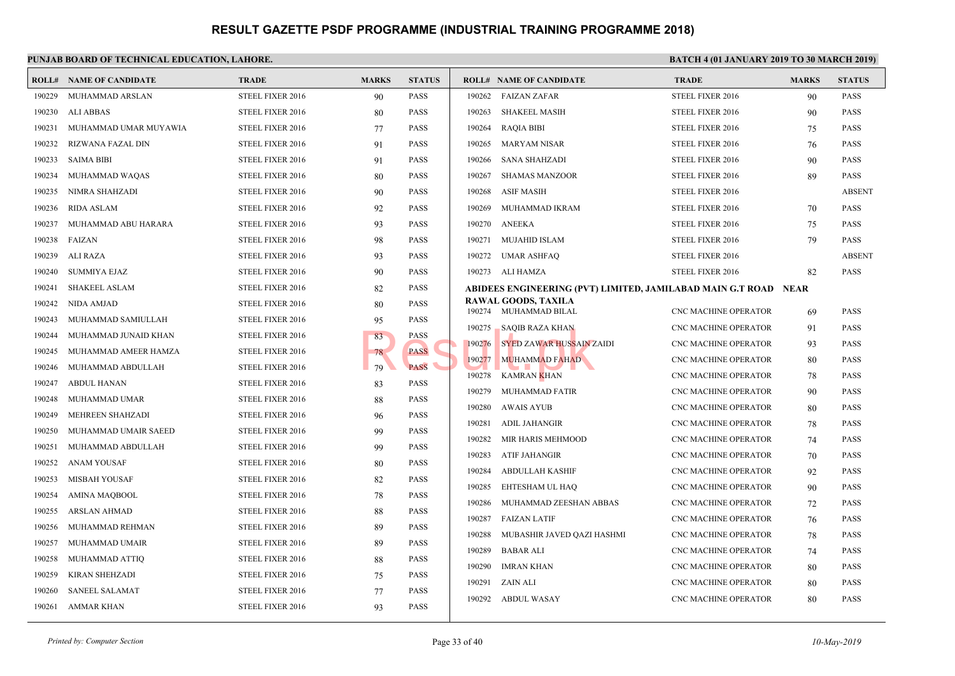| ROLL#  | <b>NAME OF CANDIDATE</b> | <b>TRADE</b>     | <b>MARKS</b> | <b>STATUS</b> |        | <b>ROLL# NAME OF CANDIDATE</b>               | <b>TRAI</b>      |
|--------|--------------------------|------------------|--------------|---------------|--------|----------------------------------------------|------------------|
| 190229 | MUHAMMAD ARSLAN          | STEEL FIXER 2016 | 90           | <b>PASS</b>   | 190262 | <b>FAIZAN ZAFAR</b>                          | <b>STEEL</b>     |
| 190230 | <b>ALI ABBAS</b>         | STEEL FIXER 2016 | 80           | <b>PASS</b>   | 190263 | <b>SHAKEEL MASIH</b>                         | <b>STEEL</b>     |
| 190231 | MUHAMMAD UMAR MUYAWIA    | STEEL FIXER 2016 | 77           | <b>PASS</b>   | 190264 | <b>RAQIA BIBI</b>                            | <b>STEEL</b>     |
| 190232 | RIZWANA FAZAL DIN        | STEEL FIXER 2016 | 91           | <b>PASS</b>   | 190265 | MARYAM NISAR                                 | <b>STEEL</b>     |
| 190233 | SAIMA BIBI               | STEEL FIXER 2016 | 91           | <b>PASS</b>   | 190266 | SANA SHAHZADI                                | <b>STEEL</b>     |
| 190234 | MUHAMMAD WAQAS           | STEEL FIXER 2016 | 80           | <b>PASS</b>   | 190267 | SHAMAS MANZOOR                               | <b>STEEL</b>     |
| 190235 | NIMRA SHAHZADI           | STEEL FIXER 2016 | 90           | <b>PASS</b>   | 190268 | <b>ASIF MASIH</b>                            | <b>STEEL</b>     |
| 190236 | <b>RIDA ASLAM</b>        | STEEL FIXER 2016 | 92           | <b>PASS</b>   | 190269 | MUHAMMAD IKRAM                               | <b>STEEL</b>     |
| 190237 | MUHAMMAD ABU HARARA      | STEEL FIXER 2016 | 93           | <b>PASS</b>   | 190270 | <b>ANEEKA</b>                                | <b>STEEL</b>     |
| 190238 | FAIZAN                   | STEEL FIXER 2016 | 98           | <b>PASS</b>   | 190271 | MUJAHID ISLAM                                | <b>STEEL</b>     |
| 190239 | ALI RAZA                 | STEEL FIXER 2016 | 93           | <b>PASS</b>   | 190272 | UMAR ASHFAQ                                  | <b>STEEL</b>     |
| 190240 | <b>SUMMIYA EJAZ</b>      | STEEL FIXER 2016 | 90           | <b>PASS</b>   |        | 190273 ALI HAMZA                             | <b>STEEL</b>     |
| 190241 | <b>SHAKEEL ASLAM</b>     | STEEL FIXER 2016 | 82           | <b>PASS</b>   |        | ABIDEES ENGINEERING (PVT) LIMITED, JAMILABA] |                  |
| 190242 | NIDA AMJAD               | STEEL FIXER 2016 | 80           | <b>PASS</b>   |        | <b>RAWAL GOODS, TAXILA</b>                   |                  |
| 190243 | MUHAMMAD SAMIULLAH       | STEEL FIXER 2016 | 95           | <b>PASS</b>   |        | 190274 MUHAMMAD BILAL                        | CNC <sub>N</sub> |
| 190244 | MUHAMMAD JUNAID KHAN     | STEEL FIXER 2016 | 83           | <b>PASS</b>   | 190275 | <b>SAQIB RAZA KHAN</b>                       | CNC <sub>N</sub> |
| 190245 | MUHAMMAD AMEER HAMZA     | STEEL FIXER 2016 | 78           | <b>PASS</b>   | 190276 | <b>SYED ZAWAR HUSSAIN ZAIDI</b>              | CNC <sub>N</sub> |
| 190246 | MUHAMMAD ABDULLAH        | STEEL FIXER 2016 | 79           | <b>PASS</b>   | 190277 | <b>MUHAMMAD FAHAD</b>                        | CNC <sub>N</sub> |
| 190247 | <b>ABDUL HANAN</b>       | STEEL FIXER 2016 | 83           | <b>PASS</b>   | 190278 | KAMRAN <mark>K</mark> HAN                    | CNC N            |
| 190248 | MUHAMMAD UMAR            | STEEL FIXER 2016 | 88           | <b>PASS</b>   | 190279 | MUHAMMAD FATIR                               | CNC <sub>N</sub> |
| 190249 | MEHREEN SHAHZADI         | STEEL FIXER 2016 | 96           | <b>PASS</b>   | 190280 | <b>AWAIS AYUB</b>                            | CNC <sub>N</sub> |
| 190250 | MUHAMMAD UMAIR SAEED     | STEEL FIXER 2016 | 99           | <b>PASS</b>   | 190281 | <b>ADIL JAHANGIR</b>                         | CNC <sub>N</sub> |
| 190251 | MUHAMMAD ABDULLAH        | STEEL FIXER 2016 | 99           | <b>PASS</b>   | 190282 | MIR HARIS MEHMOOD                            | CNC M            |
| 190252 | ANAM YOUSAF              | STEEL FIXER 2016 | 80           | <b>PASS</b>   | 190283 | <b>ATIF JAHANGIR</b>                         | CNC <sub>N</sub> |
| 190253 | <b>MISBAH YOUSAF</b>     | STEEL FIXER 2016 | 82           | <b>PASS</b>   | 190284 | <b>ABDULLAH KASHIF</b>                       | CNC <sub>N</sub> |
| 190254 | AMINA MAQBOOL            | STEEL FIXER 2016 | 78           | <b>PASS</b>   | 190285 | EHTESHAM UL HAQ                              | CNC <sub>N</sub> |
| 190255 | <b>ARSLAN AHMAD</b>      | STEEL FIXER 2016 | 88           | <b>PASS</b>   | 190286 | MUHAMMAD ZEESHAN ABBAS                       | CNC <sub>N</sub> |
| 190256 | MUHAMMAD REHMAN          | STEEL FIXER 2016 | 89           | <b>PASS</b>   | 190287 | FAIZAN LATIF                                 | CNC <sub>N</sub> |
| 190257 | MUHAMMAD UMAIR           | STEEL FIXER 2016 | 89           | <b>PASS</b>   | 190288 | MUBASHIR JAVED QAZI HASHMI                   | CNC <sub>N</sub> |
| 190258 | MUHAMMAD ATTIQ           | STEEL FIXER 2016 | 88           | <b>PASS</b>   | 190289 | <b>BABAR ALI</b>                             | CNC <sub>N</sub> |
| 190259 | KIRAN SHEHZADI           | STEEL FIXER 2016 | 75           | <b>PASS</b>   | 190290 | <b>IMRAN KHAN</b>                            | CNC <sub>N</sub> |
| 190260 | <b>SANEEL SALAMAT</b>    | STEEL FIXER 2016 | 77           | <b>PASS</b>   | 190291 | ZAIN ALI                                     | CNC <sub>N</sub> |
| 190261 | AMMAR KHAN               | STEEL FIXER 2016 | 93           | <b>PASS</b>   | 190292 | ABDUL WASAY                                  | CNC <sub>N</sub> |
|        |                          |                  |              |               |        |                                              |                  |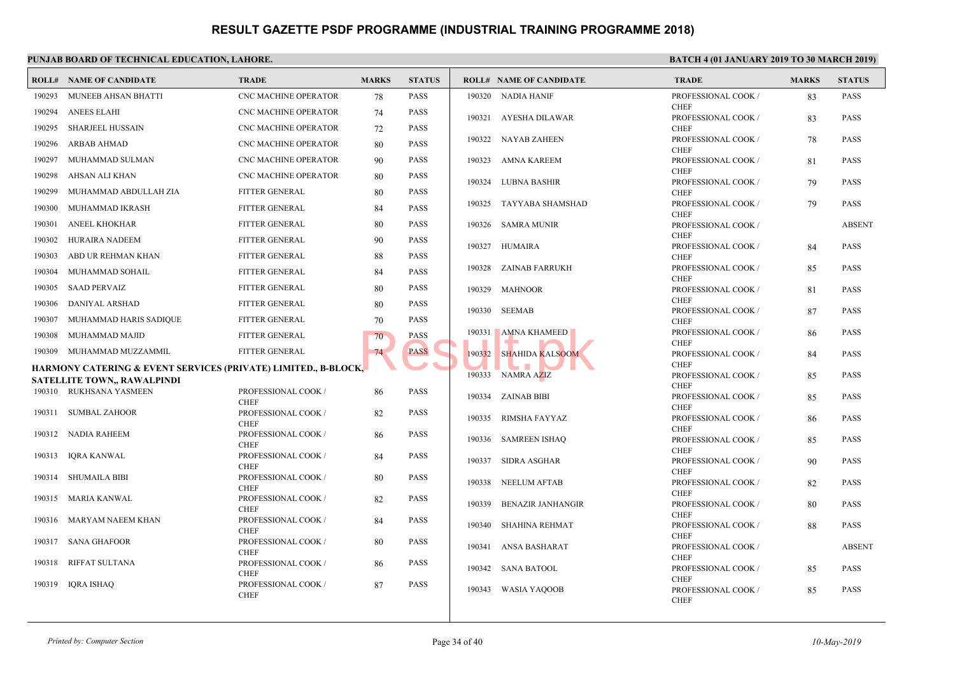|        | <b>ROLL# NAME OF CANDIDATE</b>                                            | <b>TRADE</b>                       | <b>MARKS</b> | <b>STATUS</b> |        | <b>ROLL# NAME OF CANDIDATE</b> | <b>TRAL</b>                 |
|--------|---------------------------------------------------------------------------|------------------------------------|--------------|---------------|--------|--------------------------------|-----------------------------|
|        | 190293 MUNEEB AHSAN BHATTI                                                | <b>CNC MACHINE OPERATOR</b>        | 78           | PASS          |        | 190320 NADIA HANIF             | <b>PROFE</b>                |
| 190294 | <b>ANEES ELAHI</b>                                                        | <b>CNC MACHINE OPERATOR</b>        | 74           | PASS          |        |                                | <b>CHEF</b>                 |
| 190295 | <b>SHARJEEL HUSSAIN</b>                                                   | <b>CNC MACHINE OPERATOR</b>        | 72           | <b>PASS</b>   |        | 190321 AYESHA DILAWAR          | <b>PROFE</b><br><b>CHEF</b> |
| 190296 | ARBAB AHMAD                                                               | <b>CNC MACHINE OPERATOR</b>        |              | <b>PASS</b>   | 190322 | NAYAB ZAHEEN                   | <b>PROFE</b>                |
|        |                                                                           |                                    | 80           |               |        |                                | <b>CHEF</b>                 |
| 190297 | MUHAMMAD SULMAN                                                           | CNC MACHINE OPERATOR               | 90           | <b>PASS</b>   |        | 190323 AMNA KAREEM             | <b>PROFE</b>                |
| 190298 | AHSAN ALI KHAN                                                            | <b>CNC MACHINE OPERATOR</b>        | 80           | <b>PASS</b>   | 190324 | LUBNA BASHIR                   | <b>CHEF</b><br><b>PROFE</b> |
| 190299 | MUHAMMAD ABDULLAH ZIA                                                     | FITTER GENERAL                     | 80           | PASS          |        |                                | <b>CHEF</b>                 |
| 190300 | MUHAMMAD IKRASH                                                           | FITTER GENERAL                     | 84           | PASS          |        | 190325 TAYYABA SHAMSHAD        | <b>PROFE</b><br><b>CHEF</b> |
| 190301 | <b>ANEEL KHOKHAR</b>                                                      | FITTER GENERAL                     | 80           | PASS          |        | 190326 SAMRA MUNIR             | <b>PROFE</b>                |
| 190302 | HURAIRA NADEEM                                                            | FITTER GENERAL                     | 90           | PASS          |        |                                | <b>CHEF</b>                 |
| 190303 | ABD UR REHMAN KHAN                                                        | FITTER GENERAL                     | 88           | PASS          |        | 190327 HUMAIRA                 | <b>PROFE</b><br><b>CHEF</b> |
| 190304 | MUHAMMAD SOHAIL                                                           | FITTER GENERAL                     | 84           | PASS          |        | 190328 ZAINAB FARRUKH          | <b>PROFE</b>                |
| 190305 | <b>SAAD PERVAIZ</b>                                                       | FITTER GENERAL                     | 80           | PASS          |        | 190329 MAHNOOR                 | <b>CHEF</b><br><b>PROFI</b> |
| 190306 | DANIYAL ARSHAD                                                            | <b>FITTER GENERAL</b>              | 80           | <b>PASS</b>   |        |                                | <b>CHEF</b>                 |
| 190307 | MUHAMMAD HARIS SADIQUE                                                    | FITTER GENERAL                     | 70           | <b>PASS</b>   |        | 190330 SEEMAB                  | <b>PROFE</b><br><b>CHEF</b> |
| 190308 | MUHAMMAD MAJID                                                            | FITTER GENERAL                     | 70           | <b>PASS</b>   |        | 190331 AMNA KHAMEED            | <b>PROFE</b>                |
|        | 190309 MUHAMMAD MUZZAMMIL                                                 | FITTER GENERAL                     | 74           | <b>PASS</b>   | 190332 | a po<br><b>SHAHIDA KALSOOM</b> | <b>CHEF</b><br><b>PROFE</b> |
|        | <b>HARMONY CATERING &amp; EVENT SERVICES (PRIVATE) LIMITED., B-BLOCK,</b> |                                    |              |               |        | $\mathcal{L}$                  | <b>CHEF</b>                 |
|        | <b>SATELLITE TOWN,, RAWALPINDI</b>                                        |                                    |              |               |        | 190333 NAMRA AZIZ              | <b>PROFE</b>                |
|        | 190310 RUKHSANA YASMEEN                                                   | PROFESSIONAL COOK /                | 86           | PASS          |        |                                | <b>CHEF</b>                 |
|        |                                                                           | <b>CHEF</b>                        |              |               | 190334 | ZAINAB BIBI                    | <b>PROFE</b><br><b>CHEF</b> |
|        | 190311 SUMBAL ZAHOOR                                                      | PROFESSIONAL COOK /<br><b>CHEF</b> | 82           | PASS          | 190335 | RIMSHA FAYYAZ                  | <b>PROFE</b>                |
|        | 190312 NADIA RAHEEM                                                       | PROFESSIONAL COOK /                | 86           | PASS          |        | 190336 SAMREEN ISHAQ           | <b>CHEF</b><br><b>PROFE</b> |
|        |                                                                           | <b>CHEF</b>                        |              |               |        |                                | <b>CHEF</b>                 |
|        | 190313 IQRA KANWAL                                                        | PROFESSIONAL COOK /<br><b>CHEF</b> | 84           | <b>PASS</b>   | 190337 | SIDRA ASGHAR                   | <b>PROFE</b>                |
|        | 190314 SHUMAILA BIBI                                                      | PROFESSIONAL COOK /                | 80           | PASS          | 190338 | NEELUM AFTAB                   | <b>CHEF</b><br><b>PROFE</b> |
|        |                                                                           | <b>CHEF</b>                        |              |               |        |                                | <b>CHEF</b>                 |
|        | 190315 MARIA KANWAL                                                       | PROFESSIONAL COOK /<br><b>CHEF</b> | 82           | <b>PASS</b>   | 190339 | <b>BENAZIR JANHANGIR</b>       | <b>PROFE</b>                |
|        | 190316 MARYAM NAEEM KHAN                                                  | PROFESSIONAL COOK /                | 84           | PASS          |        |                                | <b>CHEF</b>                 |
|        |                                                                           | <b>CHEF</b>                        |              |               | 190340 | SHAHINA REHMAT                 | <b>PROFE</b><br><b>CHEF</b> |
|        | 190317 SANA GHAFOOR                                                       | PROFESSIONAL COOK /<br><b>CHEF</b> | 80           | <b>PASS</b>   | 190341 | ANSA BASHARAT                  | <b>PROFE</b>                |
| 190318 | RIFFAT SULTANA                                                            | PROFESSIONAL COOK /                | 86           | PASS          |        |                                | <b>CHEF</b>                 |
|        |                                                                           | <b>CHEF</b>                        |              |               | 190342 | SANA BATOOL                    | <b>PROFE</b><br><b>CHEF</b> |
| 190319 | <b>IQRA ISHAQ</b>                                                         | PROFESSIONAL COOK /                | 87           | PASS          | 190343 | WASIA YAQOOB                   | <b>PROFE</b>                |
|        |                                                                           | <b>CHEF</b>                        |              |               |        |                                | <b>CHEF</b>                 |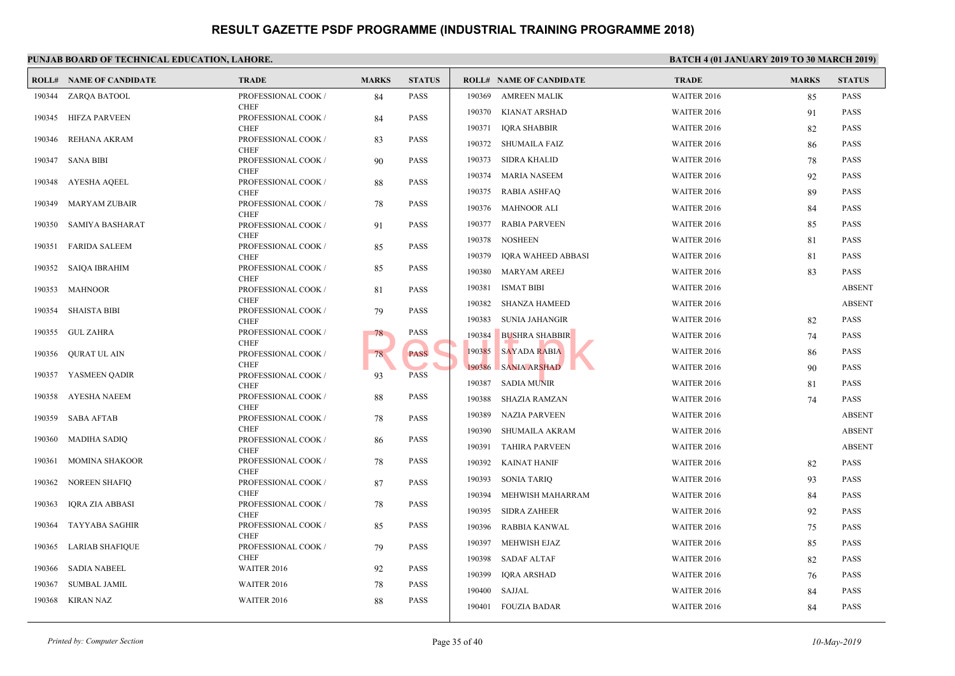|        | <b>ROLL# NAME OF CANDIDATE</b> | <b>TRADE</b>                       | <b>MARKS</b> | <b>STATUS</b> |        | <b>ROLL# NAME OF CANDIDATE</b> | <b>TRAL</b>  |
|--------|--------------------------------|------------------------------------|--------------|---------------|--------|--------------------------------|--------------|
|        | 190344 ZARQA BATOOL            | PROFESSIONAL COOK /                | 84           | PASS          | 190369 | <b>AMREEN MALIK</b>            | WAITI        |
|        | 190345 HIFZA PARVEEN           | <b>CHEF</b><br>PROFESSIONAL COOK / | 84           | PASS          | 190370 | <b>KIANAT ARSHAD</b>           | WAITI        |
|        |                                | <b>CHEF</b>                        |              |               | 190371 | <b>IQRA SHABBIR</b>            | WAITI        |
| 190346 | REHANA AKRAM                   | PROFESSIONAL COOK /<br><b>CHEF</b> | 83           | <b>PASS</b>   | 190372 | <b>SHUMAILA FAIZ</b>           | WAITI        |
| 190347 | <b>SANA BIBI</b>               | PROFESSIONAL COOK /                | 90           | <b>PASS</b>   | 190373 | <b>SIDRA KHALID</b>            | <b>WAITE</b> |
|        |                                | <b>CHEF</b>                        |              |               | 190374 | <b>MARIA NASEEM</b>            | WAITI        |
| 190348 | AYESHA AQEEL                   | PROFESSIONAL COOK /<br><b>CHEF</b> | 88           | <b>PASS</b>   | 190375 | <b>RABIA ASHFAQ</b>            | WAITI        |
| 190349 | <b>MARYAM ZUBAIR</b>           | PROFESSIONAL COOK /                | 78           | PASS          | 190376 | MAHNOOR ALI                    | <b>WAITI</b> |
| 190350 | SAMIYA BASHARAT                | <b>CHEF</b><br>PROFESSIONAL COOK / | 91           | <b>PASS</b>   | 190377 | <b>RABIA PARVEEN</b>           | WAITI        |
|        |                                | <b>CHEF</b>                        |              |               | 190378 | <b>NOSHEEN</b>                 | WAITI        |
| 190351 | <b>FARIDA SALEEM</b>           | PROFESSIONAL COOK /<br><b>CHEF</b> | 85           | <b>PASS</b>   | 190379 | IQRA WAHEED ABBASI             | WAITI        |
| 190352 | <b>SAIQA IBRAHIM</b>           | PROFESSIONAL COOK /                | 85           | <b>PASS</b>   | 190380 | <b>MARYAM AREEJ</b>            | <b>WAITI</b> |
|        |                                | <b>CHEF</b>                        |              |               | 190381 | <b>ISMAT BIBI</b>              | WAITI        |
| 190353 | <b>MAHNOOR</b>                 | PROFESSIONAL COOK /<br><b>CHEF</b> | 81           | <b>PASS</b>   |        |                                |              |
| 190354 | <b>SHAISTA BIBI</b>            | PROFESSIONAL COOK /                | 79           | <b>PASS</b>   | 190382 | <b>SHANZA HAMEED</b>           | WAITI        |
|        | 190355 GUL ZAHRA               | <b>CHEF</b><br>PROFESSIONAL COOK / | 78           | PASS          | 190383 | <b>SUNIA JAHANGIR</b>          | WAITI        |
|        |                                | <b>CHEF</b>                        |              |               | 190384 | <b>BUSHRA SHABBIR</b>          | WAITI        |
|        | 190356 QURAT UL AIN            | PROFESSIONAL COOK /<br><b>CHEF</b> | 78           | <b>PASS</b>   | 190385 | <b>SAYADA RABIA</b>            | WAITI        |
|        | 190357 YASMEEN QADIR           | PROFESSIONAL COOK /                | 93           | <b>PASS</b>   | 190386 | <b>SANIA ARSHAD</b>            | WAITI        |
|        |                                | <b>CHEF</b>                        |              |               | 190387 | <b>SADIA MUNIR</b>             | WAITI        |
|        | 190358 AYESHA NAEEM            | PROFESSIONAL COOK /<br><b>CHEF</b> | 88           | PASS          | 190388 | SHAZIA RAMZAN                  | <b>WAITE</b> |
| 190359 | SABA AFTAB                     | PROFESSIONAL COOK /                | 78           | <b>PASS</b>   | 190389 | <b>NAZIA PARVEEN</b>           | WAITI        |
| 190360 | MADIHA SADIQ                   | <b>CHEF</b><br>PROFESSIONAL COOK / |              | <b>PASS</b>   | 190390 | SHUMAILA AKRAM                 | <b>WAITI</b> |
|        |                                | <b>CHEF</b>                        | 86           |               | 190391 | <b>TAHIRA PARVEEN</b>          | <b>WAITE</b> |
| 190361 | <b>MOMINA SHAKOOR</b>          | PROFESSIONAL COOK /                | 78           | PASS          | 190392 | <b>KAINAT HANIF</b>            | WAITI        |
| 190362 | <b>NOREEN SHAFIQ</b>           | <b>CHEF</b><br>PROFESSIONAL COOK / | 87           | <b>PASS</b>   | 190393 | <b>SONIA TARIQ</b>             | WAITI        |
|        |                                | <b>CHEF</b>                        |              |               | 190394 | MEHWISH MAHARRAM               | WAITI        |
| 190363 | <b>IQRA ZIA ABBASI</b>         | PROFESSIONAL COOK /<br><b>CHEF</b> | 78           | PASS          | 190395 | <b>SIDRA ZAHEER</b>            | WAITI        |
| 190364 | <b>TAYYABA SAGHIR</b>          | PROFESSIONAL COOK /                | 85           | PASS          | 190396 | RABBIA KANWAL                  | WAITI        |
| 190365 |                                | <b>CHEF</b>                        |              | <b>PASS</b>   | 190397 | MEHWISH EJAZ                   | WAITI        |
|        | LARIAB SHAFIQUE                | PROFESSIONAL COOK /<br><b>CHEF</b> | 79           |               | 190398 | <b>SADAF ALTAF</b>             | WAITI        |
| 190366 | <b>SADIA NABEEL</b>            | WAITER 2016                        | 92           | <b>PASS</b>   | 190399 | <b>IQRA ARSHAD</b>             | WAITI        |
| 190367 | <b>SUMBAL JAMIL</b>            | WAITER 2016                        | 78           | PASS          | 190400 | SAJJAL                         | WAITI        |
| 190368 | KIRAN NAZ                      | WAITER 2016                        | 88           | PASS          | 190401 | FOUZIA BADAR                   | WAITI        |
|        |                                |                                    |              |               |        |                                |              |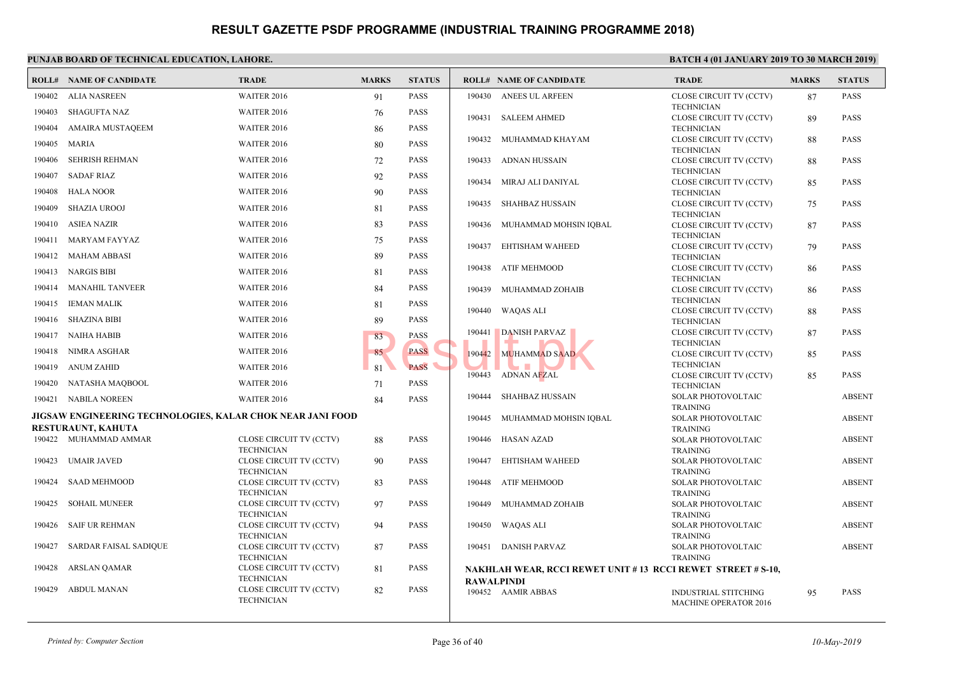|        | I CHUIND DOINND OF TECHNICINE EDUCTITION, ENINONE,         |                                              |              |               |                   |                                            |                              |
|--------|------------------------------------------------------------|----------------------------------------------|--------------|---------------|-------------------|--------------------------------------------|------------------------------|
|        | <b>ROLL# NAME OF CANDIDATE</b>                             | <b>TRADE</b>                                 | <b>MARKS</b> | <b>STATUS</b> |                   | <b>ROLL# NAME OF CANDIDATE</b>             | <b>TRAL</b>                  |
| 190402 | ALIA NASREEN                                               | WAITER 2016                                  | 91           | <b>PASS</b>   |                   | 190430 ANEES UL ARFEEN                     | <b>CLOSE</b>                 |
| 190403 | SHAGUFTA NAZ                                               | WAITER 2016                                  | 76           | <b>PASS</b>   |                   | 190431 SALEEM AHMED                        | <b>TECHI</b><br><b>CLOSE</b> |
| 190404 | AMAIRA MUSTAQEEM                                           | WAITER 2016                                  | 86           | <b>PASS</b>   |                   |                                            | <b>TECHI</b>                 |
| 190405 | MARIA                                                      | WAITER 2016                                  | 80           | <b>PASS</b>   | 190432            | MUHAMMAD KHAYAM                            | <b>CLOSE</b>                 |
| 190406 | SEHRISH REHMAN                                             | WAITER 2016                                  | 72           | PASS          | 190433            | ADNAN HUSSAIN                              | <b>TECHI</b><br><b>CLOSE</b> |
|        |                                                            | <b>WAITER 2016</b>                           |              |               |                   |                                            | <b>TECHI</b>                 |
| 190407 | <b>SADAF RIAZ</b>                                          |                                              | 92           | <b>PASS</b>   | 190434            | MIRAJ ALI DANIYAL                          | <b>CLOSE</b>                 |
| 190408 | <b>HALA NOOR</b>                                           | WAITER 2016                                  | 90           | <b>PASS</b>   |                   |                                            | <b>TECHI</b>                 |
| 190409 | <b>SHAZIA UROOJ</b>                                        | WAITER 2016                                  | 81           | <b>PASS</b>   | 190435            | SHAHBAZ HUSSAIN                            | <b>CLOSE</b><br><b>TECHI</b> |
| 190410 | ASIEA NAZIR                                                | WAITER 2016                                  | 83           | <b>PASS</b>   |                   | 190436 MUHAMMAD MOHSIN IQBAL               | <b>CLOSE</b>                 |
| 190411 | MARYAM FAYYAZ                                              | WAITER 2016                                  | 75           | <b>PASS</b>   | 190437            | EHTISHAM WAHEED                            | <b>TECHI</b><br><b>CLOSE</b> |
| 190412 | MAHAM ABBASI                                               | WAITER 2016                                  | 89           | <b>PASS</b>   |                   |                                            | <b>TECHI</b>                 |
| 190413 | NARGIS BIBI                                                | WAITER 2016                                  | 81           | <b>PASS</b>   | 190438            | ATIF MEHMOOD                               | <b>CLOSE</b>                 |
| 190414 | <b>MANAHIL TANVEER</b>                                     | <b>WAITER 2016</b>                           | 84           | <b>PASS</b>   | 190439            | MUHAMMAD ZOHAIB                            | <b>TECHI</b><br><b>CLOSE</b> |
| 190415 | <b>IEMAN MALIK</b>                                         | WAITER 2016                                  | 81           | <b>PASS</b>   |                   |                                            | <b>TECHI</b>                 |
| 190416 | SHAZINA BIBI                                               | WAITER 2016                                  | 89           | PASS          | 190440            | WAQAS ALI                                  | <b>CLOSE</b><br><b>TECHI</b> |
| 190417 | NAIHA HABIB                                                | WAITER 2016                                  | 83           | <b>PASS</b>   | 190441            | <b>DANISH PARVAZ</b>                       | <b>CLOSE</b>                 |
| 190418 | NIMRA ASGHAR                                               | WAITER 2016                                  | 85           | <b>PASS</b>   | 190442            | <b>MUHAMMAD SAAD</b>                       | <b>TECHI</b><br><b>CLOSE</b> |
| 190419 | <b>ANUM ZAHID</b>                                          | WAITER 2016                                  | 81           | <b>PASS</b>   |                   |                                            | <b>TECHI</b>                 |
| 190420 | NATASHA MAQBOOL                                            | WAITER 2016                                  | 71           | <b>PASS</b>   | 190443            | ADNAN AFZAL                                | <b>CLOSE</b><br><b>TECHI</b> |
| 190421 | NABILA NOREEN                                              | WAITER 2016                                  | 84           | <b>PASS</b>   | 190444            | SHAHBAZ HUSSAIN                            | <b>SOLAI</b>                 |
|        | JIGSAW ENGINEERING TECHNOLOGIES, KALAR CHOK NEAR JANI FOOD |                                              |              |               | 190445            | MUHAMMAD MOHSIN IOBAL                      | <b>TRAIN</b><br><b>SOLAI</b> |
|        | <b>RESTURAUNT, KAHUTA</b>                                  |                                              |              |               |                   |                                            | <b>TRAIN</b>                 |
|        | 190422 MUHAMMAD AMMAR                                      | CLOSE CIRCUIT TV (CCTV)<br><b>TECHNICIAN</b> | 88           | <b>PASS</b>   |                   | 190446 HASAN AZAD                          | <b>SOLAI</b><br><b>TRAIN</b> |
| 190423 | UMAIR JAVED                                                | CLOSE CIRCUIT TV (CCTV)                      | 90           | <b>PASS</b>   | 190447            | EHTISHAM WAHEED                            | <b>SOLAI</b>                 |
| 190424 | <b>SAAD MEHMOOD</b>                                        | <b>TECHNICIAN</b><br>CLOSE CIRCUIT TV (CCTV) | 83           | <b>PASS</b>   |                   | 190448 ATIF MEHMOOD                        | <b>TRAIN</b><br><b>SOLAI</b> |
|        |                                                            | <b>TECHNICIAN</b>                            |              |               |                   |                                            | <b>TRAIN</b>                 |
| 190425 | <b>SOHAIL MUNEER</b>                                       | CLOSE CIRCUIT TV (CCTV)<br><b>TECHNICIAN</b> | 97           | <b>PASS</b>   | 190449            | MUHAMMAD ZOHAIB                            | <b>SOLAR</b>                 |
| 190426 | SAIF UR REHMAN                                             | CLOSE CIRCUIT TV (CCTV)                      | 94           | <b>PASS</b>   |                   | 190450 WAQAS ALI                           | <b>TRAIN</b><br><b>SOLAI</b> |
|        |                                                            | <b>TECHNICIAN</b>                            |              |               |                   |                                            | <b>TRAIN</b>                 |
| 190427 | SARDAR FAISAL SADIQUE                                      | CLOSE CIRCUIT TV (CCTV)<br><b>TECHNICIAN</b> | 87           | <b>PASS</b>   |                   | 190451 DANISH PARVAZ                       | <b>SOLAR</b><br><b>TRAIN</b> |
| 190428 | ARSLAN QAMAR                                               | CLOSE CIRCUIT TV (CCTV)                      | 81           | PASS          |                   | NAKHLAH WEAR, RCCI REWET UNIT #13 RCCI REV |                              |
|        |                                                            | <b>TECHNICIAN</b>                            |              |               | <b>RAWALPINDI</b> |                                            |                              |
| 190429 | <b>ABDUL MANAN</b>                                         | CLOSE CIRCUIT TV (CCTV)<br><b>TECHNICIAN</b> | 82           | <b>PASS</b>   |                   | 190452 AAMIR ABBAS                         | <b>INDUS</b>                 |
|        |                                                            |                                              |              |               |                   |                                            | <b>MACH</b>                  |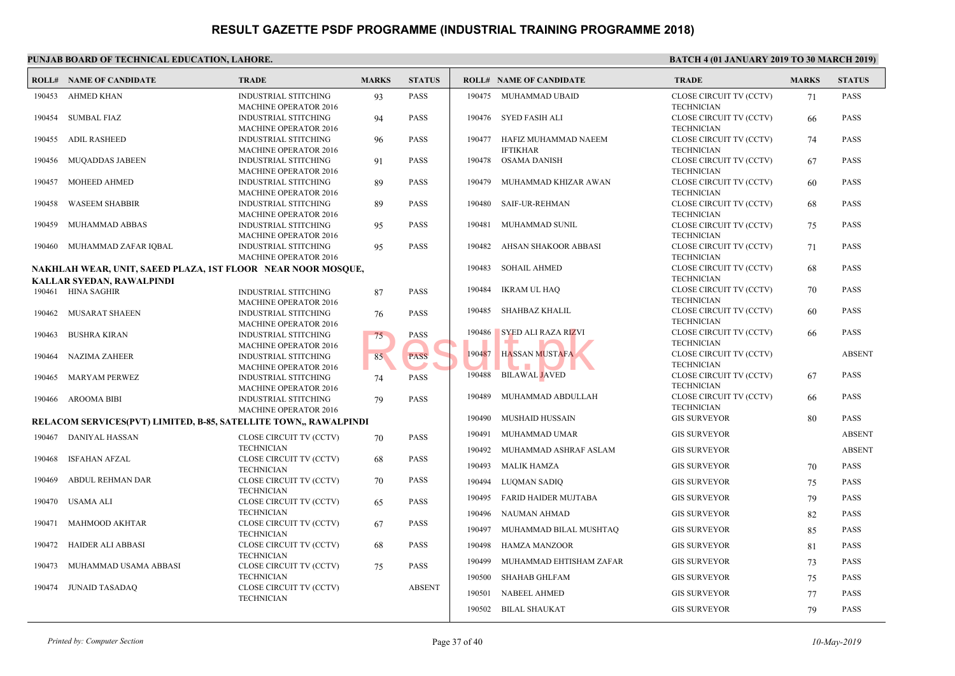|        | l UNIAD DOARD OF TECHNICAL EDUCATION, LAHORE                     |                                                             |              |               |                  |                                        | i da T                         |
|--------|------------------------------------------------------------------|-------------------------------------------------------------|--------------|---------------|------------------|----------------------------------------|--------------------------------|
|        | <b>ROLL# NAME OF CANDIDATE</b>                                   | <b>TRADE</b>                                                | <b>MARKS</b> | <b>STATUS</b> |                  | <b>ROLL# NAME OF CANDIDATE</b>         | TRAD                           |
| 190453 | AHMED KHAN                                                       | INDUSTRIAL STITCHING<br><b>MACHINE OPERATOR 2016</b>        | 93           | <b>PASS</b>   |                  | 190475 MUHAMMAD UBAID                  | <b>CLOSE</b><br><b>TECHI</b>   |
| 190454 | SUMBAL FIAZ                                                      | <b>INDUSTRIAL STITCHING</b><br><b>MACHINE OPERATOR 2016</b> | 94           | <b>PASS</b>   |                  | 190476 SYED FASIH ALI                  | <b>CLOSE</b><br><b>TECHI</b>   |
| 190455 | <b>ADIL RASHEED</b>                                              | <b>INDUSTRIAL STITCHING</b>                                 | 96           | <b>PASS</b>   | 190477           | HAFIZ MUHAMMAD NAEEM                   | <b>CLOSE</b>                   |
| 190456 | MUQADDAS JABEEN                                                  | <b>MACHINE OPERATOR 2016</b><br><b>INDUSTRIAL STITCHING</b> | 91           | <b>PASS</b>   |                  | <b>IFTIKHAR</b><br>190478 OSAMA DANISH | <b>TECHI</b><br><b>CLOSE</b>   |
| 190457 | MOHEED AHMED                                                     | <b>MACHINE OPERATOR 2016</b><br><b>INDUSTRIAL STITCHING</b> | 89           | <b>PASS</b>   | 190479           | MUHAMMAD KHIZAR AWAN                   | <b>TECHI</b><br><b>CLOSE</b>   |
| 190458 | <b>WASEEM SHABBIR</b>                                            | <b>MACHINE OPERATOR 2016</b><br><b>INDUSTRIAL STITCHING</b> | 89           | <b>PASS</b>   |                  | 190480 SAIF-UR-REHMAN                  | <b>TECHI</b><br><b>CLOSI</b>   |
| 190459 | MUHAMMAD ABBAS                                                   | <b>MACHINE OPERATOR 2016</b><br><b>INDUSTRIAL STITCHING</b> | 95           | <b>PASS</b>   | 190481           | MUHAMMAD SUNIL                         | <b>TECHI</b><br><b>CLOSI</b>   |
|        | 190460 MUHAMMAD ZAFAR IQBAL                                      | <b>MACHINE OPERATOR 2016</b><br><b>INDUSTRIAL STITCHING</b> | 95           | <b>PASS</b>   | 190482           | AHSAN SHAKOOR ABBASI                   | <b>TECHN</b><br><b>CLOSE</b>   |
|        | NAKHLAH WEAR, UNIT, SAEED PLAZA, 1ST FLOOR NEAR NOOR MOSQUE,     | <b>MACHINE OPERATOR 2016</b>                                |              |               | 190483           | <b>SOHAIL AHMED</b>                    | <b>TECHN</b><br><b>CLOSE</b>   |
|        | KALLAR SYEDAN, RAWALPINDI                                        |                                                             |              |               |                  |                                        | <b>TECHN</b>                   |
|        | 190461 HINA SAGHIR                                               | <b>INDUSTRIAL STITCHING</b><br><b>MACHINE OPERATOR 2016</b> | 87           | <b>PASS</b>   | 190484           | IKRAM UL HAQ                           | <b>CLOSE</b><br><b>TECHI</b>   |
| 190462 | MUSARAT SHAEEN                                                   | <b>INDUSTRIAL STITCHING</b><br><b>MACHINE OPERATOR 2016</b> | 76           | <b>PASS</b>   | 190485           | SHAHBAZ KHALIL                         | <b>CLOSE</b><br><b>TECHI</b>   |
| 190463 | BUSHRA KIRAN                                                     | <b>INDUSTRIAL STITCHING</b><br><b>MACHINE OPERATOR 2016</b> | 75           | <b>PASS</b>   | 190486           | <b>SYED ALI RAZA RIZVI</b>             | <b>CLOSI</b><br><b>TECHI</b>   |
| 190464 | <b>NAZIMA ZAHEER</b>                                             | <b>INDUSTRIAL STITCHING</b><br><b>MACHINE OPERATOR 2016</b> | 85           | <b>PASS</b>   | 190487           | <b>HASSAN MUSTAFA</b>                  | <b>CLOSE</b><br><b>TECHI</b>   |
| 190465 | MARYAM PERWEZ                                                    | <b>INDUSTRIAL STITCHING</b><br><b>MACHINE OPERATOR 2016</b> | 74           | <b>PASS</b>   | 190488           | BILAWAL JAVED                          | <b>CLOSE</b><br><b>TECHI</b>   |
| 190466 | AROOMA BIBI                                                      | <b>INDUSTRIAL STITCHING</b><br><b>MACHINE OPERATOR 2016</b> | 79           | <b>PASS</b>   | 190489           | MUHAMMAD ABDULLAH                      | <b>CLOSE</b><br><b>TECHI</b>   |
|        | RELACOM SERVICES(PVT) LIMITED, B-85, SATELLITE TOWN,, RAWALPINDI |                                                             |              |               | 190490           | MUSHAID HUSSAIN                        | <b>GIS SU</b>                  |
|        | 190467 DANIYAL HASSAN                                            | CLOSE CIRCUIT TV (CCTV)<br><b>TECHNICIAN</b>                | 70           | <b>PASS</b>   | 190491<br>190492 | MUHAMMAD UMAR<br>MUHAMMAD ASHRAF ASLAM | <b>GIS SU</b><br><b>GIS SU</b> |
| 190468 | <b>ISFAHAN AFZAL</b>                                             | CLOSE CIRCUIT TV (CCTV)<br><b>TECHNICIAN</b>                | 68           | <b>PASS</b>   | 190493           | MALIK HAMZA                            | <b>GIS SU</b>                  |
| 190469 | ABDUL REHMAN DAR                                                 | CLOSE CIRCUIT TV (CCTV)<br><b>TECHNICIAN</b>                | 70           | <b>PASS</b>   | 190494           | LUQMAN SADIQ                           | <b>GIS SU</b>                  |
| 190470 | USAMA ALI                                                        | CLOSE CIRCUIT TV (CCTV)                                     | 65           | <b>PASS</b>   | 190495           | <b>FARID HAIDER MUJTABA</b>            | <b>GIS SU</b>                  |
| 190471 | <b>MAHMOOD AKHTAR</b>                                            | <b>TECHNICIAN</b><br>CLOSE CIRCUIT TV (CCTV)                | 67           | <b>PASS</b>   | 190496<br>190497 | NAUMAN AHMAD<br>MUHAMMAD BILAL MUSHTAQ | <b>GIS SU</b><br><b>GIS SU</b> |
| 190472 | HAIDER ALI ABBASI                                                | <b>TECHNICIAN</b><br>CLOSE CIRCUIT TV (CCTV)                | 68           | <b>PASS</b>   | 190498           | HAMZA MANZOOR                          | <b>GIS SU</b>                  |
| 190473 | MUHAMMAD USAMA ABBASI                                            | <b>TECHNICIAN</b><br>CLOSE CIRCUIT TV (CCTV)                | 75           | <b>PASS</b>   | 190499           | MUHAMMAD EHTISHAM ZAFAR                | <b>GIS SU</b>                  |
| 190474 | <b>JUNAID TASADAQ</b>                                            | <b>TECHNICIAN</b><br>CLOSE CIRCUIT TV (CCTV)                |              | <b>ABSENT</b> | 190500<br>190501 | SHAHAB GHLFAM<br><b>NABEEL AHMED</b>   | <b>GIS SU</b><br><b>GIS SU</b> |
|        |                                                                  | <b>TECHNICIAN</b>                                           |              |               |                  |                                        |                                |
|        |                                                                  |                                                             |              |               |                  | 190502 BILAL SHAUKAT                   | <b>GIS SU</b>                  |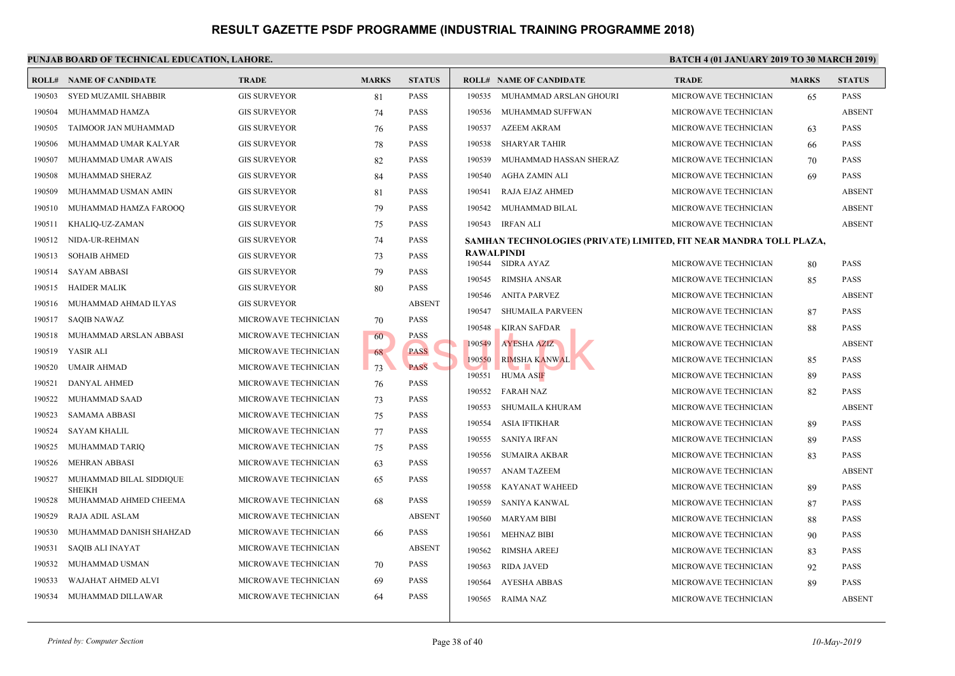|        | <b>ROLL# NAME OF CANDIDATE</b>         | <b>TRADE</b>         | <b>MARKS</b> | <b>STATUS</b> |        | <b>ROLL# NAME OF CANDIDATE</b>             | <b>TRAL</b>  |
|--------|----------------------------------------|----------------------|--------------|---------------|--------|--------------------------------------------|--------------|
| 190503 | SYED MUZAMIL SHABBIR                   | <b>GIS SURVEYOR</b>  | 81           | <b>PASS</b>   | 190535 | MUHAMMAD ARSLAN GHOURI                     | <b>MICRO</b> |
| 190504 | MUHAMMAD HAMZA                         | <b>GIS SURVEYOR</b>  | 74           | <b>PASS</b>   | 190536 | MUHAMMAD SUFFWAN                           | <b>MICRO</b> |
| 190505 | TAIMOOR JAN MUHAMMAD                   | <b>GIS SURVEYOR</b>  | 76           | <b>PASS</b>   | 190537 | AZEEM AKRAM                                | <b>MICRO</b> |
| 190506 | MUHAMMAD UMAR KALYAR                   | <b>GIS SURVEYOR</b>  | 78           | <b>PASS</b>   | 190538 | <b>SHARYAR TAHIR</b>                       | <b>MICRO</b> |
| 190507 | MUHAMMAD UMAR AWAIS                    | <b>GIS SURVEYOR</b>  | 82           | <b>PASS</b>   | 190539 | MUHAMMAD HASSAN SHERAZ                     | <b>MICRO</b> |
| 190508 | MUHAMMAD SHERAZ                        | <b>GIS SURVEYOR</b>  | 84           | <b>PASS</b>   | 190540 | AGHA ZAMIN ALI                             | <b>MICRO</b> |
| 190509 | MUHAMMAD USMAN AMIN                    | <b>GIS SURVEYOR</b>  | 81           | <b>PASS</b>   | 190541 | RAJA EJAZ AHMED                            | <b>MICRO</b> |
| 190510 | MUHAMMAD HAMZA FAROOQ                  | <b>GIS SURVEYOR</b>  | 79           | <b>PASS</b>   | 190542 | MUHAMMAD BILAL                             | <b>MICRO</b> |
| 190511 | KHALIQ-UZ-ZAMAN                        | <b>GIS SURVEYOR</b>  | 75           | <b>PASS</b>   | 190543 | IRFAN ALI                                  | <b>MICRO</b> |
| 190512 | NIDA-UR-REHMAN                         | <b>GIS SURVEYOR</b>  | 74           | <b>PASS</b>   |        | SAMHAN TECHNOLOGIES (PRIVATE) LIMITED, FIT |              |
| 190513 | <b>SOHAIB AHMED</b>                    | <b>GIS SURVEYOR</b>  | 73           | <b>PASS</b>   |        | RAWALPINDI                                 |              |
| 190514 | <b>SAYAM ABBASI</b>                    | <b>GIS SURVEYOR</b>  | 79           | <b>PASS</b>   |        | 190544 SIDRA AYAZ                          | <b>MICRO</b> |
| 190515 | <b>HAIDER MALIK</b>                    | <b>GIS SURVEYOR</b>  | 80           | <b>PASS</b>   | 190545 | RIMSHA ANSAR                               | <b>MICRO</b> |
| 190516 | MUHAMMAD AHMAD ILYAS                   | <b>GIS SURVEYOR</b>  |              | <b>ABSENT</b> | 190546 | ANITA PARVEZ                               | <b>MICRO</b> |
| 190517 | <b>SAQIB NAWAZ</b>                     | MICROWAVE TECHNICIAN | 70           | <b>PASS</b>   | 190547 | <b>SHUMAILA PARVEEN</b>                    | <b>MICRO</b> |
| 190518 | MUHAMMAD ARSLAN ABBASI                 | MICROWAVE TECHNICIAN | 60           | PASS          | 190548 | KIRAN SAFDAR                               | <b>MICRO</b> |
| 190519 | YASIR ALI                              | MICROWAVE TECHNICIAN | 68           | <b>PASS</b>   | 190549 | <b>AYESHA AZIZ</b>                         | <b>MICRO</b> |
| 190520 | <b>UMAIR AHMAD</b>                     | MICROWAVE TECHNICIAN | 73           | <b>PASS</b>   | 190550 | <b>RIMSHA KANWAL</b>                       | <b>MICRO</b> |
| 190521 | DANYAL AHMED                           | MICROWAVE TECHNICIAN | 76           | <b>PASS</b>   | 190551 | HUMA ASIF                                  | <b>MICRO</b> |
| 190522 | MUHAMMAD SAAD                          | MICROWAVE TECHNICIAN | 73           | <b>PASS</b>   | 190552 | <b>FARAH NAZ</b>                           | <b>MICRO</b> |
| 190523 | <b>SAMAMA ABBASI</b>                   | MICROWAVE TECHNICIAN | 75           | <b>PASS</b>   | 190553 | <b>SHUMAILA KHURAM</b>                     | <b>MICRO</b> |
| 190524 | SAYAM KHALIL                           | MICROWAVE TECHNICIAN | 77           | <b>PASS</b>   | 190554 | <b>ASIA IFTIKHAR</b>                       | <b>MICRO</b> |
| 190525 | MUHAMMAD TARIQ                         | MICROWAVE TECHNICIAN | 75           | <b>PASS</b>   | 190555 | <b>SANIYA IRFAN</b>                        | <b>MICRO</b> |
| 190526 | <b>MEHRAN ABBASI</b>                   | MICROWAVE TECHNICIAN | 63           | <b>PASS</b>   | 190556 | <b>SUMAIRA AKBAR</b>                       | <b>MICRO</b> |
| 190527 | MUHAMMAD BILAL SIDDIQUE                | MICROWAVE TECHNICIAN | 65           | <b>PASS</b>   | 190557 | <b>ANAM TAZEEM</b>                         | <b>MICRO</b> |
| 190528 | <b>SHEIKH</b><br>MUHAMMAD AHMED CHEEMA | MICROWAVE TECHNICIAN | 68           | <b>PASS</b>   | 190558 | KAYANAT WAHEED                             | <b>MICRO</b> |
| 190529 | RAJA ADIL ASLAM                        | MICROWAVE TECHNICIAN |              | <b>ABSENT</b> | 190559 | SANIYA KANWAL                              | <b>MICRO</b> |
| 190530 | MUHAMMAD DANISH SHAHZAD                | MICROWAVE TECHNICIAN | 66           | <b>PASS</b>   | 190560 | <b>MARYAM BIBI</b>                         | <b>MICRO</b> |
| 190531 | <b>SAQIB ALI INAYAT</b>                | MICROWAVE TECHNICIAN |              | <b>ABSENT</b> | 190561 | <b>MEHNAZ BIBI</b>                         | <b>MICRO</b> |
| 190532 | MUHAMMAD USMAN                         | MICROWAVE TECHNICIAN |              | <b>PASS</b>   | 190562 | RIMSHA AREEJ                               | <b>MICRO</b> |
|        |                                        |                      | 70           |               | 190563 | <b>RIDA JAVED</b>                          | <b>MICRO</b> |
| 190533 | WAJAHAT AHMED ALVI                     | MICROWAVE TECHNICIAN | 69           | <b>PASS</b>   | 190564 | AYESHA ABBAS                               | <b>MICRO</b> |
| 190534 | MUHAMMAD DILLAWAR                      | MICROWAVE TECHNICIAN | 64           | <b>PASS</b>   | 190565 | RAIMA NAZ                                  | <b>MICRO</b> |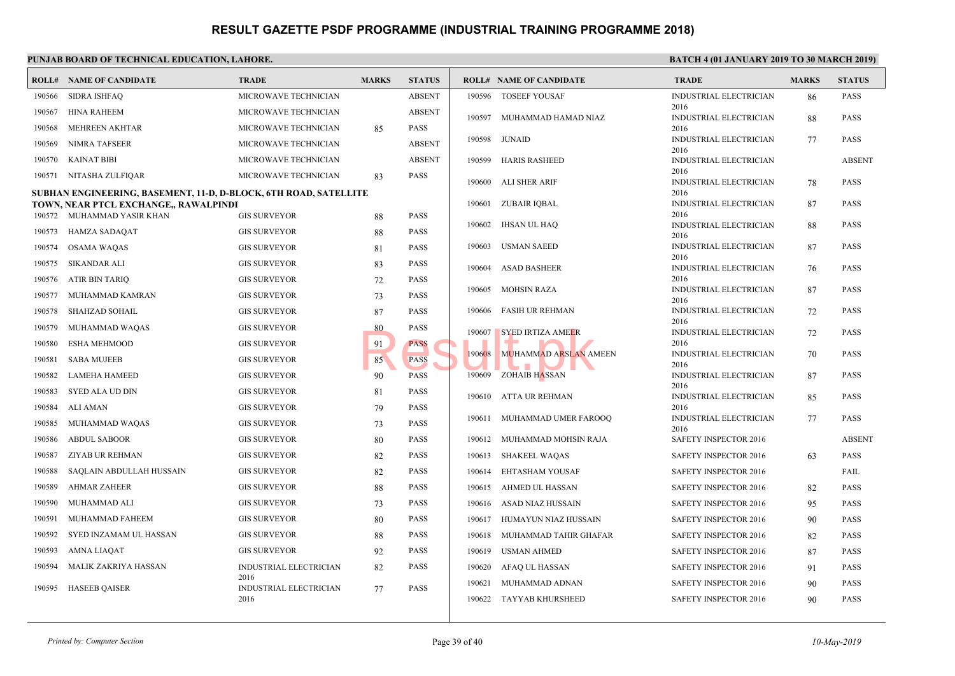|        | <b>BATC</b><br>PUNJAB BOARD OF TECHNICAL EDUCATION, LAHORE.         |                                |              |               |        |                                |                      |  |  |  |  |
|--------|---------------------------------------------------------------------|--------------------------------|--------------|---------------|--------|--------------------------------|----------------------|--|--|--|--|
|        | <b>ROLL# NAME OF CANDIDATE</b>                                      | <b>TRADE</b>                   | <b>MARKS</b> | <b>STATUS</b> |        | <b>ROLL# NAME OF CANDIDATE</b> | <b>TRAL</b>          |  |  |  |  |
| 190566 | <b>SIDRA ISHFAQ</b>                                                 | MICROWAVE TECHNICIAN           |              | <b>ABSENT</b> |        | 190596 TOSEEF YOUSAF           | <b>INDUS</b>         |  |  |  |  |
| 190567 | <b>HINA RAHEEM</b>                                                  | MICROWAVE TECHNICIAN           |              | <b>ABSENT</b> | 190597 | MUHAMMAD HAMAD NIAZ            | 2016<br><b>INDUS</b> |  |  |  |  |
| 190568 | MEHREEN AKHTAR                                                      | MICROWAVE TECHNICIAN           | 85           | <b>PASS</b>   |        |                                | 2016                 |  |  |  |  |
| 190569 | <b>NIMRA TAFSEER</b>                                                | MICROWAVE TECHNICIAN           |              | <b>ABSENT</b> | 190598 | JUNAID                         | <b>INDUS</b><br>2016 |  |  |  |  |
| 190570 | <b>KAINAT BIBI</b>                                                  | MICROWAVE TECHNICIAN           |              | <b>ABSENT</b> | 190599 | <b>HARIS RASHEED</b>           | <b>INDUS</b>         |  |  |  |  |
| 190571 | NITASHA ZULFIQAR                                                    | MICROWAVE TECHNICIAN           | 83           | <b>PASS</b>   |        | 190600 ALI SHER ARIF           | 2016<br><b>INDUS</b> |  |  |  |  |
|        | SUBHAN ENGINEERING, BASEMENT, 11-D, D-BLOCK, 6TH ROAD, SATELLITE    |                                |              | 2016          |        |                                |                      |  |  |  |  |
|        | TOWN, NEAR PTCL EXCHANGE,, RAWALPINDI<br>190572 MUHAMMAD YASIR KHAN | <b>GIS SURVEYOR</b>            | 88           | <b>PASS</b>   | 190601 | ZUBAIR IQBAL                   | <b>INDUS</b><br>2016 |  |  |  |  |
| 190573 | HAMZA SADAQAT                                                       | <b>GIS SURVEYOR</b>            |              | <b>PASS</b>   | 190602 | IHSAN UL HAQ                   | <b>INDUS</b>         |  |  |  |  |
| 190574 | OSAMA WAQAS                                                         | <b>GIS SURVEYOR</b>            | 88<br>81     | <b>PASS</b>   | 190603 | <b>USMAN SAEED</b>             | 2016<br><b>INDUS</b> |  |  |  |  |
| 190575 | SIKANDAR ALI                                                        | <b>GIS SURVEYOR</b>            | 83           | PASS          |        |                                | 2016                 |  |  |  |  |
| 190576 | ATIR BIN TARIQ                                                      | <b>GIS SURVEYOR</b>            | 72           | PASS          | 190604 | <b>ASAD BASHEER</b>            | <b>INDUS</b><br>2016 |  |  |  |  |
| 190577 | MUHAMMAD KAMRAN                                                     | <b>GIS SURVEYOR</b>            | 73           | <b>PASS</b>   | 190605 | <b>MOHSIN RAZA</b>             | <b>INDUS</b>         |  |  |  |  |
| 190578 | <b>SHAHZAD SOHAIL</b>                                               | <b>GIS SURVEYOR</b>            | 87           | PASS          | 190606 | <b>FASIH UR REHMAN</b>         | 2016<br><b>INDUS</b> |  |  |  |  |
| 190579 | MUHAMMAD WAQAS                                                      | <b>GIS SURVEYOR</b>            | 80           | PASS          |        |                                | 2016                 |  |  |  |  |
| 190580 | <b>ESHA MEHMOOD</b>                                                 | <b>GIS SURVEYOR</b>            | 91           | <b>PASS</b>   | 190607 | <b>SYED IRTIZA AMEER</b>       | <b>INDUS</b><br>2016 |  |  |  |  |
| 190581 | <b>SABA MUJEEB</b>                                                  | <b>GIS SURVEYOR</b>            | 85           | <b>PASS</b>   | 190608 | MUHAMMAD ARSLAN AMEEN          | <b>INDUS</b>         |  |  |  |  |
| 190582 | LAMEHA HAMEED                                                       | <b>GIS SURVEYOR</b>            | 90           | <b>PASS</b>   |        | 190609 ZOHAIB HASSAN           | 2016<br><b>INDUS</b> |  |  |  |  |
| 190583 | SYED ALA UD DIN                                                     | <b>GIS SURVEYOR</b>            | 81           | <b>PASS</b>   |        |                                | 2016                 |  |  |  |  |
| 190584 | ALI AMAN                                                            | <b>GIS SURVEYOR</b>            | 79           | <b>PASS</b>   |        | 190610 ATTA UR REHMAN          | <b>INDUS</b><br>2016 |  |  |  |  |
| 190585 | MUHAMMAD WAQAS                                                      | <b>GIS SURVEYOR</b>            | 73           | PASS          |        | 190611 MUHAMMAD UMER FAROOQ    | <b>INDUS</b>         |  |  |  |  |
| 190586 | <b>ABDUL SABOOR</b>                                                 | <b>GIS SURVEYOR</b>            | 80           | <b>PASS</b>   |        | 190612 MUHAMMAD MOHSIN RAJA    | 2016<br><b>SAFET</b> |  |  |  |  |
| 190587 | ZIYAB UR REHMAN                                                     | <b>GIS SURVEYOR</b>            | 82           | <b>PASS</b>   | 190613 | <b>SHAKEEL WAQAS</b>           | <b>SAFET</b>         |  |  |  |  |
| 190588 | SAQLAIN ABDULLAH HUSSAIN                                            | <b>GIS SURVEYOR</b>            | 82           | <b>PASS</b>   | 190614 | EHTASHAM YOUSAF                | <b>SAFET</b>         |  |  |  |  |
| 190589 | <b>AHMAR ZAHEER</b>                                                 | <b>GIS SURVEYOR</b>            | 88           | PASS          | 190615 | AHMED UL HASSAN                | <b>SAFET</b>         |  |  |  |  |
| 190590 | MUHAMMAD ALI                                                        | <b>GIS SURVEYOR</b>            | 73           | <b>PASS</b>   | 190616 | ASAD NIAZ HUSSAIN              | <b>SAFET</b>         |  |  |  |  |
| 190591 | MUHAMMAD FAHEEM                                                     | <b>GIS SURVEYOR</b>            | 80           | <b>PASS</b>   | 190617 | HUMAYUN NIAZ HUSSAIN           | <b>SAFET</b>         |  |  |  |  |
| 190592 | SYED INZAMAM UL HASSAN                                              | <b>GIS SURVEYOR</b>            | 88           | <b>PASS</b>   | 190618 | MUHAMMAD TAHIR GHAFAR          | <b>SAFET</b>         |  |  |  |  |
| 190593 | <b>AMNA LIAQAT</b>                                                  | <b>GIS SURVEYOR</b>            | 92           | <b>PASS</b>   | 190619 | <b>USMAN AHMED</b>             | <b>SAFET</b>         |  |  |  |  |
| 190594 | MALIK ZAKRIYA HASSAN                                                | INDUSTRIAL ELECTRICIAN         | 82           | PASS          | 190620 | AFAQ UL HASSAN                 | <b>SAFET</b>         |  |  |  |  |
|        |                                                                     | 2016                           |              |               | 190621 | MUHAMMAD ADNAN                 | <b>SAFET</b>         |  |  |  |  |
| 190595 | <b>HASEEB QAISER</b>                                                | INDUSTRIAL ELECTRICIAN<br>2016 | 77           | <b>PASS</b>   |        | 190622 TAYYAB KHURSHEED        | <b>SAFET</b>         |  |  |  |  |
|        |                                                                     |                                |              |               |        |                                |                      |  |  |  |  |